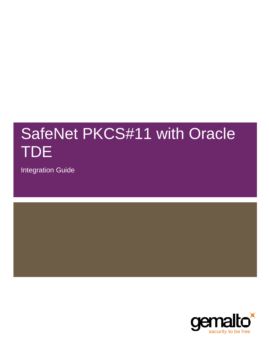# SafeNet PKCS#11 with Oracle TDE

Integration Guide

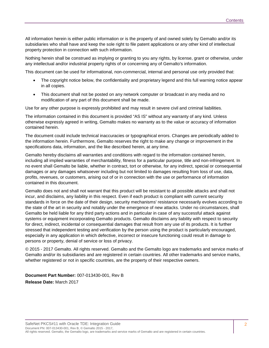All information herein is either public information or is the property of and owned solely by Gemalto and/or its subsidiaries who shall have and keep the sole right to file patent applications or any other kind of intellectual property protection in connection with such information.

Nothing herein shall be construed as implying or granting to you any rights, by license, grant or otherwise, under any intellectual and/or industrial property rights of or concerning any of Gemalto's information.

This document can be used for informational, non-commercial, internal and personal use only provided that:

- The copyright notice below, the confidentiality and proprietary legend and this full warning notice appear in all copies.
- This document shall not be posted on any network computer or broadcast in any media and no modification of any part of this document shall be made.

Use for any other purpose is expressly prohibited and may result in severe civil and criminal liabilities.

The information contained in this document is provided "AS IS" without any warranty of any kind. Unless otherwise expressly agreed in writing, Gemalto makes no warranty as to the value or accuracy of information contained herein.

The document could include technical inaccuracies or typographical errors. Changes are periodically added to the information herein. Furthermore, Gemalto reserves the right to make any change or improvement in the specifications data, information, and the like described herein, at any time.

Gemalto hereby disclaims all warranties and conditions with regard to the information contained herein, including all implied warranties of merchantability, fitness for a particular purpose, title and non-infringement. In no event shall Gemalto be liable, whether in contract, tort or otherwise, for any indirect, special or consequential damages or any damages whatsoever including but not limited to damages resulting from loss of use, data, profits, revenues, or customers, arising out of or in connection with the use or performance of information contained in this document.

Gemalto does not and shall not warrant that this product will be resistant to all possible attacks and shall not incur, and disclaims, any liability in this respect. Even if each product is compliant with current security standards in force on the date of their design, security mechanisms' resistance necessarily evolves according to the state of the art in security and notably under the emergence of new attacks. Under no circumstances, shall Gemalto be held liable for any third party actions and in particular in case of any successful attack against systems or equipment incorporating Gemalto products. Gemalto disclaims any liability with respect to security for direct, indirect, incidental or consequential damages that result from any use of its products. It is further stressed that independent testing and verification by the person using the product is particularly encouraged, especially in any application in which defective, incorrect or insecure functioning could result in damage to persons or property, denial of service or loss of privacy.

© 2015 - 2017 Gemalto. All rights reserved. Gemalto and the Gemalto logo are trademarks and service marks of Gemalto and/or its subsidiaries and are registered in certain countries. All other trademarks and service marks, whether registered or not in specific countries, are the property of their respective owners.

**Document Part Number:** 007-013430-001, Rev B **Release Date:** March 2017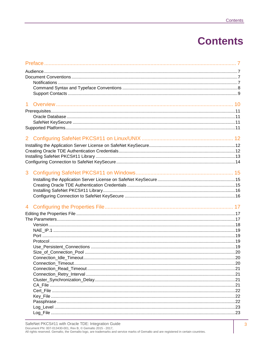## **Contents**

| 1 <sup>1</sup> |  |
|----------------|--|
|                |  |
|                |  |
|                |  |
|                |  |
|                |  |
|                |  |
|                |  |
|                |  |
|                |  |
|                |  |
| 3              |  |
|                |  |
|                |  |
|                |  |
|                |  |
|                |  |
|                |  |
|                |  |
|                |  |
|                |  |
|                |  |
|                |  |
|                |  |
|                |  |
|                |  |
|                |  |
|                |  |
|                |  |
|                |  |
|                |  |
|                |  |
|                |  |
|                |  |
|                |  |
|                |  |
|                |  |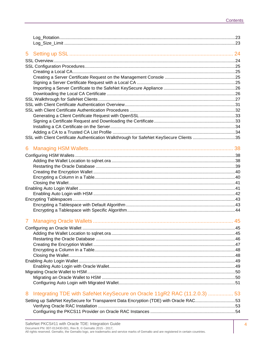|   | SSL with Client Certificate Authentication Walkthrough for SafeNet KeySecure Clients 35 |  |
|---|-----------------------------------------------------------------------------------------|--|
| 6 |                                                                                         |  |
|   |                                                                                         |  |
|   |                                                                                         |  |
|   |                                                                                         |  |
|   |                                                                                         |  |
|   |                                                                                         |  |
|   |                                                                                         |  |
|   |                                                                                         |  |
|   |                                                                                         |  |
|   |                                                                                         |  |
|   |                                                                                         |  |
|   |                                                                                         |  |
|   |                                                                                         |  |
|   |                                                                                         |  |
|   |                                                                                         |  |
|   |                                                                                         |  |
|   |                                                                                         |  |
|   |                                                                                         |  |
|   |                                                                                         |  |
|   |                                                                                         |  |
|   |                                                                                         |  |
|   |                                                                                         |  |
|   |                                                                                         |  |
|   |                                                                                         |  |
|   |                                                                                         |  |
| 8 | Integrating TDE with SafeNet KeySecure on Oracle 11gR2 RAC (11.2.0.3)  53               |  |
|   | Setting up SafeNet KeySecure for Transparent Data Encryption (TDE) with Oracle RAC53    |  |
|   |                                                                                         |  |
|   |                                                                                         |  |
|   |                                                                                         |  |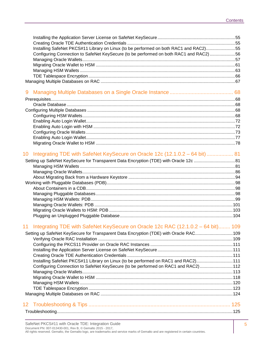| Installing SafeNet PKCS#11 Library on Linux (to be performed on both RAC1 and RAC2)55   |  |
|-----------------------------------------------------------------------------------------|--|
| Configuring Connection to SafeNet KeySecure (to be performed on both RAC1 and RAC2)56   |  |
|                                                                                         |  |
|                                                                                         |  |
|                                                                                         |  |
|                                                                                         |  |
|                                                                                         |  |
| 9                                                                                       |  |
|                                                                                         |  |
|                                                                                         |  |
|                                                                                         |  |
|                                                                                         |  |
|                                                                                         |  |
|                                                                                         |  |
|                                                                                         |  |
|                                                                                         |  |
|                                                                                         |  |
|                                                                                         |  |
| $10-10$<br>Integrating TDE with SafeNet KeySecure on Oracle 12c (12.1.0.2 – 64 bit)  81 |  |
| Setting up SafeNet KeySecure for Transparent Data Encryption (TDE) with Oracle 12c 81   |  |
|                                                                                         |  |
|                                                                                         |  |
|                                                                                         |  |
|                                                                                         |  |
|                                                                                         |  |
|                                                                                         |  |
|                                                                                         |  |
|                                                                                         |  |
|                                                                                         |  |
|                                                                                         |  |
| 11 Integrating TDE with SafeNet KeySecure on Oracle 12c RAC (12.1.0.2 - 64 bit) 109     |  |
| Setting up SafeNet KeySecure for Transparent Data Encryption (TDE) with Oracle RAC109   |  |
|                                                                                         |  |
|                                                                                         |  |
|                                                                                         |  |
|                                                                                         |  |
| Installing SafeNet PKCS#11 Library on Linux (to be performed on RAC1 and RAC2)111       |  |
| Configuring Connection to SafeNet KeySecure (to be performed on RAC1 and RAC2)112       |  |
|                                                                                         |  |
|                                                                                         |  |
|                                                                                         |  |
|                                                                                         |  |
|                                                                                         |  |
|                                                                                         |  |
|                                                                                         |  |
|                                                                                         |  |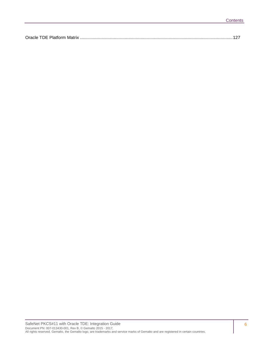| $O$ roolo<br>TDE Platform |
|---------------------------|
|---------------------------|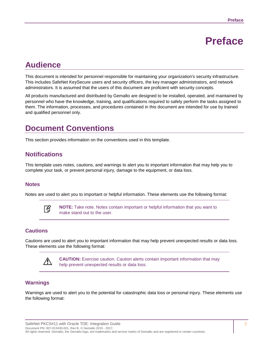## **Preface**

## <span id="page-6-1"></span><span id="page-6-0"></span>**Audience**

This document is intended for personnel responsible for maintaining your organization's security infrastructure. This includes SafeNet KeySecure users and security officers, the key manager administrators, and network administrators. It is assumed that the users of this document are proficient with security concepts.

All products manufactured and distributed by Gemalto are designed to be installed, operated, and maintained by personnel who have the knowledge, training, and qualifications required to safely perform the tasks assigned to them. The information, processes, and procedures contained in this document are intended for use by trained and qualified personnel only.

## <span id="page-6-2"></span>**Document Conventions**

This section provides information on the conventions used in this template.

#### <span id="page-6-3"></span>**Notifications**

This template uses notes, cautions, and warnings to alert you to important information that may help you to complete your task, or prevent personal injury, damage to the equipment, or data loss.

#### **Notes**

Notes are used to alert you to important or helpful information. These elements use the following format:



**NOTE:** Take note. Notes contain important or helpful information that you want to make stand out to the user.

#### **Cautions**

Cautions are used to alert you to important information that may help prevent unexpected results or data loss. These elements use the following format:



**CAUTION:** Exercise caution. Caution alerts contain important information that may help prevent unexpected results or data loss.

#### **Warnings**

Warnings are used to alert you to the potential for catastrophic data loss or personal injury. These elements use the following format: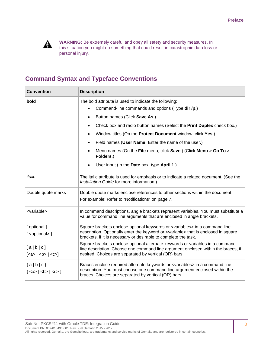

**WARNING:** Be extremely careful and obey all safety and security measures. In this situation you might do something that could result in catastrophic data loss or personal injury*.*

#### <span id="page-7-0"></span>**Command Syntax and Typeface Conventions**

| <b>Convention</b>                                                                                              | <b>Description</b>                                                                                                                                                                                                                                                                                                                                                                                                                                                                                               |  |
|----------------------------------------------------------------------------------------------------------------|------------------------------------------------------------------------------------------------------------------------------------------------------------------------------------------------------------------------------------------------------------------------------------------------------------------------------------------------------------------------------------------------------------------------------------------------------------------------------------------------------------------|--|
| bold                                                                                                           | The bold attribute is used to indicate the following:<br>Command-line commands and options (Type dir /p.)<br>Button names (Click Save As.)<br>$\bullet$<br>Check box and radio button names (Select the Print Duplex check box.)<br>Window titles (On the Protect Document window, click Yes.)<br>Field names (User Name: Enter the name of the user.)<br>$\bullet$<br>Menu names (On the File menu, click Save.) (Click Menu > Go To ><br>$\bullet$<br>Folders.)<br>User input (In the Date box, type April 1.) |  |
| italic                                                                                                         | The italic attribute is used for emphasis or to indicate a related document. (See the<br>Installation Guide for more information.)                                                                                                                                                                                                                                                                                                                                                                               |  |
| Double quote marks                                                                                             | Double quote marks enclose references to other sections within the document.<br>For example: Refer to "Notifications" on page 7.                                                                                                                                                                                                                                                                                                                                                                                 |  |
| <variable></variable>                                                                                          | In command descriptions, angle brackets represent variables. You must substitute a<br>value for command line arguments that are enclosed in angle brackets.                                                                                                                                                                                                                                                                                                                                                      |  |
| [optional]<br>[ <optional>]</optional>                                                                         | Square brackets enclose optional keywords or <variables> in a command line<br/>description. Optionally enter the keyword or <variable> that is enclosed in square<br/>brackets, if it is necessary or desirable to complete the task.</variable></variables>                                                                                                                                                                                                                                                     |  |
| [a b c]<br>$\left[$ <a> <math>\right </math> <br/> <math>\left </math> <br/> <math>\right </math> <c>]</c></a> | Square brackets enclose optional alternate keywords or variables in a command<br>line description. Choose one command line argument enclosed within the braces, if<br>desired. Choices are separated by vertical (OR) bars.                                                                                                                                                                                                                                                                                      |  |
| ${a b c}$<br>${ <a>   <b>   <c>}$                                                                              | Braces enclose required alternate keywords or <variables> in a command line<br/>description. You must choose one command line argument enclosed within the<br/>braces. Choices are separated by vertical (OR) bars.</variables>                                                                                                                                                                                                                                                                                  |  |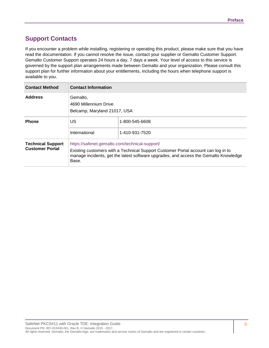#### <span id="page-8-0"></span>**Support Contacts**

If you encounter a problem while installing, registering or operating this product, please make sure that you have read the documentation. If you cannot resolve the issue, contact your supplier or Gemalto Customer Support. Gemalto Customer Support operates 24 hours a day, 7 days a week. Your level of access to this service is governed by the support plan arrangements made between Gemalto and your organization. Please consult this support plan for further information about your entitlements, including the hours when telephone support is available to you.

| <b>Contact Method</b>                              | <b>Contact Information</b>                                        |                                                                                                                                                                           |
|----------------------------------------------------|-------------------------------------------------------------------|---------------------------------------------------------------------------------------------------------------------------------------------------------------------------|
| <b>Address</b>                                     | Gemalto,<br>4690 Millennium Drive<br>Belcamp, Maryland 21017, USA |                                                                                                                                                                           |
| <b>Phone</b>                                       | US<br>International                                               | 1-800-545-6608<br>1-410-931-7520                                                                                                                                          |
| <b>Technical Support</b><br><b>Customer Portal</b> | https://safenet.gemalto.com/technical-support/<br>Base.           | Existing customers with a Technical Support Customer Portal account can log in to<br>manage incidents, get the latest software upgrades, and access the Gemalto Knowledge |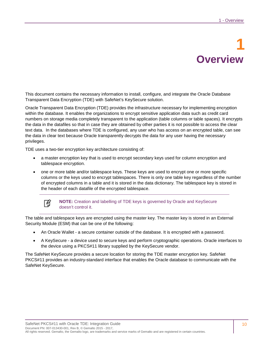# **1 Overview**

<span id="page-9-0"></span>This document contains the necessary information to install, configure, and integrate the Oracle Database Transparent Data Encryption (TDE) with SafeNet's KeySecure solution.

Oracle Transparent Data Encryption (TDE) provides the infrastructure necessary for implementing encryption within the database. It enables the organizations to encrypt sensitive application data such as credit card numbers on storage media completely transparent to the application (table columns or table spaces). It encrypts the data in the datafiles so that in case they are obtained by other parties it is not possible to access the clear text data. In the databases where TDE is configured, any user who has access on an encrypted table, can see the data in clear text because Oracle transparently decrypts the data for any user having the necessary privileges.

TDE uses a two-tier encryption key architecture consisting of:

- a master encryption key that is used to encrypt secondary keys used for column encryption and tablespace encryption.
- one or more table and/or tablespace keys. These keys are used to encrypt one or more specific columns or the keys used to encrypt tablespaces. There is only one table key regardless of the number of encrypted columns in a table and it is stored in the data dictionary. The tablespace key is stored in the header of each datafile of the encrypted tablespace.



**NOTE:** Creation and labelling of TDE keys is governed by Oracle and KeySecure doesn't control it.

The table and tablespace keys are encrypted using the master key. The master key is stored in an External Security Module (ESM) that can be one of the following:

- An Oracle Wallet a secure container outside of the database. It is encrypted with a password.
- A KeySecure a device used to secure keys and perform cryptographic operations. Oracle interfaces to the device using a PKCS#11 library supplied by the KeySecure vendor.

The SafeNet KeySecure provides a secure location for storing the TDE master encryption key. SafeNet PKCS#11 provides an industry-standard interface that enables the Oracle database to communicate with the SafeNet KeySecure.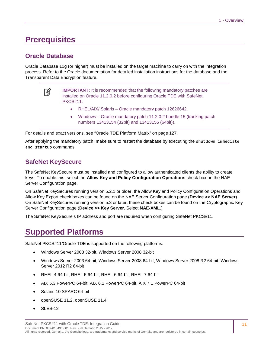### <span id="page-10-0"></span>**Prerequisites**

#### <span id="page-10-1"></span>**Oracle Database**

Oracle Database 11g (or higher) must be installed on the target machine to carry on with the integration process. Refer to the Oracle documentation for detailed installation instructions for the database and the Transparent Data Encryption feature.



**IMPORTANT:** It is recommended that the following mandatory patches are installed on Oracle 11.2.0.2 before configuring Oracle TDE with SafeNet PKCS#11:

- RHEL/AIX/ Solaris Oracle mandatory patch 12626642.
- Windows Oracle mandatory patch 11.2.0.2 bundle 15 (tracking patch numbers 13413154 (32bit) and 13413155 (64bit)).

For details and exact versions, see ["Oracle TDE Platform Matrix"](#page-126-0) [on page 127.](#page-126-0)

After applying the mandatory patch, make sure to restart the database by executing the shutdown immediate and startup commands.

#### <span id="page-10-2"></span>**SafeNet KeySecure**

The SafeNet KeySecure must be installed and configured to allow authenticated clients the ability to create keys. To enable this, select the **Allow Key and Policy Configuration Operations** check box on the NAE Server Configuration page.

On SafeNet KeySecures running version 5.2.1 or older, the Allow Key and Policy Configuration Operations and Allow Key Export check boxes can be found on the NAE Server Configuration page (**Device >> NAE Server**). On SafeNet KeySecures running version 5.3 or later, these check boxes can be found on the Cryptographic Key Server Configuration page (**Device >> Key Server**. Select **NAE-XML**.)

The SafeNet KeySecure's IP address and port are required when configuring SafeNet PKCS#11.

## <span id="page-10-3"></span>**Supported Platforms**

SafeNet PKCS#11/Oracle TDE is supported on the following platforms:

- Windows Server 2003 32-bit, Windows Server 2008 32-bit
- Windows Server 2003 64-bit, Windows Server 2008 64-bit, Windows Server 2008 R2 64-bit, Windows Server 2012 R2 64-bit
- RHEL 4 64-bit, RHEL 5 64-bit, RHEL 6 64-bit, RHEL 7 64-bit
- AIX 5.3 PowerPC 64-bit, AIX 6.1 PowerPC 64-bit, AIX 7.1 PowerPC 64-bit
- Solaris 10 SPARC 64-bit
- openSUSE 11.2, openSUSE 11.4
- SLES-12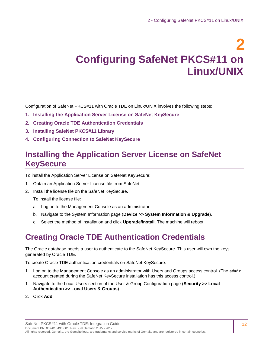## **2 Configuring SafeNet PKCS#11 on Linux/UNIX**

<span id="page-11-0"></span>Configuration of SafeNet PKCS#11 with Oracle TDE on Linux/UNIX involves the following steps:

- **1. [Installing the Application Server License on SafeNet](#page-11-1) KeySecure**
- **2. [Creating Oracle TDE Authentication Credentials](#page-11-2)**
- **3. [Installing SafeNet PKCS#11 Library](#page-12-0)**
- **4. [Configuring Connection to SafeNet](#page-13-0) KeySecure**

## <span id="page-11-1"></span>**Installing the Application Server License on SafeNet KeySecure**

To install the Application Server License on SafeNet KeySecure:

- 1. Obtain an Application Server License file from SafeNet.
- 2. Install the license file on the SafeNet KeySecure.

To install the license file:

- a. Log on to the Management Console as an administrator.
- b. Navigate to the System Information page (**Device >> System Information & Upgrade**).
- c. Select the method of installation and click **Upgrade/Install**. The machine will reboot.

## <span id="page-11-2"></span>**Creating Oracle TDE Authentication Credentials**

The Oracle database needs a user to authenticate to the SafeNet KeySecure. This user will own the keys generated by Oracle TDE.

To create Oracle TDE authentication credentials on SafeNet KeySecure:

- 1. Log on to the Management Console as an administrator with Users and Groups access control. (The admin account created during the SafeNet KeySecure installation has this access control.)
- 1. Navigate to the Local Users section of the User & Group Configuration page (**Security >> Local Authentication >> Local Users & Groups**).
- 2. Click **Add**.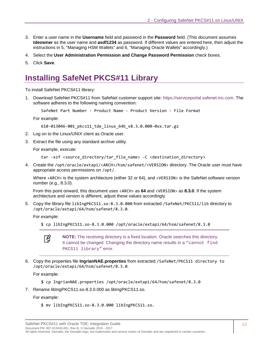- 3. Enter a user name in the **Username** field and password in the **Password** field. (This document assumes **tdeowner** as the user name and **asdf1234** as password. If different values are entered here, then adjust the instructions in [5,](#page-37-3) ["Managing HSM Wallets"](#page-37-0) and [6,](#page-44-3) ["Managing Oracle Wallets"](#page-44-0) accordingly.)
- 4. Select the **User Administration Permission and Change Password Permission** check boxes.
- 5. Click **Save**.

## <span id="page-12-0"></span>**Installing SafeNet PKCS#11 Library**

To install SafeNet PKCS#11 library:

1. Download SafeNet PKCS#11 from SafeNet customer support site: [https://serviceportal.safenet-inc.com.](https://serviceportal.safenet-inc.com/) The software adheres to the following naming convention:

SafeNet Part Number - Product Name - Product Version - File Format

For example:

```
610-013046-001_pkcs11_tde_linux_64b_v8.3.0.000-0xx.tar.gz
```
- 2. Log on to the Linux/UNIX client as Oracle user.
- 3. Extract the file using any standard archive utility.

For example, execute:

```
tar -xzf <source_directory/tar_file_name> -C <destination_directory>
```
4. Create the /opt/oracle/extapi/<ARCH>/hsm/safenet/<VERSION> directory. The Oracle user must have appropriate access permissions on /opt/.

Where <ARCH> is the system architecture (either 32 or 64), and <VERSION> is the SafeNet software version number (e.g., 8.3.0).

From this point onward, this document uses <ARCH> as **64** and <VERSION> as **8.3.0**. If the system architecture and version is different, adjust these values accordingly.

5. Copy the library file libIngPKCS11.so-8.3.0.000 from extracted /SafeNet/PKCS11/lib directory to /opt/oracle/extapi/64/hsm/safenet/8.3.0.

For example:

```
$ cp libIngPKCS11.so-8.3.0.000 /opt/oracle/extapi/64/hsm/safenet/8.3.0
```


**NOTE:** The receiving directory is a fixed location. Oracle searches this directory. It cannot be changed. Changing the directory name results in a "cannot find PKCS11 library" error.

6. Copy the properties file **IngrianNAE.properties** from extracted /SafeNet/PKCS11 directory to /opt/oracle/extapi/64/hsm/safenet/8.3.0.

For example:

- \$ cp IngrianNAE.properties /opt/oracle/extapi/64/hsm/safenet/8.3.0
- 7. Rename libIngPKCS11.so-8.3.0.000 as libIngPKCS11.so.

For example:

\$ mv libIngPKCS11.so-8.3.0.000 libIngPKCS11.so.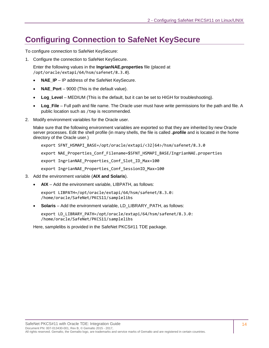## <span id="page-13-0"></span>**Configuring Connection to SafeNet KeySecure**

To configure connection to SafeNet KeySecure:

1. Configure the connection to SafeNet KeySecure.

Enter the following values in the **IngrianNAE.properties** file (placed at /opt/oracle/extapi/64/hsm/safenet/8.3.0).

- **NAE\_IP** IP address of the SafeNet KeySecure.
- **NAE\_Port** 9000 (This is the default value).
- **Log\_Level** MEDIUM (This is the default, but it can be set to HIGH for troubleshooting).
- **Log\_File** Full path and file name. The Oracle user must have write permissions for the path and file. A public location such as /tmp is recommended.
- 2. Modify environment variables for the Oracle user.

Make sure that the following environment variables are exported so that they are inherited by new Oracle server processes. Edit the shell profile (in many shells, the file is called **.profile** and is located in the home directory of the Oracle user.)

export SFNT HSMAPI BASE=/opt/oracle/extapi/<32|64>/hsm/safenet/8.3.0

export NAE Properties Conf Filename=\$SFNT HSMAPI BASE/IngrianNAE.properties

export IngrianNAE Properties Conf Slot ID Max=100

export IngrianNAE\_Properties\_Conf\_SessionID\_Max=100

- 3. Add the environment variable (**AIX and Solaris**).
	- **AIX** Add the environment variable, LIBPATH, as follows:

export LIBPATH=/opt/oracle/extapi/64/hsm/safenet/8.3.0: /home/oracle/SafeNet/PKCS11/samplelibs

• **Solaris** – Add the environment variable, LD\_LIBRARY\_PATH, as follows:

export LD\_LIBRARY\_PATH=/opt/oracle/extapi/64/hsm/safenet/8.3.0: /home/oracle/SafeNet/PKCS11/samplelibs

Here, samplelibs is provided in the SafeNet PKCS#11 TDE package.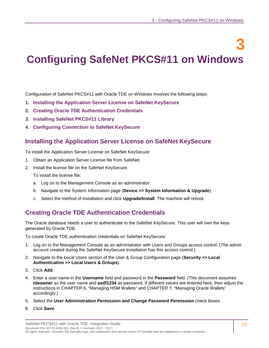<span id="page-14-0"></span>**3 Configuring SafeNet PKCS#11 on Windows**

Configuration of SafeNet PKCS#11 with Oracle TDE on Windows involves the following steps:

- **1. [Installing the Application Server License on SafeNet](#page-14-1) KeySecure**
- **2. [Creating Oracle TDE Authentication Credentials](#page-14-2)**
- **3. [Installing SafeNet PKCS#11 Library](#page-15-0)**
- **4. [Configuring Connection to SafeNet](#page-15-1) KeySecure**

#### <span id="page-14-1"></span>**Installing the Application Server License on SafeNet KeySecure**

To install the Application Server License on SafeNet KeySecure:

- 1. Obtain an Application Server License file from SafeNet.
- 2. Install the license file on the SafeNet KeySecure.

To install the license file:

- a. Log on to the Management Console as an administrator.
- b. Navigate to the System Information page (**Device >> System Information & Upgrade**).
- c. Select the method of installation and click **Upgrade/Install**. The machine will reboot.

#### <span id="page-14-2"></span>**Creating Oracle TDE Authentication Credentials**

The Oracle database needs a user to authenticate to the SafeNet KeySecure. This user will own the keys generated by Oracle TDE.

To create Oracle TDE authentication credentials on SafeNet KeySecure:

- 1. Log on to the Management Console as an administrator with Users and Groups access control. (The admin account created during the SafeNet KeySecure installation has this access control.)
- 2. Navigate to the Local Users section of the User & Group Configuration page (**Security >> Local Authentication >> Local Users & Groups**).
- 3. Click **Add**.
- 4. Enter a user name in the **Username** field and password in the **Password** field. (This document assumes **tdeowner** as the user name and **asdf1234** as password. If different values are entered here, then adjust the instructions in [CHAPTER 6,](#page-37-3) ["Managing HSM Wallets"](#page-37-0) and [CHAPTER 7,](#page-44-3) ["Managing Oracle Wallets"](#page-44-0) accordingly.)
- 5. Select the **User Administration Permission and Change Password Permission** check boxes.
- 6. Click **Save**.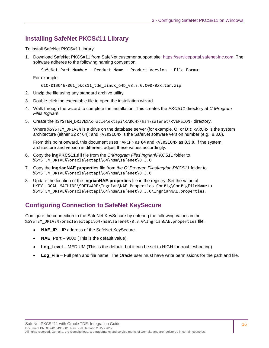#### <span id="page-15-0"></span>**Installing SafeNet PKCS#11 Library**

To install SafeNet PKCS#11 library:

1. Download SafeNet PKCS#11 from SafeNet customer support site: [https://serviceportal.safenet-inc.com.](https://serviceportal.safenet-inc.com/) The software adheres to the following naming convention:

SafeNet Part Number - Product Name - Product Version - File Format

For example:

610-013046-001\_pkcs11\_tde\_linux\_64b\_v8.3.0.000-0xx.tar.zip

- 2. Unzip the file using any standard archive utility.
- 3. Double-click the executable file to open the installation wizard.
- 4. Walk through the wizard to complete the installation. This creates the *PKCS11* directory at *C:\Program Files\Ingrian\*.
- 5. Create the %SYSTEM\_DRIVE%\oracle\extapi\<ARCH>\hsm\safenet\<VERSION> directory.

Where %SYSTEM\_DRIVE% is a drive on the database server (for example, **C:** or **D:**); <ARCH> is the system architecture (either 32 or 64); and <VERSION> is the SafeNet software version number (e.g., 8.3.0).

From this point onward, this document uses <ARCH> as **64** and <VERSION> as **8.3.0**. If the system architecture and version is different, adjust these values accordingly.

- 6. Copy the **ingPKCS11.dll** file from the *C:\Program Files\Ingrian\PKCS11* folder to %SYSTEM\_DRIVE%\oracle\extapi\64\hsm\safenet\8.3.0
- 7. Copy the **IngrianNAE.properties** file from *the C:\Program Files\Ingrian\PKCS11* folder to %SYSTEM\_DRIVE%\oracle\extapi\64\hsm\safenet\8.3.0
- 8. Update the location of the **IngrianNAE.properties** file in the registry. Set the value of HKEY\_LOCAL\_MACHINE\SOFTWARE\Ingrian\NAE\_Properties\_Config\ConfigFileName to %SYSTEM\_DRIVE%\oracle\extapi\64\hsm\safenet\8.3.0\IngrianNAE.properties.

#### <span id="page-15-1"></span>**Configuring Connection to SafeNet KeySecure**

Configure the connection to the SafeNet KeySecure by entering the following values in the %SYSTEM\_DRIVE%\oracle\extapi\64\hsm\safenet\8.3.0\IngrianNAE.properties file.

- **NAE\_IP** IP address of the SafeNet KeySecure.
- **NAE Port** 9000 (This is the default value).
- **Log\_Level** MEDIUM (This is the default, but it can be set to HIGH for troubleshooting).
- **Log File** Full path and file name. The Oracle user must have write permissions for the path and file.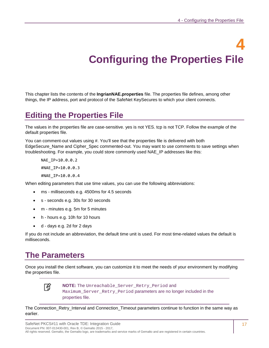# **4 Configuring the Properties File**

<span id="page-16-0"></span>This chapter lists the contents of the **IngrianNAE.properties** file. The properties file defines, among other things, the IP address, port and protocol of the SafeNet KeySecures to which your client connects.

## <span id="page-16-1"></span>**Editing the Properties File**

The values in the properties file are case-sensitive. yes is not YES. tcp is not TCP. Follow the example of the default properties file.

You can comment-out values using #. You'll see that the properties file is delivered with both EdgeSecure\_Name and Cipher\_Spec commented-out. You may want to use comments to save settings when troubleshooting. For example, you could store commonly used NAE\_IP addresses like this:

NAE\_IP=10.0.0.2 #NAE\_IP=10.0.0.3 #NAE\_IP=10.0.0.4

When editing parameters that use time values, you can use the following abbreviations:

- ms milliseconds e.g. 4500ms for 4.5 seconds
- s seconds e.g. 30s for 30 seconds
- m minutes e.g. 5m for 5 minutes
- h hours e.g. 10h for 10 hours
- d days e.g. 2d for 2 days

If you do not include an abbreviation, the default time unit is used. For most time-related values the default is milliseconds.

## <span id="page-16-2"></span>**The Parameters**

Once you install the client software, you can customize it to meet the needs of your environment by modifying the properties file.



**NOTE:** The Unreachable Server Retry Period and Maximum\_Server\_Retry\_Period parameters are no longer included in the properties file.

The Connection\_Retry\_Interval and Connection\_Timeout parameters continue to function in the same way as earlier.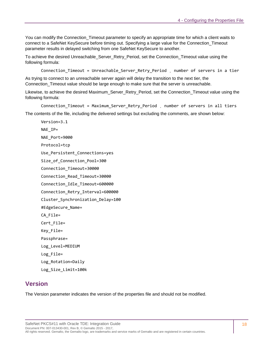You can modify the Connection Timeout parameter to specify an appropriate time for which a client waits to connect to a SafeNet KeySecure before timing out. Specifying a large value for the Connection\_Timeout parameter results in delayed switching from one SafeNet KeySecure to another.

To achieve the desired Unreachable\_Server\_Retry\_Period, set the Connection\_Timeout value using the following formula:

Connection Timeout = Unreachable Server Retry Period , number of servers in a tier

As trying to connect to an unreachable server again will delay the transition to the next tier, the Connection\_Timeout value should be large enough to make sure that the server is unreachable.

Likewise, to achieve the desired Maximum\_Server\_Retry\_Period, set the Connection\_Timeout value using the following formula:

Connection\_Timeout = Maximum\_Server\_Retry\_Period ¸ number of servers in all tiers The contents of the file, including the delivered settings but excluding the comments, are shown below:

Version=3.1 NAE\_IP= NAE Port=9000 Protocol=tcp Use Persistent Connections=yes Size\_of\_Connection\_Pool=300 Connection\_Timeout=30000 Connection\_Read\_Timeout=30000 Connection\_Idle\_Timeout=600000 Connection\_Retry\_Interval=600000 Cluster\_Synchronization\_Delay=100 #EdgeSecure\_Name= CA\_File= Cert\_File= Key\_File= Passphrase= Log\_Level=MEDIUM Log\_File= Log\_Rotation=Daily Log\_Size\_Limit=100k

#### <span id="page-17-0"></span>**Version**

The Version parameter indicates the version of the properties file and should not be modified.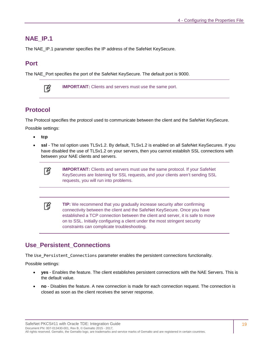#### <span id="page-18-0"></span>**NAE\_IP.1**

The NAE\_IP.1 parameter specifies the IP address of the SafeNet KeySecure.

#### <span id="page-18-1"></span>**Port**

The NAE\_Port specifies the port of the SafeNet KeySecure. The default port is 9000.



**IMPORTANT:** Clients and servers must use the same port.

#### <span id="page-18-2"></span>**Protocol**

The Protocol specifies the protocol used to communicate between the client and the SafeNet KeySecure.

Possible settings:

- **tcp**
- **ssl** The ssl option uses TLSv1.2. By default, TLSv1.2 is enabled on all SafeNet KeySecures. If you have disabled the use of TLSv1.2 on your servers, then you cannot establish SSL connections with between your NAE clients and servers.



**IMPORTANT:** Clients and servers must use the same protocol. If your SafeNet KeySecures are listening for SSL requests, and your clients aren't sending SSL requests, you will run into problems.

冏 **TIP:** We recommend that you gradually increase security after confirming connectivity between the client and the SafeNet KeySecure. Once you have established a TCP connection between the client and server, it is safe to move on to SSL. Initially configuring a client under the most stringent security constraints can complicate troubleshooting.

#### <span id="page-18-3"></span>**Use\_Persistent\_Connections**

The Use\_Persistent\_Connections parameter enables the persistent connections functionality.

Possible settings:

- **yes** Enables the feature. The client establishes persistent connections with the NAE Servers. This is the default value.
- **no** Disables the feature. A new connection is made for each connection request. The connection is closed as soon as the client receives the server response.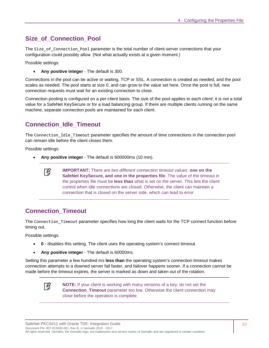#### <span id="page-19-0"></span>**Size\_of\_Connection\_Pool**

The Size\_of\_Connection\_Pool parameter is the total number of client-server connections that your configuration could possibly allow. (Not what actually exists at a given moment.)

Possible settings:

• **Any positive integer** - The default is 300.

Connections in the pool can be active or waiting, TCP or SSL. A connection is created as needed, and the pool scales as needed. The pool starts at size 0, and can grow to the value set here. Once the pool is full, new connection requests must wait for an existing connection to close.

Connection pooling is configured on a per-client basis. The size of the pool applies to each *client*; it is not a total value for a SafeNet KeySecure or for a load balancing group. If there are multiple clients running on the same machine, separate connection pools are maintained for each client.

#### <span id="page-19-1"></span>**Connection\_Idle\_Timeout**

The Connection\_Idle\_Timeout parameter specifies the amount of time connections in the connection pool can remain idle before the client closes them.

Possible settings:

• **Any positive integer** - The default is 600000ms (10 min).



**IMPORTANT:** There are *two different connection timeout values*: **one on the SafeNet KeySecure, and one in the properties file**. The value of the timeout in the properties file must be **less than** what is set on the server. This lets the client control when idle connections are closed. Otherwise, the client can maintain a connection that is closed on the server side, which can lead to error.

#### <span id="page-19-2"></span>**Connection\_Timeout**

The Connection Timeout parameter specifies how long the client waits for the TCP connect function before timing out.

Possible settings:

- **0** disables this setting. The client uses the operating system's connect timeout.
- **Any positive integer** The default is 60000ms.

Setting this parameter a few hundred ms **less than** the operating system's connection timeout makes connection attempts to a downed server fail faster, and failover happens sooner. If a connection cannot be made before the timeout expires, the server is marked as down and taken out of the rotation.



**NOTE:** If your client is working with many versions of a key, do not set the **Connection Timeout** parameter too low. Otherwise the client connection may close before the operation is complete.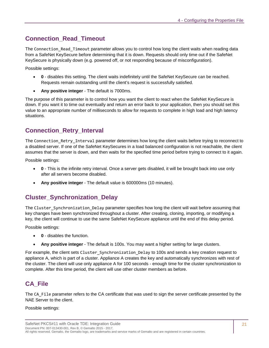#### <span id="page-20-0"></span>**Connection\_Read\_Timeout**

The Connection Read Timeout parameter allows you to control how long the client waits when reading data from a SafeNet KeySecure before determining that it is down. Requests should only time out if the SafeNet KeySecure is physically down (e.g. powered off, or not responding because of misconfiguration).

Possible settings:

- **0** disables this setting. The client waits indefinitely until the SafeNet KeySecure can be reached. Requests remain outstanding until the client's request is successfully satisfied.
- **Any positive integer** The default is 7000ms.

The purpose of this parameter is to control how you want the client to react when the SafeNet KeySecure is down. If you want it to time out eventually and return an error back to your application, then you should set this value to an appropriate number of milliseconds to allow for requests to complete in high load and high latency situations.

#### <span id="page-20-1"></span>**Connection\_Retry\_Interval**

The Connection Retry Interval parameter determines how long the client waits before trying to reconnect to a disabled server. If one of the SafeNet KeySecures in a load balanced configuration is not reachable, the client assumes that the server is down, and then waits for the specified time period before trying to connect to it again.

Possible settings:

- **0** This is the infinite retry interval. Once a server gets disabled, it will be brought back into use only after all servers become disabled.
- **Any positive integer** The default value is 600000ms (10 minutes).

#### <span id="page-20-2"></span>**Cluster\_Synchronization\_Delay**

The Cluster\_Synchronization\_Delay parameter specifies how long the client will wait before assuming that key changes have been synchronized throughout a cluster. After creating, cloning, importing, or modifying a key, the client will continue to use the same SafeNet KeySecure appliance until the end of this delay period.

Possible settings:

- **0** disables the function.
- **Any positive integer** The default is 100s. You may want a higher setting for large clusters.

For example, the client sets Cluster Synchronization Delay to 100s and sends a key creation request to appliance A, which is part of a cluster. Appliance A creates the key and automatically synchronizes with rest of the cluster. The client will use only appliance A for 100 seconds - enough time for the cluster synchronization to complete. After this time period, the client will use other cluster members as before.

#### <span id="page-20-3"></span>**CA\_File**

The CA File parameter refers to the CA certificate that was used to sign the server certificate presented by the NAE Server to the client.

Possible settings: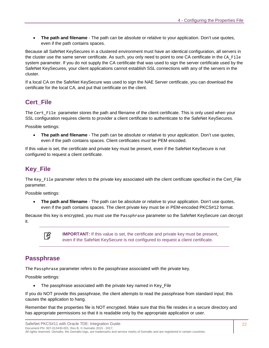• **The path and filename** - The path can be absolute or relative to your application. Don't use quotes, even if the path contains spaces.

Because all SafeNet KeySecures in a clustered environment must have an identical configuration, all servers in the cluster use the same server certificate. As such, you only need to point to one CA certificate in the CA\_File system parameter. If you do not supply the CA certificate that was used to sign the server certificate used by the SafeNet KeySecures, your client applications cannot establish SSL connections with any of the servers in the cluster.

If a local CA on the SafeNet KeySecure was used to sign the NAE Server certificate, you can download the certificate for the local CA, and put that certificate on the client.

#### <span id="page-21-0"></span>**Cert\_File**

The Cert File parameter stores the path and filename of the client certificate. This is only used when your SSL configuration requires clients to provider a client certificate to authenticate to the SafeNet KeySecures.

Possible settings:

• **The path and filename** - The path can be absolute or relative to your application. Don't use quotes, even if the path contains spaces. Client certificates *must* be PEM encoded.

If this value is set, the certificate and private key must be present, even if the SafeNet KeySecure is not configured to request a client certificate.

#### <span id="page-21-1"></span>**Key\_File**

The Key File parameter refers to the private key associated with the client certificate specified in the Cert\_File parameter.

Possible settings:

• **The path and filename** - The path can be absolute or relative to your application. Don't use quotes, even if the path contains spaces. The client private key must be in PEM-encoded PKCS#12 format.

Because this key is encrypted, you must use the Passphrase parameter so the SafeNet KeySecure can decrypt it.



**IMPORTANT:** If this value is set, the certificate and private key must be present, even if the SafeNet KeySecure is not configured to request a client certificate.

#### <span id="page-21-2"></span>**Passphrase**

The Passphrase parameter refers to the passphrase associated with the private key.

Possible settings:

• The passphrase associated with the private key named in Key File

If you do NOT provide this passphrase, the client attempts to read the passphrase from standard input; this causes the application to hang.

Remember that the properties file is NOT encrypted. Make sure that this file resides in a secure directory and has appropriate permissions so that it is readable only by the appropriate application or user.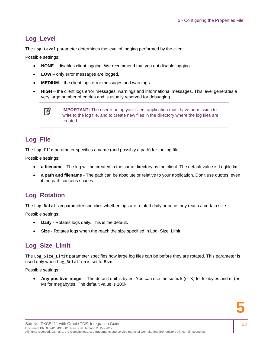#### <span id="page-22-0"></span>**Log\_Level**

The Log\_Level parameter determines the level of logging performed by the client.

Possible settings:

- **NONE** disables client logging. We recommend that you not disable logging.
- **LOW** only error messages are logged.
- **MEDIUM** the client logs error messages and warnings.
- **HIGH** the client logs error messages, warnings and informational messages. This level generates a very large number of entries and is usually reserved for debugging.

**IMPORTANT:** The user running your client application must have permission to write to the log file, and to create new files in the directory where the log files are created.

#### <span id="page-22-1"></span>**Log\_File**

The Log File parameter specifies a name (and possibly a path) for the log file.

Possible settings:

- **a filename** The log will be created in the same directory as the client. The default value is Logfile.txt.
- **a path and filename** The path can be absolute or relative to your application. Don't use quotes, even if the path contains spaces.

#### <span id="page-22-2"></span>**Log\_Rotation**

The Log Rotation parameter specifies whether logs are rotated daily or once they reach a certain size.

Possible settings:

- **Daily** Rotates logs daily. This is the default.
- **Size** Rotates logs when the reach the size specified in Log\_Size\_Limit.

#### <span id="page-22-3"></span>**Log\_Size\_Limit**

The Log Size Limit parameter specifies how large log files can be before they are rotated. This parameter is used only when Log\_Rotation is set to **Size**.

Possible settings:

• **Any positive integer** - The default unit is bytes. You can use the suffix k (or K) for kilobytes and m (or M) for megabytes. The default value is 100k.

冏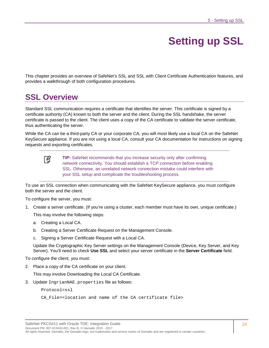## **Setting up SSL**

<span id="page-23-0"></span>This chapter provides an overview of SafeNet's SSL and SSL with Client Certificate Authentication features, and provides a walkthrough of both configuration procedures.

## <span id="page-23-1"></span>**SSL Overview**

Standard SSL communication requires a certificate that identifies the server. This certificate is signed by a certificate authority (CA) known to both the server and the client. During the SSL handshake, the server certificate is passed to the client. The client uses a copy of the CA certificate to validate the server certificate, thus authenticating the server.

While the CA can be a third-party CA or your corporate CA, you will most likely use a local CA on the SafeNet KeySecure appliance. If you are not using a local CA, consult your CA documentation for instructions on signing requests and exporting certificates.



**TIP:** SafeNet recommends that you increase security only after confirming network connectivity. You should establish a TCP connection before enabling SSL. Otherwise, an unrelated network connection mistake could interfere with your SSL setup and complicate the troubleshooting process.

To use an SSL connection when communicating with the SafeNet KeySecure appliance, you must configure both the server and the client.

To configure the server, you must:

1. Create a server certificate. (If you're using a cluster, each member must have its own, unique certificate.)

This may involve the following steps:

- a. [Creating a Local CA.](#page-24-1)
- b. [Creating a Server Certificate Request on the Management Console.](#page-24-2)
- c. [Signing a Server Certificate Request with a Local CA.](#page-24-3)

Update the Cryptographic Key Server settings on the Management Console (Device, Key Server, and Key Server). You'll need to check **Use SSL** and select your server certificate in the **Server Certificate** field.

To configure the client, you must:

2. Place a copy of the CA certificate on your client.

This may involve [Downloading the Local CA Certificate.](#page-25-1)

3. Update IngrianNAE.properties file as follows:

Protocol=ssl

CA\_File=<location and name of the CA certificate file>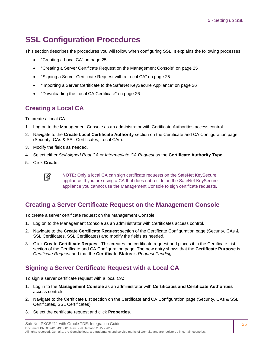## <span id="page-24-0"></span>**SSL Configuration Procedures**

This section describes the procedures you will follow when configuring SSL. It explains the following processes:

- ["Creating a Local CA"](#page-24-1) on page [25](#page-24-1)
- ["Creating a Server Certificate Request on the Management Console"](#page-24-2) on page [25](#page-24-2)
- ["Signing a Server Certificate Request with a Local CA"](#page-24-3) on page [25](#page-24-3)
- ["Importing a Server Certificate to the SafeNet](#page-25-0) KeySecure Appliance" on page [26](#page-25-0)
- ["Downloading the Local CA Certificate"](#page-25-1) on page [26](#page-25-1)

#### <span id="page-24-1"></span>**Creating a Local CA**

To create a local CA:

- 1. Log on to the Management Console as an administrator with Certificate Authorities access control.
- 2. Navigate to the **Create Local Certificate Authority** section on the Certificate and CA Configuration page (Security, CAs & SSL Certificates, Local CAs).
- 3. Modify the fields as needed.
- 4. Select either *Self-signed Root CA* or *Intermediate CA Request* as the **Certificate Authority Type**.
- 5. Click **Create**.

ᢙ

**NOTE:** Only a local CA can sign certificate requests on the SafeNet KeySecure appliance. If you are using a CA that does not reside on the SafeNet KeySecure appliance you cannot use the Management Console to sign certificate requests.

#### <span id="page-24-2"></span>**Creating a Server Certificate Request on the Management Console**

To create a server certificate request on the Management Console:

- 1. Log on to the Management Console as an administrator with Certificates access control.
- 2. Navigate to the **Create Certificate Request** section of the Certificate Configuration page (Security, CAs & SSL Certificates, SSL Certificates) and modify the fields as needed.
- 3. Click **Create Certificate Request**. This creates the certificate request and places it in the Certificate List section of the Certificate and CA Configuration page. The new entry shows that the **Certificate Purpose** is *Certificate Request* and that the **Certificate Status** is *Request Pending*.

#### <span id="page-24-3"></span>**Signing a Server Certificate Request with a Local CA**

To sign a server certificate request with a local CA:

- 1. Log in to the **Management Console** as an administrator with **Certificates and Certificate Authorities** access controls.
- 2. Navigate to the Certificate List section on the Certificate and CA Configuration page (Security, CAs & SSL Certificates, SSL Certificates).
- 3. Select the certificate request and click **Properties**.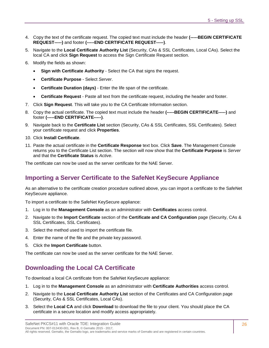- 4. Copy the text of the certificate request. The copied text must include the header **(-----BEGIN CERTIFICATE REQUEST-----)** and footer **(-----END CERTIFICATE REQUEST-----)**.
- 5. Navigate to the **Local Certificate Authority List** (Security, CAs & SSL Certificates, Local CAs). Select the local CA and click **Sign Request** to access the Sign Certificate Request section.
- 6. Modify the fields as shown:
	- **Sign with Certificate Authority Select the CA that signs the request.**
	- **Certificate Purpose** Select *Server*.
	- **Certificate Duration (days)** Enter the life span of the certificate.
	- **Certificate Request** Paste all text from the certificate request, including the header and footer.
- 7. Click **Sign Request**. This will take you to the CA Certificate Information section.
- 8. Copy the actual certificate. The copied text must include the header **(-----BEGIN CERTIFICATE-----)** and footer **(-----END CERTIFICATE-----)**.
- 9. Navigate back to the **Certificate List** section (Security, CAs & SSL Certificates, SSL Certificates). Select your certificate request and click **Properties**.
- 10. Click **Install Certificate**.
- 11. Paste the actual certificate in the **Certificate Response** text box. Click **Save**. The Management Console returns you to the Certificate List section. The section will now show that the **Certificate Purpose** is *Server* and that the **Certificate Status** is *Active*.

The certificate can now be used as the server certificate for the NAE Server.

#### <span id="page-25-0"></span>**Importing a Server Certificate to the SafeNet KeySecure Appliance**

As an alternative to the certificate creation procedure outlined above, you can import a certificate to the SafeNet KeySecure appliance.

To import a certificate to the SafeNet KeySecure appliance:

- 1. Log in to the **Management Console** as an administrator with **Certificates** access control.
- 2. Navigate to the **Import Certificate** section of the **Certificate and CA Configuration** page (Security, CAs & SSL Certificates, SSL Certificates).
- 3. Select the method used to import the certificate file.
- 4. Enter the name of the file and the private key password.
- 5. Click the **Import Certificate** button.

The certificate can now be used as the server certificate for the NAE Server.

#### <span id="page-25-1"></span>**Downloading the Local CA Certificate**

To download a local CA certificate from the SafeNet KeySecure appliance:

- 1. Log in to the **Management Console** as an administrator with **Certificate Authorities** access control.
- 2. Navigate to the **Local Certificate Authority List** section of the Certificates and CA Configuration page (Security, CAs & SSL Certificates, Local CAs).
- 3. Select the **Local CA** and click **Download** to download the file to your client. You should place the CA certificate in a secure location and modify access appropriately.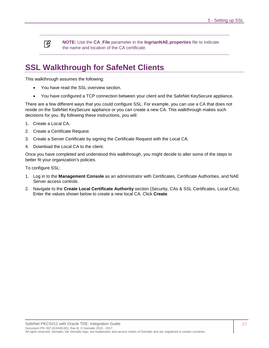冏

**NOTE:** Use the **CA\_File** parameter in the **IngrianNAE.properties** file to indicate the name and location of the CA certificate.

## <span id="page-26-0"></span>**SSL Walkthrough for SafeNet Clients**

This walkthrough assumes the following:

- You have read the SSL overview section.
- You have configured a TCP connection between your client and the SafeNet KeySecure appliance.

There are a few different ways that you could configure SSL. For example, you can use a CA that does not reside on the SafeNet KeySecure appliance or you can create a new CA. This walkthrough makes such decisions for you. By following these instructions, you will:

- 1. Create a Local CA.
- 2. Create a Certificate Request.
- 3. Create a Server Certificate by signing the Certificate Request with the Local CA.
- 4. Download the Local CA to the client.

Once you have completed and understood this walkthrough, you might decide to alter some of the steps to better fit your organization's policies.

To configure SSL:

- 1. Log in to the **Management Console** as an administrator with Certificates, Certificate Authorities, and NAE Server access controls.
- 2. Navigate to the **Create Local Certificate Authority** section (Security, CAs & SSL Certificates, Local CAs). Enter the values shown below to create a new local CA. Click **Create**.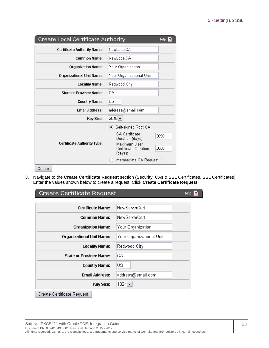| <b>Create Local Certificate Authority</b> | Help.                                                                                                                                                            |
|-------------------------------------------|------------------------------------------------------------------------------------------------------------------------------------------------------------------|
| <b>Certificate Authority Name:</b>        | NewLocalCA                                                                                                                                                       |
| <b>Common Name:</b>                       | NewLocalCA                                                                                                                                                       |
| <b>Organization Name:</b>                 | Your Organization                                                                                                                                                |
| <b>Organizational Unit Name:</b>          | Your Organizational Unit                                                                                                                                         |
| <b>Locality Name:</b>                     | Redwood City                                                                                                                                                     |
| <b>State or Province Name:</b>            | СA                                                                                                                                                               |
| <b>Country Name:</b>                      | US                                                                                                                                                               |
| <b>Email Address:</b>                     | address@email.com                                                                                                                                                |
| <b>Key Size:</b>                          | $2048 -$                                                                                                                                                         |
| <b>Certificate Authority Type:</b>        | ● Self-signed Root CA<br>CA Certificate<br>3650<br>Duration (days):<br>Maximum User<br>3650<br><b>Certificate Duration</b><br>(days):<br>Intermediate CA Request |
| Create                                    |                                                                                                                                                                  |

3. Navigate to the **Create Certificate Request** section (Security, CAs & SSL Certificates, SSL Certificates). Enter the values shown below to create a request. Click **Create Certificate Request**.

| Create Certificate Request        |                          | Help |
|-----------------------------------|--------------------------|------|
| <b>Certificate Name:</b>          | NewServerCert            |      |
| <b>Common Name:</b>               | NewServerCert            |      |
| <b>Organization Name:</b>         | Your Organization        |      |
| <b>Organizational Unit Name:</b>  | Your Organizational Unit |      |
| <b>Locality Name:</b>             | Redwood City             |      |
| <b>State or Province Name:</b>    | CA.                      |      |
| <b>Country Name:</b>              | US                       |      |
| <b>Email Address:</b>             | address@email.com        |      |
| <b>Key Size:</b>                  | $1024 -$                 |      |
| <b>Create Certificate Request</b> |                          |      |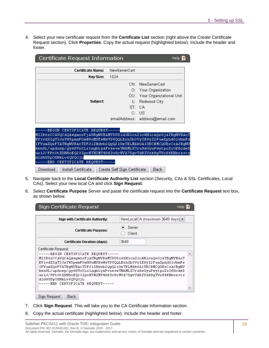4. Select your new certificate request from the **Certificate List** section (right above the Create Certificate Request section). Click **Properties**. Copy the actual request (highlighted below). Include the header and footer.

| Certificate Request Information<br><b>Help</b>                                                                                                                                                                                                                                                                                                                                                               |                              |                                 |
|--------------------------------------------------------------------------------------------------------------------------------------------------------------------------------------------------------------------------------------------------------------------------------------------------------------------------------------------------------------------------------------------------------------|------------------------------|---------------------------------|
| <b>Certificate Name:</b>                                                                                                                                                                                                                                                                                                                                                                                     | NewServerCert                |                                 |
| Key Size:                                                                                                                                                                                                                                                                                                                                                                                                    | 1024                         |                                 |
|                                                                                                                                                                                                                                                                                                                                                                                                              | CN <sup>.</sup>              | <b>NewServerCert</b>            |
|                                                                                                                                                                                                                                                                                                                                                                                                              |                              | O: Your Organization            |
|                                                                                                                                                                                                                                                                                                                                                                                                              |                              | OU: Your Organizational Unit    |
| Subject:                                                                                                                                                                                                                                                                                                                                                                                                     | Ŀ.                           | Redwood City                    |
|                                                                                                                                                                                                                                                                                                                                                                                                              | ST.                          | СA                              |
|                                                                                                                                                                                                                                                                                                                                                                                                              | C.                           | - US                            |
|                                                                                                                                                                                                                                                                                                                                                                                                              |                              | emailAddress: address@email.com |
| -BEGIN CERTIFICATE REQUEST-----<br>MIIB6zCCAVQCAQAwqaoxFjAUBqNVBAMTDU51d1N1cnZ1ckN1cnQxGjAYBqNVBAoT<br>EVlvdXIgT3JnYW5pemF0aW9uMSEwHwYDVQQLExhZb3VyIE9yZ2FuaXphdGlvbmFs <br>IFVuaXQxFTATBqNVBAcTDFJ1ZHdvb2QqQ21OeTELMAkGA1UECBMCQOExCzAJBqNV<br>ken9L/updosp/gy68Yv2Lx1ngbLyAFvze+eTNkMLX7ru9sGyuPwytpoXiOf8cdeD<br>ux1J/PPtOtXDN8oEQ23ZpcHTHZMY49fZvScWVA75gvTdRZVzk9gTVoS4KBboz+tz<br>d1d4USpO5NkLv6QVQOjL |                              |                                 |
| --END CERTIFICATE REQUEST----                                                                                                                                                                                                                                                                                                                                                                                |                              |                                 |
| Download<br>Install Certificate                                                                                                                                                                                                                                                                                                                                                                              | Create Self Sign Certificate | Back                            |

- 5. Navigate back to the **Local Certificate Authority List** section (Security, CAs & SSL Certificates, Local CAs). Select your new local CA and click **Sign Request**.
- 6. Select **Certificate Purpose** *Server* and paste the certificate request into the **Certificate Request** text box, as shown below.

| NewLocalCA (maximum 3649 days) ▼                                                                                                                                                                                                                                                                                                                 |
|--------------------------------------------------------------------------------------------------------------------------------------------------------------------------------------------------------------------------------------------------------------------------------------------------------------------------------------------------|
| Server<br>Client                                                                                                                                                                                                                                                                                                                                 |
| 3649                                                                                                                                                                                                                                                                                                                                             |
| MIIB6zCCAVQCAQAwqaoxFjAUBqNVBAMTDU51d1N1cnZ1ckN1cnQxGjAYBqNVBAoT<br>EV1vdXIqT3JnYW5pemF0aW9uMSEwHwYDVQQLExhZb3VvIE9vZ2FuaXphdG1vbmFs<br>IFVuaXQxFTATBqNVBAcTDFJ1ZHdvb2QqQ210eTELMAkGA1UECBMCQ0ExCzAJBqNV<br>ken9L/updosp/qy68Yv2Lx1ngbLyAFvze+eTNkMLX7ru9sGyuPwytpoXiOf8cdeD<br>ux1J/PPtOtXDN8oEQ23ZpcHTHZMY49fZvScWVA75gvTdRZVzk9gTVoS4KBboz+tz |
|                                                                                                                                                                                                                                                                                                                                                  |

- 7. Click **Sign Request**. This will take you to the CA Certificate Information section.
- 8. Copy the actual certificate (highlighted below). Include the header and footer.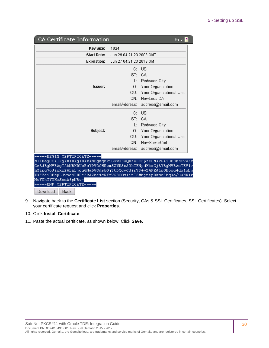| <b>Key Size:</b><br><b>Start Date:</b><br><b>Expiration:</b><br><b>Issuer:</b>                                                                                                                                                                                                                                                                          | 1024<br>Jun 29 04:21:23 2008 GMT<br>Jun 27 04:21:23 2018 GMT<br>C:<br>$\mathrm{ST}_{1}$ .<br>O: . | - US<br>CA.<br>L: Redwood City<br>Your Organization |
|---------------------------------------------------------------------------------------------------------------------------------------------------------------------------------------------------------------------------------------------------------------------------------------------------------------------------------------------------------|---------------------------------------------------------------------------------------------------|-----------------------------------------------------|
|                                                                                                                                                                                                                                                                                                                                                         |                                                                                                   |                                                     |
|                                                                                                                                                                                                                                                                                                                                                         |                                                                                                   |                                                     |
|                                                                                                                                                                                                                                                                                                                                                         |                                                                                                   |                                                     |
|                                                                                                                                                                                                                                                                                                                                                         |                                                                                                   |                                                     |
|                                                                                                                                                                                                                                                                                                                                                         |                                                                                                   |                                                     |
|                                                                                                                                                                                                                                                                                                                                                         |                                                                                                   |                                                     |
|                                                                                                                                                                                                                                                                                                                                                         |                                                                                                   |                                                     |
|                                                                                                                                                                                                                                                                                                                                                         |                                                                                                   | OU: Your Organizational Unit                        |
|                                                                                                                                                                                                                                                                                                                                                         | CN:                                                                                               | NewLocalCA                                          |
|                                                                                                                                                                                                                                                                                                                                                         | emailAddress:                                                                                     | address@email.com                                   |
|                                                                                                                                                                                                                                                                                                                                                         |                                                                                                   | $C:$ US                                             |
|                                                                                                                                                                                                                                                                                                                                                         |                                                                                                   | ST: CA                                              |
|                                                                                                                                                                                                                                                                                                                                                         | L:                                                                                                | Redwood City                                        |
| Subject:                                                                                                                                                                                                                                                                                                                                                |                                                                                                   | O: Your Organization                                |
|                                                                                                                                                                                                                                                                                                                                                         | OU: I                                                                                             | Your Organizational Unit                            |
|                                                                                                                                                                                                                                                                                                                                                         | CN: I                                                                                             | NewServerCert                                       |
|                                                                                                                                                                                                                                                                                                                                                         | emailAddress:                                                                                     | address@email.com                                   |
| -BEGIN CERTIFICATE----<br>MIIDajCCA1KgAwIBAgIBAzANBgkqhkiG9w0BAQUFADCBpzELMAkGA1UEBhMCVVMx<br>CzAJBgNVBAgTARNBMRUwEwYDVQQHEwxSZWR3b29kIENpdHkxGjAYBgNVBAoTEV1v<br>hSirg7oJixkzE6LALjoqGNaDWOdsbGj3tDQgvCdir73+yS4FKJLpGHooq4dq1gbb<br>X3FZeiDPspLJvae4DWPeZRJZbe4cRYsVGBCOs1irT5MbjntpDkse3hq3a/uAMR1r<br>NwYOkIYOHoSbaA6pN8w=<br>---END CERTIFICATE--- |                                                                                                   |                                                     |

- 9. Navigate back to the **Certificate List** section (Security, CAs & SSL Certificates, SSL Certificates). Select your certificate request and click **Properties**.
- 10. Click **Install Certificate**.
- 11. Paste the actual certificate, as shown below. Click **Save**.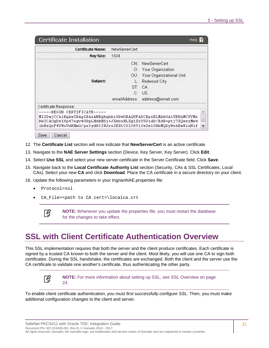| <b>Certificate Name:</b>                                         | NewServerCert |                                                                  |  |
|------------------------------------------------------------------|---------------|------------------------------------------------------------------|--|
| <b>Key Size:</b>                                                 | 1024          |                                                                  |  |
|                                                                  |               | CN: NewServerCert                                                |  |
|                                                                  |               | O: Your Organization                                             |  |
|                                                                  |               | OU: Your Organizational Unit                                     |  |
| Subject:                                                         |               | $L:$ Redwood City                                                |  |
|                                                                  |               | ST: CA                                                           |  |
|                                                                  |               | C: US                                                            |  |
|                                                                  |               | emailAddress: address@email.com                                  |  |
| Certificate Response:                                            |               |                                                                  |  |
| ---BEGIN CERTIFICATE-----                                        |               |                                                                  |  |
| MIIDajCCA1KqAwIBAqIBAzANBqkqhkiG9wOBAQUFADCBpzELMAkGA1UEBhMCVVMx |               |                                                                  |  |
|                                                                  |               | ReICAOgDsISp47xgv4G9pLHdkHSj+JXebxHLXg1XzY5OidD/EdB+ptj7XQwzzMew |  |

- 12. The **Certificate List** section will now indicate that **NewServerCert** is an active certificate.
- 13. Navigate to the **NAE Server Settings** section (Device, Key Server, Key Server). Click **Edit**.
- 14. Select **Use SSL** and select your new server certificate in the Server Certificate field. Click **Save**.
- 15. Navigate back to the **Local Certificate Authority List** section (Security, CAs & SSL Certificates, Local CAs). Select your new **CA** and click **Download**. Place the CA certificate in a secure directory on your client.
- 16. Update the following parameters in your IngrianNAE.properties file:
	- Protocol=ssl
	- CA\_File=<path to CA cert>\localca.crt



**NOTE:** Whenever you update the properties file, you must restart the database for the changes to take effect.

### <span id="page-30-0"></span>**SSL with Client Certificate Authentication Overview**

This SSL implementation requires that both the server and the client produce certificates. Each certificate is signed by a trusted CA known to both the server and the client. Most likely, you will use one CA to sign both certificates. During the SSL handshake, the certificates are exchanged. Both the client and the server use the CA certificate to validate one another's certificate, thus authenticating the other party.



**NOTE:** For more information about setting up SSL, see [SSL Overview](#page-23-1) [on page](#page-23-1)  [24.](#page-23-1) 

To enable client certificate authentication, *you must first successfully configure SSL*. Then, you must make additional configuration changes to the client and server.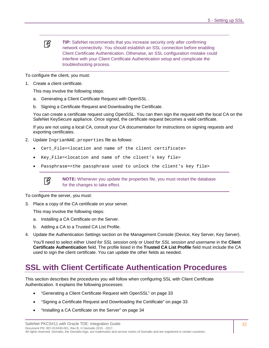## 冏

**TIP:** SafeNet recommends that you increase security *only after* confirming network connectivity. You should establish an SSL connection before enabling Client Certificate Authentication. Otherwise, an SSL configuration mistake could interfere with your Client Certificate Authentication setup and complicate the troubleshooting process.

To configure the client, you must:

1. Create a client certificate.

This may involve the following steps:

- a. [Generating a Client Certificate Request with OpenSSL .](#page-32-0)
- b. [Signing a Certificate Request and Downloading the Certificate.](#page-32-1)

You can create a certificate request using OpenSSL. You can then sign the request with the local CA on the SafeNet KeySecure appliance. Once signed, the certificate request becomes a valid certificate.

If you are not using a local CA, consult your CA documentation for instructions on signing requests and exporting certificates.

- 2. Update IngrianNAE.properties file as follows:
	- Cert\_File=<location and name of the client certificate>
	- Key\_File=<location and name of the client's key file>
	- Passphrase=<the passphrase used to unlock the client's key file>



**NOTE:** Whenever you update the properties file, you must restart the database for the changes to take effect.

To configure the server, you must:

3. Place a copy of the CA certificate on your server.

This may involve the following steps:

- a. [Installing a CA Certificate on the Server.](#page-33-0)
- b. [Adding a CA to a Trusted CA List Profile.](#page-33-1)
- 4. Update the Authentication Settings section on the Management Console (Device, Key Server, Key Server).

You'll need to select either *Used for SSL session only* or *Used for SSL session and username* in the **Client Certificate Authentication** field. The profile listed in the **Trusted CA List Profile** field must include the CA used to sign the client certificate. You can update the other fields as needed.

### <span id="page-31-0"></span>**SSL with Client Certificate Authentication Procedures**

This section describes the procedures you will follow when configuring SSL with Client Certificate Authentication. It explains the following processes:

- ["Generating a Client Certificate Request with OpenSSL"](#page-32-0) on page [33](#page-32-0)
- ["Signing a Certificate Request and Downloading the Certificate"](#page-32-1) on page [33](#page-32-1)
- ["Installing a CA Certificate on the Server"](#page-33-0) on page [34](#page-33-0)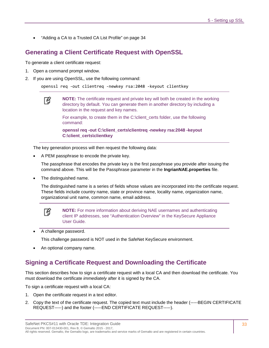• ["Adding a CA to a Trusted CA List Profile"](#page-33-1) on page [34](#page-33-1)

#### <span id="page-32-0"></span>**Generating a Client Certificate Request with OpenSSL**

To generate a client certificate request:

1. Open a command prompt window.

冏

2. If you are using OpenSSL, use the following command:

openssl req -out clientreq -newkey rsa:2048 -keyout clientkey

**NOTE:** The certificate request and private key will both be created in the working directory by default. You can generate them in another directory by including a location in the request and key names.

For example, to create them in the C:\client\_certs folder, use the following command:

**openssl req -out C:\client\_certs\clientreq -newkey rsa:2048 -keyout C:\client\_certs\clientkey**

The key generation process will then request the following data:

• A PEM passphrase to encode the private key.

The passphrase that encodes the private key is the first passphrase you provide after issuing the command above. This will be the Passphrase parameter in the **IngrianNAE.properties** file.

• The distinguished name.

The distinguished name is a series of fields whose values are incorporated into the certificate request. These fields include country name, state or province name, locality name, organization name, organizational unit name, common name, email address.



**NOTE:** For more information about deriving NAE usernames and authenticating client IP addresses, see "Authentication Overview" in the KeySecure Appliance User Guide.

• A challenge password.

This challenge password is NOT used in the SafeNet KeySecure environment.

• An optional company name.

#### <span id="page-32-1"></span>**Signing a Certificate Request and Downloading the Certificate**

This section describes how to sign a certificate request with a local CA and then download the certificate. You must download the certificate *immediately* after it is signed by the CA.

To sign a certificate request with a local CA:

- 1. Open the certificate request in a text editor.
- 2. Copy the text of the certificate request. The copied text must include the header (-----BEGIN CERTIFICATE REQUEST-----) and the footer (-----END CERTIFICATE REQUEST-----).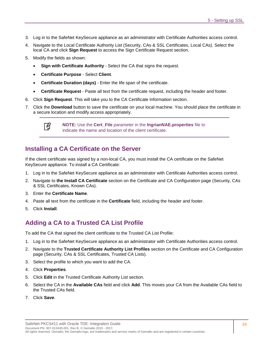- 3. Log in to the SafeNet KeySecure appliance as an administrator with Certificate Authorities access control.
- 4. Navigate to the Local Certificate Authority List (Security, CAs & SSL Certificates, Local CAs). Select the local CA and click **Sign Request** to access the Sign Certificate Request section.
- 5. Modify the fields as shown:
	- **Sign with Certificate Authority** Select the CA that signs the request.
	- **Certificate Purpose** Select **Client**.
	- **Certificate Duration (days)** Enter the life span of the certificate.
	- **Certificate Request** Paste all text from the certificate request, including the header and footer.
- 6. Click **Sign Request**. This will take you to the CA Certificate Information section.
- 7. Click the **Download** button to save the certificate on your local machine. You should place the certificate in a secure location and modify access appropriately.



**NOTE:** Use the **Cert\_File** parameter in the **IngrianNAE.properties** file to indicate the name and location of the client certificate.

#### <span id="page-33-0"></span>**Installing a CA Certificate on the Server**

If the client certificate was signed by a non-local CA, you must install the CA certificate on the SafeNet KeySecure appliance. To install a CA Certificate:

- 1. Log in to the SafeNet KeySecure appliance as an administrator with Certificate Authorities access control.
- 2. Navigate to **the Install CA Certificate** section on the Certificate and CA Configuration page (Security, CAs & SSL Certificates, Known CAs).
- 3. Enter the **Certificate Name**.
- 4. Paste all text from the certificate in the **Certificate** field, including the header and footer.
- 5. Click **Install**.

#### <span id="page-33-1"></span>**Adding a CA to a Trusted CA List Profile**

To add the CA that signed the client certificate to the Trusted CA List Profile:

- 1. Log in to the SafeNet KeySecure appliance as an administrator with Certificate Authorities access control.
- 2. Navigate to the **Trusted Certificate Authority List Profiles** section on the Certificate and CA Configuration page (Security, CAs & SSL Certificates, Trusted CA Lists).
- 3. Select the profile to which you want to add the CA.
- 4. Click **Properties**.
- 5. Click **Edit** in the Trusted Certificate Authority List section.
- 6. Select the CA in the **Available CAs** field and click **Add**. This moves your CA from the Available CAs field to the Trusted CAs field.
- 7. Click **Save**.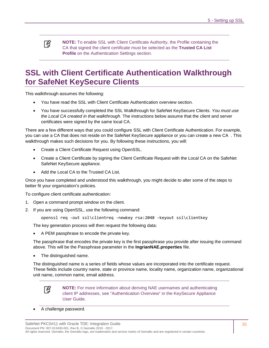冏 **NOTE:** To enable SSL with Client Certificate Authority, the Profile containing the CA that signed the client certificate must be selected as the **Trusted CA List Profile** on the Authentication Settings section.

## <span id="page-34-0"></span>**SSL with Client Certificate Authentication Walkthrough for SafeNet KeySecure Clients**

This walkthrough assumes the following:

- You have read the SSL with Client Certificate Authentication overview section.
- You have successfully completed the SSL Walkthrough for SafeNet KeySecure Clients. *You must use the Local CA created in that walkthrough.* The instructions below assume that the client and server certificates were signed by the same local CA.

There are a few different ways that you could configure SSL with Client Certificate Authentication. For example, you can use a CA that does not reside on the SafeNet KeySecure appliance or you can create a new CA . This walkthrough makes such decisions for you. By following these instructions, you will:

- Create a Client Certificate Request using OpenSSL.
- Create a Client Certificate by signing the Client Certificate Request with the Local CA on the SafeNet SafeNet KeySecure appliance.
- Add the Local CA to the Trusted CA List.

Once you have completed and understood this walkthrough, you might decide to alter some of the steps to better fit your organization's policies.

To configure client certificate authentication:

- 1. Open a command prompt window on the client.
- 2. If you are using OpenSSL, use the following command:

openssl req -out ssl\clientreq -newkey rsa:2048 -keyout ssl\clientkey

The key generation process will then request the following data:

• A PEM passphrase to encode the private key.

The passphrase that encodes the private key is the first passphrase you provide after issuing the command above. This will be the Passphrase parameter in the **IngrianNAE.properties** file.

• The distinguished name.

The distinguished name is a series of fields whose values are incorporated into the certificate request. These fields include country name, state or province name, locality name, organization name, organizational unit name, common name, email address.



**NOTE:** For more information about deriving NAE usernames and authenticating client IP addresses, see "Authentication Overview" in the KeySecure Appliance User Guide.

• A challenge password.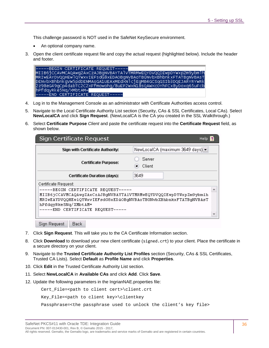This challenge password is NOT used in the SafeNet KeySecure environment.

- An optional company name.
- 3. Open the client certificate request file and copy the actual request (highlighted below). Include the header and footer.

| -----BEGIN CERTIFICATE REQUEST-----                               |
|-------------------------------------------------------------------|
| MIIB6jCCAVMCAQAwqZAxCzAJBqNVBAYTA]VTMRMwEQYDVQQIEwpDYWxpZm9ybmlh  |
| MRIWEAYDVQQHEW]QYWXVIEFsdG8xEDAOBqNVBAoTB0NvbXBhbnkxFTATBqNVBAsT  |
| DENvbXBhbnkqVW5pdDENMAsGA1UEAxMEdXNlcjEqMB4GCSqGSIb3DQEJARYRYWRk  |
| 2z98eG49qCp4dabTC2C2XFfmowohg/8uEP2WxN18sQAWXcOYhFCx8yDoxq65uFcbl |
| ⊪hPfdqyRkẽ5Nq/xMbtAM=                                             |
| H-----END CERTIFICATE REQUEST-----                                |

- 4. Log in to the Management Console as an administrator with Certificate Authorities access control.
- 5. Navigate to the Local Certificate Authority List section (Security, CAs & SSL Certificates, Local CAs). Select **NewLocalCA** and click **Sign Request**. (NewLocalCA is the CA you created in the SSL Walkthrough.)
- 6. Select **Certificate Purpose** *Client* and paste the certificate request into the **Certificate Request** field, as shown below.

| Sign Certificate Request                                                                                                                                                                                                                 | <b>Help</b>                      |
|------------------------------------------------------------------------------------------------------------------------------------------------------------------------------------------------------------------------------------------|----------------------------------|
| Sign with Certificate Authority:                                                                                                                                                                                                         | NewLocalCA (maximum 3649 daγs) ▼ |
| <b>Certificate Purpose:</b>                                                                                                                                                                                                              | Server<br><b>Client</b>          |
| Certificate Duration (days):                                                                                                                                                                                                             | 3649                             |
| Certificate Request:                                                                                                                                                                                                                     |                                  |
| -----BEGIN CERTIFICATE REQUEST-----<br>MIIB6jCCAVMCAQAwqZAxCzAJBqNVBAYTA1VTMRMwEQYDVQQIEwpDYWxpZm9ybmlh<br>MRIwEAYDVQQHEw1QYWxvIEFsdG8xEDAOBgNVBAoTBONvbXBhbnkxFTATBgNVBAsT<br>hPfdqyRke5Nq/XMbtAM=<br>-----END CERTIFICATE REQUEST----- |                                  |

-Sign Request │ Back

- 7. Click **Sign Request**. This will take you to the CA Certificate Information section.
- 8. Click **Download** to download your new client certificate (signed.crt) to your client. Place the certificate in a secure directory on your client.
- 9. Navigate to the **Trusted Certificate Authority List Profiles** section (Security, CAs & SSL Certificates, Trusted CA Lists). Select **Default** as **Profile Name** and click **Properties**.
- 10. Click **Edit** in the Trusted Certificate Authority List section.
- 11. Select **NewLocalCA** in **Available CAs** and click **Add**. Click **Save**.
- 12. Update the following parameters in the IngrianNAE.properties file:

Cert\_File=<path to client cert>\client.crt

Key\_File=<path to client key>\clientkey

Passphrase=<the passphrase used to unlock the client's key file>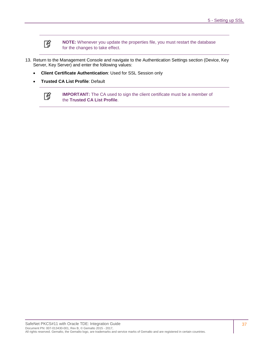

**NOTE:** Whenever you update the properties file, you must restart the database for the changes to take effect.

- 13. Return to the Management Console and navigate to the Authentication Settings section (Device, Key Server, Key Server) and enter the following values:
	- **Client Certificate Authentication**: Used for SSL Session only
	- **Trusted CA List Profile**: Default



**IMPORTANT:** The CA used to sign the client certificate must be a member of the **Trusted CA List Profile**.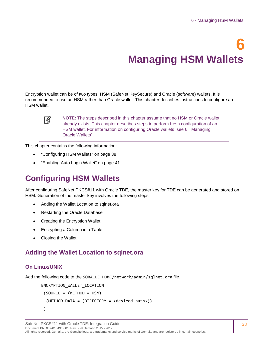# **6 Managing HSM Wallets**

<span id="page-37-3"></span><span id="page-37-2"></span>Encryption wallet can be of two types: HSM (SafeNet KeySecure) and Oracle (software) wallets. It is recommended to use an HSM rather than Oracle wallet. This chapter describes instructions to configure an HSM wallet.

冏

**NOTE:** The steps described in this chapter assume that no HSM or Oracle wallet already exists. This chapter describes steps to perform fresh configuration of an HSM wallet. For information on configuring Oracle wallets, see [6,](#page-44-0) ["Managing](#page-44-1)  [Oracle Wallets"](#page-44-1).

This chapter contains the following information:

- ["Configuring HSM Wallets"](#page-37-0) on page [38](#page-37-0)
- ["Enabling Auto Login Wallet"](#page-40-0) on page [41](#page-40-0)

# <span id="page-37-0"></span>**Configuring HSM Wallets**

After configuring SafeNet PKCS#11 with Oracle TDE, the master key for TDE can be generated and stored on HSM. Generation of the master key involves the following steps:

- [Adding the Wallet Location to sqlnet.ora](#page-37-1)
- [Restarting the Oracle Database](#page-38-0)
- [Creating the Encryption Wallet](#page-39-0)
- [Encrypting a Column in a Table](#page-39-1)
- [Closing the Wallet](#page-40-1)

## <span id="page-37-1"></span>**Adding the Wallet Location to sqlnet.ora**

#### **On Linux/UNIX**

Add the following code to the \$ORACLE\_HOME/network/admin/sqlnet.ora file.

```
ENCRYPTION_WALLET_LOCATION = 
(SOURCE = (METHOD = HSM))(METHOD DATA = (DIRECTORY = <desired path>))
)
```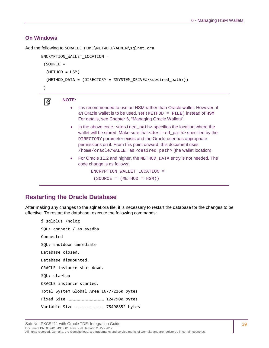#### **On Windows**

Add the following to \$ORACLE\_HOME\NETWORK\ADMIN\sqlnet.ora.

```
ENCRYPTION WALLET LOCATION =
 (SOURCE = 
   (METHOD = HSM)
   (METHOD_DATA = (DIRECTORY = %SYSTEM_DRIVE%\<desired_path>))
 )
```

```
冏
```
#### **NOTE:**

- It is recommended to use an HSM rather than Oracle wallet. However, if an Oracle wallet is to be used, set (METHOD = **FILE**) instead of **HSM**. For details, see Chapter [6,](#page-44-0) ["Managing Oracle Wallets"](#page-44-1).
- In the above code, <desired\_path> specifies the location where the wallet will be stored. Make sure that <desired\_path> specified by the DIRECTORY parameter exists and the Oracle user has appropriate permissions on it. From this point onward, this document uses /home/oracle/WALLET as <desired\_path> (the wallet location).
- For Oracle 11.2 and higher, the METHOD\_DATA entry is not needed. The code change is as follows:

```
ENCRYPTION_WALLET_LOCATION = 
 (SOURCE = (METHOD = HSM))
```

```
Restarting the Oracle Database
```
After making any changes to the sqlnet.ora file, it is necessary to restart the database for the changes to be effective. To restart the database, execute the following commands:

```
$ sqlplus /nolog
SQL> connect / as sysdba
Connected
SQL> shutdown immediate
Database closed.
Database dismounted.
ORACLE instance shut down.
SQL> startup
ORACLE instance started.
Total System Global Area 167772160 bytes
Fixed Size ……………………………………… 1247900 bytes
Variable Size ……………………………… 75498852 bytes
```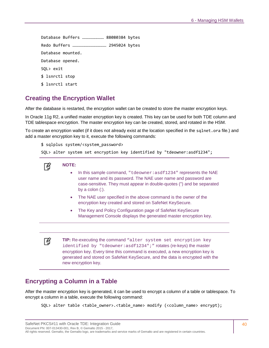Database Buffers ……………………… 88080384 bytes Redo Buffers …………………………………… 2945024 bytes Database mounted. Database opened. SQL> exit \$ lsnrctl stop \$ lsnrctl start

# <span id="page-39-0"></span>**Creating the Encryption Wallet**

After the database is restarted, the encryption wallet can be created to store the master encryption keys.

In Oracle 11g R2, a unified master encryption key is created. This key can be used for both TDE column and TDE tablespace encryption. The master encryption key can be created, stored, and rotated in the HSM.

To create an encryption wallet (if it does not already exist at the location specified in the sqlnet.ora file.) and add a master encryption key to it, execute the following commands:

```
$ sqlplus system/<system_password>
```

```
SQL> alter system set encryption key identified by "tdeowner:asdf1234";
```
### **NOTE:**

放

冏

- In this sample command, "tdeowner: asdf1234" represents the NAE user name and its password. The NAE user name and password are case-sensitive. They must appear in double-quotes (") and be separated by a colon (:).
- The NAE user specified in the above command is the owner of the encryption key created and stored on SafeNet KeySecure.
- The Key and Policy Configuration page of SafeNet KeySecure Management Console displays the generated master encryption key.

**TIP:** Re-executing the command "alter system set encryption key identified by "tdeowner:asdf1234";" rotates (re-keys) the master encryption key. Every time this command is executed, a new encryption key is generated and stored on SafeNet KeySecure, and the data is encrypted with the new encryption key.

## <span id="page-39-1"></span>**Encrypting a Column in a Table**

After the master encryption key is generated, it can be used to encrypt a column of a table or tablespace. To encrypt a column in a table, execute the following command:

```
SQL> alter table <table_owner>.<table_name> modify (<column_name> encrypt);
```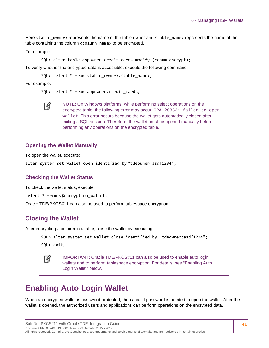Here <table\_owner> represents the name of the table owner and <table\_name> represents the name of the table containing the column <column\_name> to be encrypted.

For example:

SQL> alter table appowner.credit\_cards modify (ccnum encrypt);

To verify whether the encrypted data is accessible, execute the following command:

SQL> select \* from <table owner>.<table name>;

For example:

SQL> select \* from appowner.credit\_cards;

**NOTE:** On Windows platforms, while performing select operations on the 放 encrypted table, the following error may occur: ORA-28353: failed to open wallet. This error occurs because the wallet gets automatically closed after exiting a SQL session. Therefore, the wallet must be opened manually before performing any operations on the encrypted table.

#### **Opening the Wallet Manually**

To open the wallet, execute:

alter system set wallet open identified by "tdeowner:asdf1234";

#### **Checking the Wallet Status**

To check the wallet status, execute:

select \* from v\$encryption\_wallet;

Oracle TDE/PKCS#11 can also be used to perform tablespace encryption.

#### <span id="page-40-1"></span>**Closing the Wallet**

After encrypting a column in a table, close the wallet by executing:

```
SQL> alter system set wallet close identified by "tdeowner:asdf1234";
```
SQL> exit;



**IMPORTANT:** Oracle TDE/PKCS#11 can also be used to enable auto login wallets and to perform tablespace encryption. For details, see ["Enabling Auto](#page-40-0)  [Login Wallet" below.](#page-40-0)

# <span id="page-40-0"></span>**Enabling Auto Login Wallet**

When an encrypted wallet is password-protected, then a valid password is needed to open the wallet. After the wallet is opened, the authorized users and applications can perform operations on the encrypted data.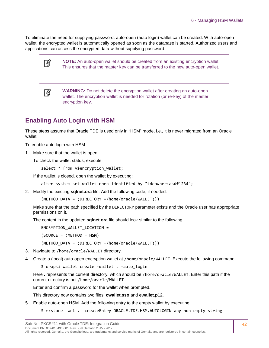To eliminate the need for supplying password, auto-open (auto login) wallet can be created. With auto-open wallet, the encrypted wallet is automatically opened as soon as the database is started. Authorized users and applications can access the encrypted data without supplying password.

冏

**NOTE:** An auto-open wallet should be created from an existing encryption wallet. This ensures that the master key can be transferred to the new auto-open wallet.

冏

**WARNING:** Do not delete the encryption wallet after creating an auto-open wallet. The encryption wallet is needed for rotation (or re-key) of the master encryption key.

# **Enabling Auto Login with HSM**

These steps assume that Oracle TDE is used only in "HSM" mode, i.e., it is never migrated from an Oracle wallet.

To enable auto login with HSM:

1. Make sure that the wallet is open.

To check the wallet status, execute:

```
select * from v$encryption_wallet;
```
If the wallet is closed, open the wallet by executing:

```
alter system set wallet open identified by "tdeowner:asdf1234";
```
2. Modify the existing **sqlnet.ora** file. Add the following code, if needed:

(METHOD\_DATA = (DIRECTORY =/home/oracle/WALLET)))

Make sure that the path specified by the DIRECTORY parameter exists and the Oracle user has appropriate permissions on it.

The content in the updated **sqlnet.ora** file should look similar to the following:

ENCRYPTION\_WALLET\_LOCATION =

(SOURCE = (METHOD = **HSM**)

(METHOD\_DATA = (DIRECTORY =/home/oracle/WALLET)))

- 3. Navigate to /home/oracle/WALLET directory.
- 4. Create a (local) auto-open encryption wallet at /home/oracle/WALLET. Execute the following command:
	- \$ orapki wallet create -wallet . -auto\_login

Here **.** represents the current directory, which should be /home/oracle/WALLET. Enter this path if the current directory is not /home/oracle/WALLET.

Enter and confirm a password for the wallet when prompted.

This directory now contains two files, **cwallet.sso** and **ewallet.p12**.

- 5. Enable auto-open HSM. Add the following entry to the empty wallet by executing:
	- \$ mkstore -wrl . -createEntry ORACLE.TDE.HSM.AUTOLOGIN any-non-empty-string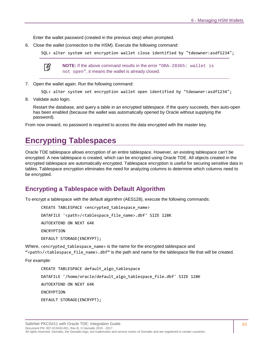Enter the wallet password (created in the previous step) when prompted.

6. Close the wallet (connection to the HSM). Execute the following command:

SQL> alter system set encryption wallet close identified by "tdeowner:asdf1234";



**NOTE:** If the above command results in the error "ORA-28365: wallet is not open", it means the wallet is already closed.

7. Open the wallet again. Run the following command:

SQL> alter system set encryption wallet open identified by "tdeowner:asdf1234";

8. Validate auto login.

Restart the database, and query a table in an encrypted tablespace. If the query succeeds, then auto-open has been enabled (because the wallet was automatically opened by Oracle without supplying the password).

From now onward, no password is required to access the data encrypted with the master key.

# **Encrypting Tablespaces**

Oracle TDE tablespace allows encryption of an entire tablespace. However, an existing tablespace can't be encrypted. A new tablespace is created, which can be encrypted using Oracle TDE. All objects created in the encrypted tablespace are automatically encrypted. Tablespace encryption is useful for securing sensitive data in tables. Tablespace encryption eliminates the need for analyzing columns to determine which columns need to be encrypted.

### **Encrypting a Tablespace with Default Algorithm**

To encrypt a tablespace with the default algorithm (AES128), execute the following commands:

CREATE TABLESPACE <encrypted tablespace name> DATAFILE '<path>/<tablespace\_file\_name>.dbf' SIZE 128K AUTOEXTEND ON NEXT 64K ENCRYPTION DEFAULT STORAGE(ENCRYPT);

Where, <encrypted\_tablespace\_name> is the name for the encrypted tablespace and ">>>>>>>><tablespace\_file\_name>.dbf" is the path and name for the tablespace file that will be created.

For example:

CREATE TABLESPACE default algo tablespace DATAFILE '/home/oracle/default\_algo\_tablespace\_file.dbf' SIZE 128K AUTOEXTEND ON NEXT 64K ENCRYPTION DEFAULT STORAGE(ENCRYPT);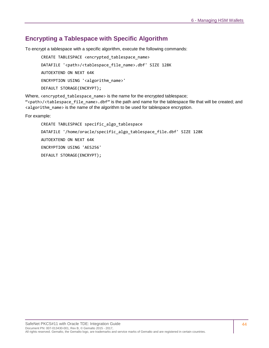# **Encrypting a Tablespace with Specific Algorithm**

To encrypt a tablespace with a specific algorithm, execute the following commands:

CREATE TABLESPACE <encrypted\_tablespace\_name> DATAFILE '<path>/<tablespace\_file\_name>.dbf' SIZE 128K AUTOEXTEND ON NEXT 64K ENCRYPTION USING '<algorithm\_name>' DEFAULT STORAGE(ENCRYPT);

Where, <encrypted\_tablespace\_name> is the name for the encrypted tablespace;

"<path>/<tablespace file name>.dbf" is the path and name for the tablespace file that will be created; and <algorithm\_name> is the name of the algorithm to be used for tablespace encryption.

For example:

CREATE TABLESPACE specific\_algo\_tablespace DATAFILE '/home/oracle/specific\_algo\_tablespace\_file.dbf' SIZE 128K AUTOEXTEND ON NEXT 64K ENCRYPTION USING 'AES256' DEFAULT STORAGE(ENCRYPT);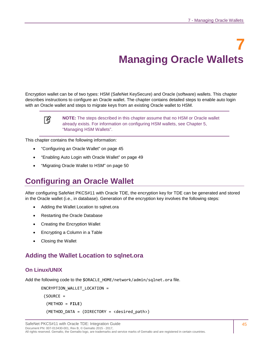# **7 Managing Oracle Wallets**

<span id="page-44-1"></span><span id="page-44-0"></span>Encryption wallet can be of two types: HSM (SafeNet KeySecure) and Oracle (software) wallets. This chapter describes instructions to configure an Oracle wallet. The chapter contains detailed steps to enable auto login with an Oracle wallet and steps to migrate keys from an existing Oracle wallet to HSM.

冏

**NOTE:** The steps described in this chapter assume that no HSM or Oracle wallet already exists. For information on configuring HSM wallets, see Chapter [5,](#page-37-2) ["Managing HSM Wallets"](#page-37-3).

This chapter contains the following information:

- ["Configuring an Oracle Wallet"](#page-44-2) on page [45](#page-44-2)
- ["Enabling Auto Login with Oracle Wallet"](#page-48-0) on page [49](#page-48-1)
- ["Migrating Oracle Wallet to HSM"](#page-49-0) on page [50](#page-49-0)

# <span id="page-44-2"></span>**Configuring an Oracle Wallet**

After configuring SafeNet PKCS#11 with Oracle TDE, the encryption key for TDE can be generated and stored in the Oracle wallet (i.e., in database). Generation of the encryption key involves the following steps:

- [Adding the Wallet Location to sqlnet.ora](#page-44-3)
- [Restarting the Oracle Database](#page-45-0)
- [Creating the Encryption Wallet](#page-46-0)
- [Encrypting a Column in a Table](#page-47-0)
- [Closing the Wallet](#page-47-1)

# <span id="page-44-3"></span>**Adding the Wallet Location to sqlnet.ora**

#### **On Linux/UNIX**

Add the following code to the \$ORACLE\_HOME/network/admin/sqlnet.ora file.

```
ENCRYPTION_WALLET_LOCATION = 
(SOURCE = (METHOD = FILE)
   (METHOD_DATA = (DIRECTORY = <desired_path>)
```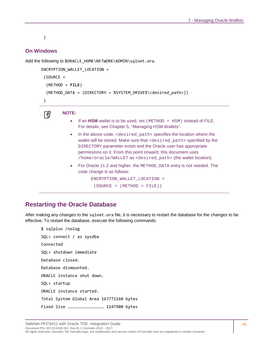#### )

#### **On Windows**

Add the following to \$ORACLE\_HOME\NETWORK\ADMIN\sqlnet.ora.

```
ENCRYPTION_WALLET_LOCATION = 
 (SOURCE = 
   (METHOD = FILE)
   (METHOD_DATA = (DIRECTORY = %SYSTEM_DRIVE%\<desired_path>))
 )
```
#### **NOTE:**  放

- If an HSM wallet is to be used, set (METHOD = HSM) instead of FILE. For details, see Chapter [5,](#page-37-2) ["Managing HSM Wallets"](#page-37-3).
- In the above code, <desired path> specifies the location where the wallet will be stored. Make sure that <desired\_path> specified by the DIRECTORY parameter exists and the Oracle user has appropriate permissions on it. From this point onward, this document uses /home/oracle/WALLET as <desired\_path> (the wallet location).
- For Oracle 11.2 and higher, the METHOD DATA entry is not needed. The code change is as follows:

```
ENCRYPTION_WALLET_LOCATION =
```

```
(SOURCE = (METHOD = FILE))
```
#### <span id="page-45-0"></span>**Restarting the Oracle Database**

After making any changes to the sqlnet.ora file, it is necessary to restart the database for the changes to be effective. To restart the database, execute the following commands:

```
$ sqlplus /nolog
SQL> connect / as sysdba
Connected
SQL> shutdown immediate
Database closed.
Database dismounted.
ORACLE instance shut down.
SQL> startup
ORACLE instance started.
Total System Global Area 167772160 bytes
Fixed Size ……………………………………… 1247900 bytes
```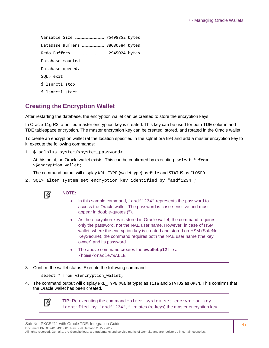Variable Size ……………………………… 75498852 bytes Database Buffers ……………………… 88080384 bytes Redo Buffers …………………………………… 2945024 bytes Database mounted. Database opened. SQL> exit \$ lsnrctl stop \$ lsnrctl start

# <span id="page-46-0"></span>**Creating the Encryption Wallet**

After restarting the database, the encryption wallet can be created to store the encryption keys.

In Oracle 11g R2, a unified master encryption key is created. This key can be used for both TDE column and TDE tablespace encryption. The master encryption key can be created, stored, and rotated in the Oracle wallet.

To create an encryption wallet (at the location specified in the sqlnet.ora file) and add a master encryption key to it, execute the following commands:

1. \$ sqlplus system/<system password>

At this point, no Oracle wallet exists. This can be confirmed by executing: select \* from v\$encryption\_wallet;

The command output will display WRL\_TYPE (wallet type) as file and STATUS as CLOSED.

2. SQL> alter system set encryption key identified by "asdf1234";



#### **NOTE:**

- In this sample command, "asdf1234" represents the password to access the Oracle wallet. The password is case-sensitive and must appear in double-quotes (**"**).
- As the encryption key is stored in Oracle wallet, the command requires only the password, not the NAE user name. However, in case of HSM wallet, where the encryption key is created and stored on HSM (SafeNet KeySecure), the command requires both the NAE user name (the key owner) and its password.
- The above command creates the **ewallet.p12** file at /home/oracle/WALLET.
- 3. Confirm the wallet status. Execute the following command:

select \* from v\$encryption\_wallet;

4. The command output will display WRL\_TYPE (wallet type) as file and STATUS as OPEN. This confirms that the Oracle wallet has been created.



**TIP:** Re-executing the command "alter system set encryption key identified by "asdf1234";" rotates (re-keys) the master encryption key.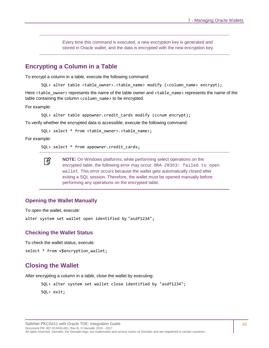Every time this command is executed, a new encryption key is generated and stored in Oracle wallet, and the data is encrypted with the new encryption key.

#### <span id="page-47-0"></span>**Encrypting a Column in a Table**

To encrypt a column in a table, execute the following command:

SQL> alter table <table\_owner>.<table\_name> modify (<column\_name> encrypt);

Here <table\_owner> represents the name of the table owner and <table\_name> represents the name of the table containing the column <column\_name> to be encrypted.

For example:

SQL> alter table appowner.credit cards modify (ccnum encrypt);

To verify whether the encrypted data is accessible, execute the following command:

SQL> select \* from <table\_owner>.<table\_name>;

For example:

SQL> select \* from appowner.credit cards;

**NOTE:** On Windows platforms, while performing select operations on the 冏 encrypted table, the following error may occur: ORA-28353: failed to open wallet. This error occurs because the wallet gets automatically closed after exiting a SQL session. Therefore, the wallet must be opened manually before performing any operations on the encrypted table.

#### **Opening the Wallet Manually**

To open the wallet, execute:

alter system set wallet open identified by "asdf1234";

#### **Checking the Wallet Status**

To check the wallet status, execute:

select \* from v\$encryption\_wallet;

#### <span id="page-47-1"></span>**Closing the Wallet**

After encrypting a column in a table, close the wallet by executing:

```
SQL> alter system set wallet close identified by "asdf1234";
```
SQL> exit;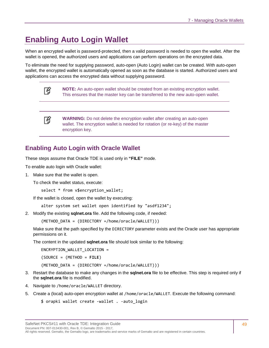# <span id="page-48-1"></span>**Enabling Auto Login Wallet**

When an encrypted wallet is password-protected, then a valid password is needed to open the wallet. After the wallet is opened, the authorized users and applications can perform operations on the encrypted data.

To eliminate the need for supplying password, auto-open (Auto Login) wallet can be created. With auto-open wallet, the encrypted wallet is automatically opened as soon as the database is started. Authorized users and applications can access the encrypted data without supplying password.

| m |
|---|
|   |

**NOTE:** An auto-open wallet should be created from an existing encryption wallet. This ensures that the master key can be transferred to the new auto-open wallet.



**WARNING:** Do not delete the encryption wallet after creating an auto-open wallet. The encryption wallet is needed for rotation (or re-key) of the master encryption key.

# <span id="page-48-0"></span>**Enabling Auto Login with Oracle Wallet**

These steps assume that Oracle TDE is used only in **"FILE"** mode.

To enable auto login with Oracle wallet:

1. Make sure that the wallet is open.

To check the wallet status, execute:

```
select * from v$encryption_wallet;
```
If the wallet is closed, open the wallet by executing:

alter system set wallet open identified by "asdf1234";

2. Modify the existing **sqlnet.ora** file. Add the following code, if needed:

(METHOD\_DATA = (DIRECTORY =/home/oracle/WALLET)))

Make sure that the path specified by the DIRECTORY parameter exists and the Oracle user has appropriate permissions on it.

The content in the updated **sqlnet.ora** file should look similar to the following:

ENCRYPTION\_WALLET\_LOCATION =

(SOURCE = (METHOD = **FILE**)

(METHOD\_DATA = (DIRECTORY =/home/oracle/WALLET)))

- 3. Restart the database to make any changes in the **sqlnet.ora** file to be effective. This step is required only if the **sqlnet.ora** file is modified.
- 4. Navigate to /home/oracle/WALLET directory.
- 5. Create a (local) auto-open encryption wallet at /home/oracle/WALLET. Execute the following command:

```
$ orapki wallet create -wallet . -auto_login
```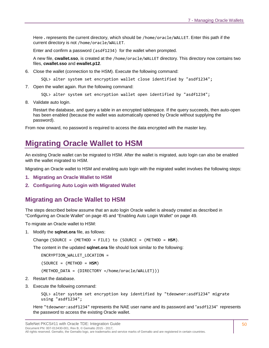Here **.** represents the current directory, which should be /home/oracle/WALLET. Enter this path if the current directory is not /home/oracle/WALLET.

Enter and confirm a password (asdf1234) for the wallet when prompted.

A new file, **cwallet.sso**, is created at the /home/oracle/WALLET directory. This directory now contains two files, **cwallet.sso** and **ewallet.p12**.

- 6. Close the wallet (connection to the HSM). Execute the following command:
	- SQL> alter system set encryption wallet close identified by "asdf1234";
- 7. Open the wallet again. Run the following command:

```
SQL> alter system set encryption wallet open identified by "asdf1234";
```
8. Validate auto login.

Restart the database, and query a table in an encrypted tablespace. If the query succeeds, then auto-open has been enabled (because the wallet was automatically opened by Oracle without supplying the password).

From now onward, no password is required to access the data encrypted with the master key.

# <span id="page-49-0"></span>**Migrating Oracle Wallet to HSM**

An existing Oracle wallet can be migrated to HSM. After the wallet is migrated, auto login can also be enabled with the wallet migrated to HSM.

Migrating an Oracle wallet to HSM and enabling auto login with the migrated wallet involves the following steps:

- **1. [Migrating an Oracle Wallet to HSM](#page-49-1)**
- **2. [Configuring Auto Login with Migrated Wallet](#page-50-0)**

#### <span id="page-49-1"></span>**Migrating an Oracle Wallet to HSM**

The steps described below assume that an auto login Oracle wallet is already created as described in ["Configuring an Oracle Wallet" on page 45](#page-44-2) and ["Enabling Auto Login Wallet" on page 49.](#page-48-1)

To migrate an Oracle wallet to HSM:

1. Modify the **sqlnet.ora** file, as follows:

Change (SOURCE = (METHOD = FILE) to (SOURCE = (METHOD = **HSM**).

The content in the updated **sqlnet.ora** file should look similar to the following:

ENCRYPTION\_WALLET\_LOCATION =

(SOURCE = (METHOD = **HSM**)

(METHOD\_DATA = (DIRECTORY =/home/oracle/WALLET)))

- 2. Restart the database.
- 3. Execute the following command:

SQL> alter system set encryption key identified by "tdeowner:asdf1234" migrate using "asdf1234";

Here "tdeowner:asdf1234" represents the NAE user name and its password and "asdf1234" represents the password to access the existing Oracle wallet.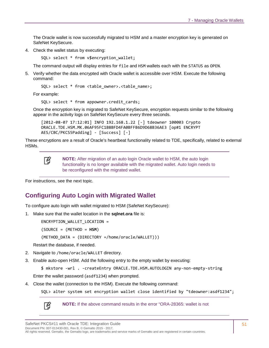The Oracle wallet is now successfully migrated to HSM and a master encryption key is generated on SafeNet KeySecure.

4. Check the wallet status by executing:

SQL> select \* from v\$encryption\_wallet;

The command output will display entries for file and HSM wallets each with the STATUS as OPEN.

5. Verify whether the data encrypted with Oracle wallet is accessible over HSM. Execute the following command:

SQL> select \* from <table owner>.<table name>;

For example:

```
SQL> select * from appowner.credit cards;
```
Once the encryption key is migrated to SafeNet KeySecure, encryption requests similar to the following appear in the activity logs on SafeNet KeySecure every three seconds.

```
[2012-08-07 17:12:01] INFO 192.168.1.22 [-] tdeowner 100003 Crypto 
ORACLE.TDE.HSM.MK.06AF95FC1B8BFD4FA0BFFB6D9D68B36AE3 [op#1 ENCRYPT 
AES/CBC/PKCS5Padding] - [Success] [-]
```
These encryptions are a result of Oracle's heartbeat functionality related to TDE, specifically, related to external HSMs.

放

**NOTE:** After migration of an auto login Oracle wallet to HSM, the auto login functionality is no longer available with the migrated wallet. Auto login needs to be reconfigured with the migrated wallet.

For instructions, see the next topic.

## <span id="page-50-0"></span>**Configuring Auto Login with Migrated Wallet**

To configure auto login with wallet migrated to HSM (SafeNet KeySecure):

1. Make sure that the wallet location in the **sqlnet.ora** file is:

ENCRYPTION\_WALLET\_LOCATION =

(SOURCE = (METHOD = **HSM**)

(METHOD\_DATA = (DIRECTORY =/home/oracle/WALLET)))

Restart the database, if needed.

- 2. Navigate to /home/oracle/WALLET directory.
- 3. Enable auto-open HSM. Add the following entry to the empty wallet by executing:

\$ mkstore -wrl . -createEntry ORACLE.TDE.HSM.AUTOLOGIN any-non-empty-string

Enter the wallet password (asdf1234) when prompted.

4. Close the wallet (connection to the HSM). Execute the following command:

SQL> alter system set encryption wallet close identified by "tdeowner:asdf1234";

冏

**NOTE:** If the above command results in the error "ORA-28365: wallet is not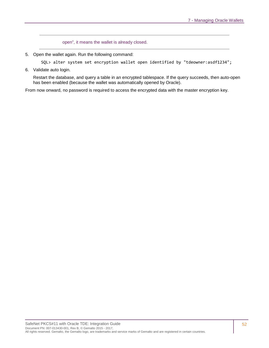open", it means the wallet is already closed.

5. Open the wallet again. Run the following command:

SQL> alter system set encryption wallet open identified by "tdeowner:asdf1234";

6. Validate auto login.

Restart the database, and query a table in an encrypted tablespace. If the query succeeds, then auto-open has been enabled (because the wallet was automatically opened by Oracle).

From now onward, no password is required to access the encrypted data with the master encryption key.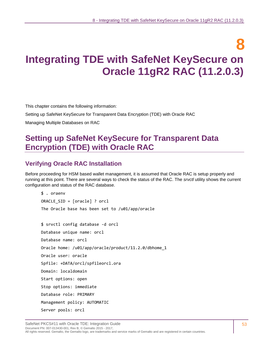# **8 Integrating TDE with SafeNet KeySecure on Oracle 11gR2 RAC (11.2.0.3)**

This chapter contains the following information:

[Setting up SafeNet KeySecure for Transparent Data Encryption \(TDE\)](#page-52-0) with Oracle RAC

[Managing Multiple Databases on RAC](#page-66-0)

# <span id="page-52-0"></span>**Setting up SafeNet KeySecure for Transparent Data Encryption (TDE) with Oracle RAC**

## **Verifying Oracle RAC Installation**

Before proceeding for HSM based wallet management, it is assumed that Oracle RAC is setup properly and running at this point. There are several ways to check the status of the RAC. The *srvctl* utility shows the current configuration and status of the RAC database.

```
$ . oraenv
ORACLE_SID = [oracle] ? orcl
The Oracle base has been set to /u01/app/oracle
$ srvctl config database -d orcl
Database unique name: orcl
Database name: orcl
Oracle home: /u01/app/oracle/product/11.2.0/dbhome_1
Oracle user: oracle
Spfile: +DATA/orcl/spfileorcl.ora
Domain: localdomain
Start options: open
Stop options: immediate
Database role: PRIMARY
Management policy: AUTOMATIC
Server pools: orcl
```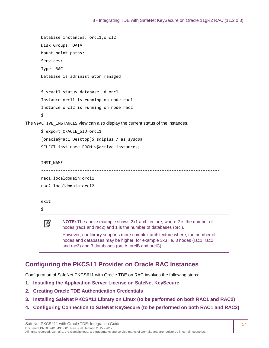```
Database instances: orcl1,orcl2
       Disk Groups: DATA
       Mount point paths: 
       Services: 
      Type: RAC
       Database is administrator managed
       $ srvctl status database -d orcl
       Instance orcl1 is running on node rac1
       Instance orcl2 is running on node rac2
       $
The V$ACTIVE_INSTANCES view can also display the current status of the instances.
       $ export ORACLE_SID=orcl1
       [oracle@rac1 Desktop]$ sqlplus / as sysdba
       SELECT inst_name FROM v$active_instances;
       INST_NAME
       --------------------------------------------------------------------------
       rac1.localdomain:orcl1
       rac2.localdomain:orcl2
       exit
       $
                NOTE: The above example shows 2x1 architecture, where 2 is the number of 
        网
                nodes (rac1 and rac2) and 1 is the number of databases (orcl).
                However; our library supports more complex architecture where, the number of
```
nodes and databases may be higher, for example 3x3 i.e. 3 nodes (rac1, rac2 and rac3) and 3 databases (orclA, orclB and orclC).

## **Configuring the PKCS11 Provider on Oracle RAC Instances**

Configuration of SafeNet PKCS#11 with Oracle TDE on RAC involves the following steps:

- **1. [Installing the Application Server License on SafeNet](#page-54-0) KeySecure**
- **2. [Creating Oracle TDE Authentication Credentials](#page-54-1)**
- **3. [Installing SafeNet PKCS#11 Library on Linux \(to be performed on both RAC1 and RAC2\)](#page-54-2)**
- **4. Configuring Connection to SafeNet [KeySecure \(to be performed on both RAC1 and RAC2\)](#page-55-0)**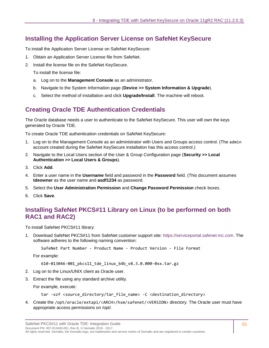# <span id="page-54-0"></span>**Installing the Application Server License on SafeNet KeySecure**

To install the Application Server License on SafeNet KeySecure:

- 1. Obtain an Application Server License file from SafeNet.
- 2. Install the license file on the SafeNet KeySecure.

To install the license file:

- a. Log on to the **Management Console** as an administrator.
- b. Navigate to the System Information page (**Device >> System Information & Upgrade**).
- c. Select the method of installation and click **Upgrade/Install**. The machine will reboot.

# <span id="page-54-1"></span>**Creating Oracle TDE Authentication Credentials**

The Oracle database needs a user to authenticate to the SafeNet KeySecure. This user will own the keys generated by Oracle TDE.

To create Oracle TDE authentication credentials on SafeNet KeySecure:

- 1. Log on to the Management Console as an administrator with Users and Groups access control. (The admin account created during the SafeNet KeySecure installation has this access control.)
- 2. Navigate to the Local Users section of the User & Group Configuration page (**Security >> Local Authentication >> Local Users & Groups**).
- 3. Click **Add**.
- 4. Enter a user name in the **Username** field and password in the **Password** field. (This document assumes **tdeowner** as the user name and **asdf1234** as password.
- 5. Select the **User Administration Permission** and **Change Password Permission** check boxes.
- 6. Click **Save**.

# <span id="page-54-2"></span>**Installing SafeNet PKCS#11 Library on Linux (to be performed on both RAC1 and RAC2)**

To install SafeNet PKCS#11 library:

1. Download SafeNet PKCS#11 from SafeNet customer support site: [https://serviceportal.safenet-inc.com.](https://serviceportal.safenet-inc.com/) The software adheres to the following naming convention:

SafeNet Part Number - Product Name - Product Version - File Format

For example:

610-013046-001\_pkcs11\_tde\_linux\_64b\_v8.3.0.000-0xx.tar.gz

- 2. Log on to the Linux/UNIX client as Oracle user.
- 3. Extract the file using any standard archive utility.

For example, execute:

```
tar -xzf <source_directory/tar_file_name> -C <destination_directory>
```
4. Create the /opt/oracle/extapi/<ARCH>/hsm/safenet/<VERSION> directory. The Oracle user must have appropriate access permissions on /opt/.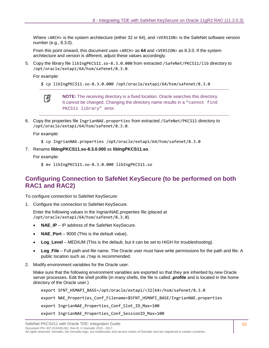Where <ARCH> is the system architecture (either 32 or 64), and <VERSION> is the SafeNet software version number (e.g., 8.3.0).

From this point onward, this document uses <ARCH> as **64** and <VERSION> as 8.3.0. If the system architecture and version is different, adjust these values accordingly.

5. Copy the library file libIngPKCS11.so-8.3.0.000 from extracted /SafeNet/PKCS11/lib directory to /opt/oracle/extapi/64/hsm/safenet/8.3.0.

For example:

\$ cp libIngPKCS11.so-8.3.0.000 /opt/oracle/extapi/64/hsm/safenet/8.3.0



**NOTE:** The receiving directory is a fixed location. Oracle searches this directory. It cannot be changed. Changing the directory name results in a "cannot find PKCS11 library" error.

6. Copy the properties file IngrianNAE.properties from extracted /SafeNet/PKCS11 directory to /opt/oracle/extapi/64/hsm/safenet/8.3.0.

For example:

- \$ cp IngrianNAE.properties /opt/oracle/extapi/64/hsm/safenet/8.3.0
- 7. Rename **libIngPKCS11.so-8.3.0.000** as **libIngPKCS11.so**.

For example:

\$ mv libIngPKCS11.so-8.3.0.000 libIngPKCS11.so

### <span id="page-55-0"></span>**Configuring Connection to SafeNet KeySecure (to be performed on both RAC1 and RAC2)**

To configure connection to SafeNet KeySecure:

1. Configure the connection to SafeNet KeySecure.

Enter the following values in the IngrianNAE.properties file (placed at /opt/oracle/extapi/64/hsm/safenet/8.3.0).

- **NAE IP** IP address of the SafeNet KeySecure.
- **NAE\_Port** 9000 (This is the default value).
- **Log\_Level** MEDIUM (This is the default, but it can be set to HIGH for troubleshooting).
- **Log\_File** Full path and file name. The Oracle user must have write permissions for the path and file. A public location such as /tmp is recommended.
- 2. Modify environment variables for the Oracle user.

Make sure that the following environment variables are exported so that they are inherited by new Oracle server processes. Edit the shell profile (in many shells, the file is called **.profile** and is located in the home directory of the Oracle user.)

export SFNT\_HSMAPI\_BASE=/opt/oracle/extapi/<32|64>/hsm/safenet/8.3.0 export NAE Properties Conf Filename=\$SFNT HSMAPI BASE/IngrianNAE.properties export IngrianNAE Properties Conf Slot ID Max=100 export IngrianNAE\_Properties\_Conf\_SessionID\_Max=100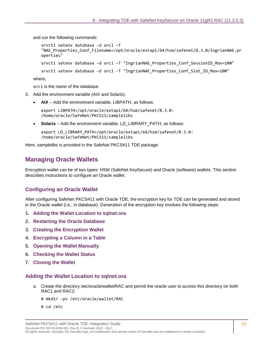and run the following commands:

```
srvctl setenv database –d orcl –T 
   "NAE_Properties_Conf_Filename=/opt/oracle/extapi/64/hsm/safenet/8.3.0/IngrianNAE.pr
   operties"
   srvctl setenv database -d orcl -T "IngrianNAE Properties Conf SessionID Max=100"
   srvctl setenv database –d orcl -T "IngrianNAE_Properties_Conf_Slot_ID_Max=100"
where,
```
orcl is the name of the database.

- 3. Add the environment variable (AIX and Solaris).
	- **AIX** Add the environment variable, LIBPATH, as follows:

```
export LIBPATH=/opt/oracle/extapi/64/hsm/safenet/8.3.0: 
/home/oracle/SafeNet/PKCS11/samplelibs
```
• **Solaris** – Add the environment variable, LD\_LIBRARY\_PATH, as follows:

```
export LD_LIBRARY_PATH=/opt/oracle/extapi/64/hsm/safenet/8.3.0: 
/home/oracle/SafeNet/PKCS11/samplelibs
```
Here, samplelibs is provided in the SafeNet PKCS#11 TDE package.

## **Managing Oracle Wallets**

Encryption wallet can be of two types: HSM (SafeNet KeySecure) and Oracle (software) wallets. This section describes instructions to configure an Oracle wallet.

#### **Configuring an Oracle Wallet**

After configuring SafeNet PKCS#11 with Oracle TDE, the encryption key for TDE can be generated and stored in the Oracle wallet (i.e., in database). Generation of the encryption key involves the following steps:

- **1. [Adding the Wallet Location to sqlnet.ora](#page-56-0)**
- **2. [Restarting the Oracle Database](#page-57-0)**
- **3. [Creating the Encryption Wallet](#page-58-0)**
- **4. [Encrypting a Column in a Table](#page-58-1)**
- **5. [Opening the Wallet Manually](#page-59-0)**
- **6. [Checking the Wallet Status](#page-59-1)**
- **7. [Closing the Wallet](#page-59-2)**

#### <span id="page-56-0"></span>**Adding the Wallet Location to sqlnet.ora**

- a. Create the directory /etc/oracle/wallet/RAC and permit the oracle user to access this directory on both RAC1 and RAC2:
	- # mkdir -pv /etc/oracle/wallet/RAC
	- # cd /etc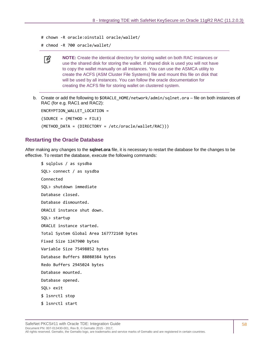```
# chown -R oracle:oinstall oracle/wallet/
```

```
# chmod -R 700 oracle/wallet/
```


**NOTE:** Create the identical directory for storing wallet on both RAC instances or use the shared disk for storing the wallet. If shared disk is used you will not have to copy the wallet manually on all instances. You can use the ASMCA utility to create the ACFS (ASM Cluster File Systems) file and mount this file on disk that will be used by all instances. You can follow the oracle documentation for creating the ACFS file for storing wallet on clustered system.

b. Create or add the following to \$ORACLE\_HOME/network/admin/sqlnet.ora - file on both instances of RAC (for e.g. RAC1 and RAC2):

ENCRYPTION\_WALLET\_LOCATION = (SOURCE = (METHOD = FILE) (METHOD\_DATA = (DIRECTORY = /etc/oracle/wallet/RAC)))

#### <span id="page-57-0"></span>**Restarting the Oracle Database**

After making any changes to the **sqlnet.ora** file, it is necessary to restart the database for the changes to be effective. To restart the database, execute the following commands:

```
$ sqlplus / as sysdba
SQL> connect / as sysdba
Connected
SQL> shutdown immediate
Database closed.
Database dismounted.
ORACLE instance shut down.
SQL> startup
ORACLE instance started.
Total System Global Area 167772160 bytes
Fixed Size 1247900 bytes
Variable Size 75498852 bytes
Database Buffers 88080384 bytes
Redo Buffers 2945024 bytes
Database mounted.
Database opened.
SQL> exit
$ lsnrctl stop
$ lsnrctl start
```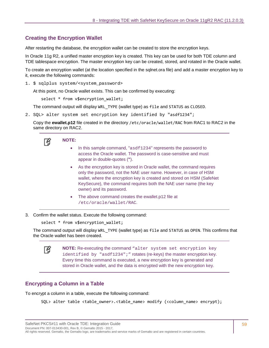#### <span id="page-58-0"></span>**Creating the Encryption Wallet**

After restarting the database, the encryption wallet can be created to store the encryption keys.

In Oracle 11g R2, a unified master encryption key is created. This key can be used for both TDE column and TDE tablespace encryption. The master encryption key can be created, stored, and rotated in the Oracle wallet.

To create an encryption wallet (at the location specified in the sqlnet.ora file) and add a master encryption key to it, execute the following commands:

1. \$ sqlplus system/<system password>

At this point, no Oracle wallet exists. This can be confirmed by executing:

select \* from v\$encryption\_wallet;

The command output will display WRL TYPE (wallet type) as file and STATUS as CLOSED.

2. SQL> alter system set encryption key identified by "asdf1234";

Copy the **ewallet.p12** file created in the directory /etc/oracle/wallet/RAC from RAC1 to RAC2 in the same directory on RAC2.



- In this sample command, "asdf1234" represents the password to access the Oracle wallet. The password is case-sensitive and must appear in double-quotes (**"**).
- As the encryption key is stored in Oracle wallet, the command requires only the password, not the NAE user name. However, in case of HSM wallet, where the encryption key is created and stored on HSM (SafeNet KeySecure), the command requires both the NAE user name (the key owner) and its password.
- The above command creates the ewallet.p12 file at /etc/oracle/wallet/RAC.
- 3. Confirm the wallet status. Execute the following command:

select \* from v\$encryption\_wallet;

The command output will display WRL\_TYPE (wallet type) as file and STATUS as OPEN. This confirms that the Oracle wallet has been created.



#### <span id="page-58-1"></span>**Encrypting a Column in a Table**

To encrypt a column in a table, execute the following command:

SQL> alter table <table\_owner>.<table\_name> modify (<column\_name> encrypt);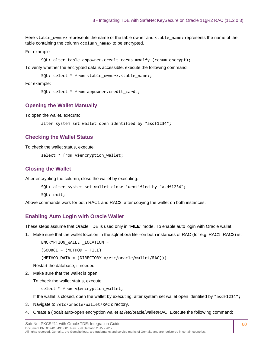Here <table\_owner> represents the name of the table owner and <table\_name> represents the name of the table containing the column <column\_name> to be encrypted.

For example:

SQL> alter table appowner.credit\_cards modify (ccnum encrypt);

To verify whether the encrypted data is accessible, execute the following command:

SOL> select \* from <table owner>.<table name>;

For example:

SQL> select \* from appowner.credit\_cards;

#### <span id="page-59-0"></span>**Opening the Wallet Manually**

To open the wallet, execute:

alter system set wallet open identified by "asdf1234";

#### <span id="page-59-1"></span>**Checking the Wallet Status**

To check the wallet status, execute:

select \* from v\$encryption wallet;

#### <span id="page-59-2"></span>**Closing the Wallet**

After encrypting the column, close the wallet by executing:

```
SQL> alter system set wallet close identified by "asdf1234";
```
SQL> exit;

Above commands work for both RAC1 and RAC2, after copying the wallet on both instances.

#### **Enabling Auto Login with Oracle Wallet**

These steps assume that Oracle TDE is used only in "**FILE**" mode. To enable auto login with Oracle wallet:

1. Make sure that the wallet location in the sqlnet.ora file –on both instances of RAC (for e.g. RAC1, RAC2) is:

ENCRYPTION WALLET LOCATION =

(SOURCE = (METHOD = **FILE**)

(METHOD\_DATA = (DIRECTORY =/etc/oracle/wallet/RAC)))

Restart the database, if needed

2. Make sure that the wallet is open.

To check the wallet status, execute:

select \* from v\$encryption wallet;

If the wallet is closed, open the wallet by executing: alter system set wallet open identified by "asdf1234";

- 3. Navigate to /etc/oracle/wallet/RAC directory.
- 4. Create a (local) auto-open encryption wallet at /etc/oracle/wallet/RAC. Execute the following command: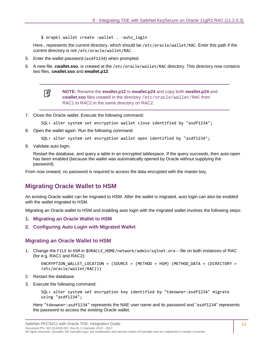\$ orapki wallet create -wallet . -auto\_login

Here **.** represents the current directory, which should be /etc/oracle/wallet/RAC. Enter this path if the current directory is not /etc/oracle/wallet/RAC.

- 5. Enter the wallet password (asdf1234) when prompted.
- 6. A new file, **cwallet.sso**, is created at the /etc/oracle/wallet/RAC directory. This directory now contains two files, **cwallet.sso** and **ewallet.p12**.



**NOTE:** Rename the **ewallet.p12** to **ewallet.p24** and copy both **ewallet.p24** and **cwallet.sso** files created in the directory /etc/oracle/wallet/RAC from RAC1 to RAC2 in the same directory on RAC2.

7. Close the Oracle wallet. Execute the following command:

```
SQL> alter system set encryption wallet close identified by "asdf1234";
```
8. Open the wallet again. Run the following command:

```
SQL> alter system set encryption wallet open identified by "asdf1234";
```
9. Validate auto login.

Restart the database, and query a table in an encrypted tablespace. If the query succeeds, then auto-open has been enabled (because the wallet was automatically opened by Oracle without supplying the password).

From now onward, no password is required to access the data encrypted with the master key.

## **Migrating Oracle Wallet to HSM**

An existing Oracle wallet can be migrated to HSM. After the wallet is migrated, auto login can also be enabled with the wallet migrated to HSM.

Migrating an Oracle wallet to HSM and enabling auto login with the migrated wallet involves the following steps:

- **1. [Migrating an Oracle Wallet to HSM](#page-60-0)**
- **2. [Configuring Auto Login with Migrated Wallet](#page-61-0)**

#### <span id="page-60-0"></span>**Migrating an Oracle Wallet to HSM**

1. Change the FILE to HSM in \$ORACLE\_HOME/network/admin/sqlnet.ora – file on both instances of RAC (for e.g. RAC1 and RAC2):

ENCRYPTION WALLET LOCATION = (SOURCE = (METHOD = HSM) (METHOD DATA = (DIRECTORY = /etc/oracle/wallet/RAC)))

- 2. Restart the database.
- 3. Execute the following command:

SQL> alter system set encryption key identified by "tdeowner:asdf1234" migrate using "asdf1234";

Here "tdeowner:asdf1234" represents the NAE user name and its password and "asdf1234" represents the password to access the existing Oracle wallet.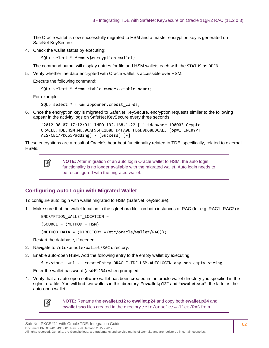The Oracle wallet is now successfully migrated to HSM and a master encryption key is generated on SafeNet KeySecure.

4. Check the wallet status by executing:

SQL> select \* from v\$encryption\_wallet;

The command output will display entries for file and HSM wallets each with the STATUS as OPEN.

5. Verify whether the data encrypted with Oracle wallet is accessible over HSM.

Execute the following command:

```
SQL> select * from <table owner>.<table name>;
```
For example:

SOL> select \* from appowner.credit cards;

6. Once the encryption key is migrated to SafeNet KeySecure, encryption requests similar to the following appear in the activity logs on SafeNet KeySecure every three seconds.

```
[2012-08-07 17:12:01] INFO 192.168.1.22 [-] tdeowner 100003 Crypto 
ORACLE.TDE.HSM.MK.06AF95FC1B8BFD4FA0BFFB6D9D68B36AE3 [op#1 ENCRYPT 
AES/CBC/PKCS5Padding] - [Success] [-]
```
These encryptions are a result of Oracle's heartbeat functionality related to TDE, specifically, related to external HSMs.

冏

**NOTE:** After migration of an auto login Oracle wallet to HSM, the auto login functionality is no longer available with the migrated wallet. Auto login needs to be reconfigured with the migrated wallet.

#### <span id="page-61-0"></span>**Configuring Auto Login with Migrated Wallet**

To configure auto login with wallet migrated to HSM (SafeNet KeySecure):

1. Make sure that the wallet location in the sqlnet.ora file –on both instances of RAC (for e.g. RAC1, RAC2) is:

ENCRYPTION\_WALLET\_LOCATION =

 $(SOURCE = (METHOD = HSM))$ 

```
(METHOD_DATA = (DIRECTORY =/etc/oracle/wallet/RAC)))
```
Restart the database, if needed.

- 2. Navigate to /etc/oracle/wallet/RAC directory.
- 3. Enable auto-open HSM. Add the following entry to the empty wallet by executing:

```
$ mkstore -wrl . -createEntry ORACLE.TDE.HSM.AUTOLOGIN any-non-empty-string
```
Enter the wallet password (asdf1234) when prompted.

4. Verify that an auto-open software wallet has been created in the oracle wallet directory you specified in the sqlnet.ora file: You will find two wallets in this directory: **"ewallet.p12"** and **"cwallet.sso"**; the latter is the auto-open wallet;



**NOTE:** Rename the **ewallet.p12** to **ewallet.p24** and copy both **ewallet.p24** and **cwallet.sso** files created in the directory /etc/oracle/wallet/RAC from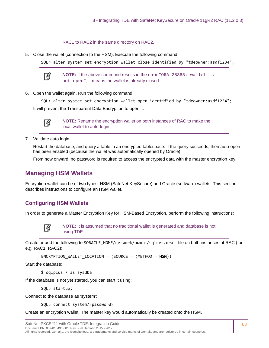RAC1 to RAC2 in the same directory on RAC2.

5. Close the wallet (connection to the HSM). Execute the following command:

SQL> alter system set encryption wallet close identified by "tdeowner:asdf1234";



**NOTE:** If the above command results in the error "ORA-28365: wallet is not open", it means the wallet is already closed.

6. Open the wallet again. Run the following command:

SQL> alter system set encryption wallet open identified by "tdeowner:asdf1234"; It will prevent the Transparent Data Encryption to open it.



**NOTE:** Rename the encryption wallet on both instances of RAC to make the local wallet to auto-login.

7. Validate auto login.

Restart the database, and query a table in an encrypted tablespace. If the query succeeds, then auto-open has been enabled (because the wallet was automatically opened by Oracle).

From now onward, no password is required to access the encrypted data with the master encryption key.

### **Managing HSM Wallets**

Encryption wallet can be of two types: HSM (SafeNet KeySecure) and Oracle (software) wallets. This section describes instructions to configure an HSM wallet.

#### **Configuring HSM Wallets**

In order to generate a Master Encryption Key for HSM-Based Encryption, perform the following instructions:



**NOTE:** It is assumed that no traditional wallet is generated and database is not using TDE.

Create or add the following to \$ORACLE\_HOME/network/admin/sqlnet.ora – file on both instances of RAC (for e.g. RAC1, RAC2):

```
ENCRYPTION_WALLET_LOCATION = (SOURCE = (METHOD = HSM))
```
Start the database:

\$ sqlplus / as sysdba

If the database is not yet started, you can start it using:

SQL> startup;

Connect to the database as 'system':

SQL> connect system/<password>

Create an encryption wallet. The master key would automatically be created onto the HSM.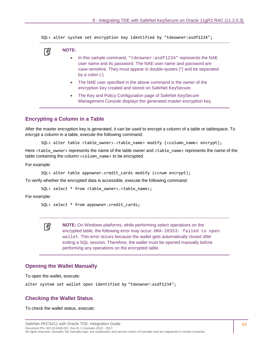SQL> alter system set encryption key identified by "tdeowner:asdf1234";

# 冏

**NOTE:** 

- In this sample command, "tdeowner: asdf1234" represents the NAE user name and its password. The NAE user name and password are case-sensitive. They must appear in double-quotes (") and be separated by a colon (:).
- The NAE user specified in the above command is the owner of the encryption key created and stored on SafeNet KeySecure.
- The Key and Policy Configuration page of SafeNet KeySecure Management Console displays the generated master encryption key.

#### **Encrypting a Column in a Table**

After the master encryption key is generated, it can be used to encrypt a column of a table or tablespace. To encrypt a column in a table, execute the following command:

SQL> alter table <table owner>.<table name> modify (<column name> encrypt);

Here <table\_owner> represents the name of the table owner and <table\_name> represents the name of the table containing the column <column name> to be encrypted.

For example:

```
SQL> alter table appowner.credit_cards modify (ccnum encrypt);
```
To verify whether the encrypted data is accessible, execute the following command:

SQL> select \* from <table owner>.<table name>;

For example:

```
SQL> select * from appowner.credit_cards;
```
冏

**NOTE:** On Windows platforms, while performing select operations on the encrypted table, the following error may occur: ORA-28353: failed to open wallet. This error occurs because the wallet gets automatically closed after exiting a SQL session. Therefore, the wallet must be opened manually before performing any operations on the encrypted table.

#### **Opening the Wallet Manually**

To open the wallet, execute:

alter system set wallet open identified by "tdeowner:asdf1234";

#### **Checking the Wallet Status**

To check the wallet status, execute: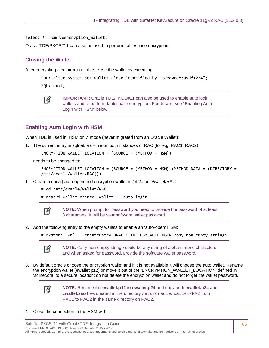select \* from v\$encryption wallet;

Oracle TDE/PKCS#11 can also be used to perform tablespace encryption.

### **Closing the Wallet**

After encrypting a column in a table, close the wallet by executing:

```
SQL> alter system set wallet close identified by "tdeowner:asdf1234";
```
SQL> exit;



**IMPORTANT:** Oracle TDE/PKCS#11 can also be used to enable auto login wallets and to perform tablespace encryption. For details, see ["Enabling Auto](#page-64-0)  [Login with HSM" below.](#page-64-0)

#### <span id="page-64-0"></span>**Enabling Auto Login with HSM**

When TDE is used in 'HSM only' mode (never migrated from an Oracle Wallet):

1. The current entry in sqlnet.ora – file on both instances of RAC (for e.g. RAC1, RAC2):

 $ENCRYPITION WALLET LOCATION = (SOURCE = (METHOD = HSM))$ 

needs to be changed to:

```
ENCRYPTION WALLET LOCATION = (SOURCE = (METHOD = HSM) (METHOD DATA = (DIRECTORY =
/etc/oracle/wallet/RAC)))
```
1. Create a (local) auto-open and encryption wallet in /etc/oracle/wallet/RAC:

# cd /etc/oracle/wallet/RAC

```
# orapki wallet create -wallet . -auto_login
```


**NOTE:** When prompt for password you need to provide the password of at least 8 characters. It will be your software wallet password.

2. Add the following entry to the empty wallets to enable an 'auto-open' HSM:

```
# mkstore -wrl . -createEntry ORACLE.TDE.HSM.AUTOLOGIN <any-non-empty-string>
```


**NOTE:** <any-non-empty-string> could be any string of alphanumeric characters and when asked for password, provide the software wallet password.

3. By default oracle choose the encryption wallet and if it is not available it will choose the auto wallet. Rename the encryption wallet (ewallet.p12) or move it out of the 'ENCRYPTION\_WALLET\_LOCATION' defined in 'sqlnet.ora' to a secure location; do not delete the encryption wallet and do not forget the wallet password.



**NOTE:** Rename the **ewallet.p12** to **ewallet.p24** and copy both **ewallet.p24** and **cwallet.sso** files created in the directory /etc/oracle/wallet/RAC from RAC1 to RAC2 in the same directory on RAC2.

#### 4. Close the connection to the HSM with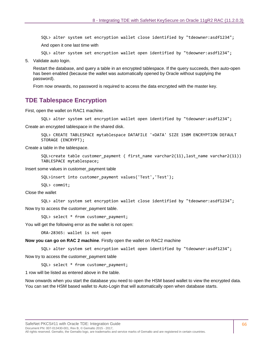SQL> alter system set encryption wallet close identified by "tdeowner:asdf1234";

And open it one last time with

SQL> alter system set encryption wallet open identified by "tdeowner:asdf1234";

5. Validate auto login.

Restart the database, and query a table in an encrypted tablespace. If the query succeeds, then auto-open has been enabled (because the wallet was automatically opened by Oracle without supplying the password).

From now onwards, no password is required to access the data encrypted with the master key.

#### **TDE Tablespace Encryption**

First, open the wallet on RAC1 machine.

```
SQL> alter system set encryption wallet open identified by "tdeowner:asdf1234";
```
Create an encrypted tablespace in the shared disk.

SQL> CREATE TABLESPACE mytablespace DATAFILE '+DATA' SIZE 150M ENCRYPTION DEFAULT STORAGE (ENCRYPT);

Create a table in the tablespace.

SQL>create table customer payment ( first name varchar2(11), last name varchar2(11)) TABLESPACE mytablespace;

Insert some values in customer\_payment table

SQL>insert into customer\_payment values('Test','Test');

SQL> commit;

Close the wallet

SQL> alter system set encryption wallet close identified by "tdeowner:asdf1234"; Now try to access the customer payment table.

SOL> select \* from customer payment;

You will get the following error as the wallet is not open:

ORA-28365: wallet is not open

**Now you can go on RAC 2 machine**. Firstly open the wallet on RAC2 machine

SQL> alter system set encryption wallet open identified by "tdeowner:asdf1234";

Now try to access the customer\_payment table

SQL> select \* from customer payment;

1 row will be listed as entered above in the table.

Now onwards when you start the database you need to open the HSM based wallet to view the encrypted data. You can set the HSM based wallet to Auto-Login that will automatically open when database starts.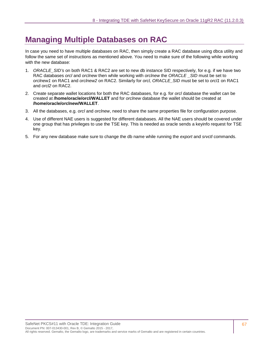# <span id="page-66-0"></span>**Managing Multiple Databases on RAC**

In case you need to have multiple databases on RAC, then simply create a RAC database using dbca utility and follow the same set of instructions as mentioned above. You need to make sure of the following while working with the new database:

- 1. *ORACLE\_SID's* on both RAC1 & RAC2 are set to new db instance SID respectively, for e.g. if we have two RAC databases *orcl* and *orclnew* then while working with *orclnew* the *ORACLE \_SID* must be set to *orclnew1* on RAC1 and *orclnew2* on RAC2. Similarly for *orcl, ORACLE\_SID* must be set to *orcl1* on RAC1 and *orcl2* on RAC2.
- 2. Create separate wallet locations for both the RAC databases, for e.g. for *orcl* database the wallet can be created at **/home/oracle/orcl/WALLET** and for *orclnew* database the wallet should be created at **/home/oracle/orclnew/WALLET**.
- 3. All the databases, e.g. *orcl* and *orclnew*, need to share the same properties file for configuration purpose.
- 4. Use of different NAE users is suggested for different databases. All the NAE users should be covered under one group that has privileges to use the TSE key. This is needed as oracle sends a keyinfo request for TSE key.
- 5. For any new database make sure to change the db name while running the *export* and *srvctl* commands.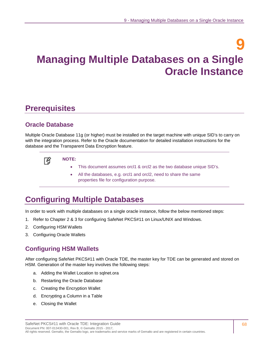# **9 Managing Multiple Databases on a Single Oracle Instance**

# **Prerequisites**

# **Oracle Database**

Multiple Oracle Database 11g (or higher) must be installed on the target machine with unique SID's to carry on with the integration process. Refer to the Oracle documentation for detailed installation instructions for the database and the Transparent Data Encryption feature.



#### **NOTE:**

- This document assumes orcl1 & orcl2 as the two database unique SID's.
- All the databases, e.g. orcl1 and orcl2, need to share the same properties file for configuration purpose.

# **Configuring Multiple Databases**

In order to work with multiple databases on a single oracle instance, follow the below mentioned steps:

- 1. Refer to Chapter [2](#page-11-0) & [3](#page-14-0) for configuring SafeNet PKCS#11 on Linux/UNIX and Windows.
- 2. Configuring HSM Wallets
- 3. Configuring Oracle Wallets

# **Configuring HSM Wallets**

After configuring SafeNet PKCS#11 with Oracle TDE, the master key for TDE can be generated and stored on HSM. Generation of the master key involves the following steps:

- a. Adding the Wallet Location to sqlnet.ora
- b. Restarting the Oracle Database
- c. Creating the Encryption Wallet
- d. Encrypting a Column in a Table
- e. Closing the Wallet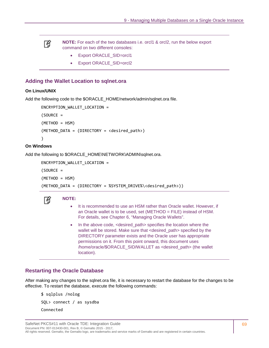冏

**NOTE:** For each of the two databases i.e. orcl1 & orcl2, run the below export command on two different consoles:

- Export ORACLE\_SID=orcl1
- Export ORACLE\_SID=orcl2

#### **Adding the Wallet Location to sqlnet.ora**

#### **On Linux/UNIX**

Add the following code to the \$ORACLE\_HOME/network/admin/sqlnet.ora file.

```
ENCRYPTION_WALLET_LOCATION = 
(SOURCE = 
(METHOD = HSM) 
(METHOD_DATA = (DIRECTORY = <desired_path>) 
)
```
#### **On Windows**

Add the following to \$ORACLE\_HOME\NETWORK\ADMIN\sqlnet.ora.

```
ENCRYPTION_WALLET_LOCATION =
```
 $(SOWRCE =$ 

ᢙ

(METHOD = HSM)

(METHOD\_DATA = (DIRECTORY = %SYSTEM\_DRIVE%\<desired\_path>))

#### **NOTE:**

- It is recommended to use an HSM rather than Oracle wallet. However, if an Oracle wallet is to be used, set (METHOD = FILE) instead of HSM. For details, see Chapter [6,](#page-44-0) ["Managing Oracle Wallets"](#page-44-1).
- In the above code, <desired\_path> specifies the location where the wallet will be stored. Make sure that <desired\_path> specified by the DIRECTORY parameter exists and the Oracle user has appropriate permissions on it. From this point onward, this document uses /home/oracle/\$ORACLE\_SID/WALLET as <desired\_path> (the wallet location).

#### **Restarting the Oracle Database**

After making any changes to the sqlnet.ora file, it is necessary to restart the database for the changes to be effective. To restart the database, execute the following commands:

\$ sqlplus /nolog SQL> connect / as sysdba Connected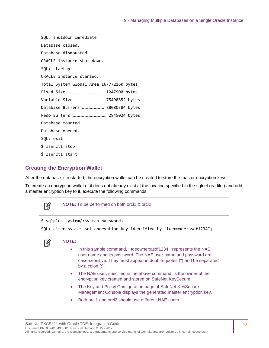SQL> shutdown immediate Database closed. Database dismounted. ORACLE instance shut down. SQL> startup ORACLE instance started. Total System Global Area 167772160 bytes Fixed Size ……………………………………… 1247900 bytes Variable Size ……………………………… 75498852 bytes Database Buffers ……………………… 88080384 bytes Redo Buffers …………………………………… 2945024 bytes Database mounted. Database opened. SQL> exit \$ lsnrctl stop \$ lsnrctl start

#### **Creating the Encryption Wallet**

After the database is restarted, the encryption wallet can be created to store the master encryption keys.

To create an encryption wallet (if it does not already exist at the location specified in the sqlnet.ora file.) and add a master encryption key to it, execute the following commands:

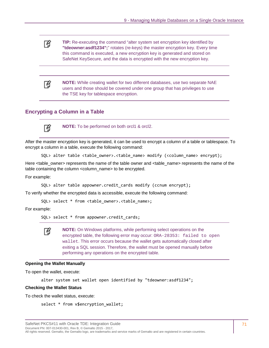**TIP:** Re-executing the command "alter system set encryption key identified by 放 **"tdeowner:asdf1234";**" rotates (re-keys) the master encryption key. Every time this command is executed, a new encryption key is generated and stored on SafeNet KeySecure, and the data is encrypted with the new encryption key.

**NOTE:** While creating wallet for two different databases, use two separate NAE users and those should be covered under one group that has privileges to use the TSE key for tablespace encryption.

#### **Encrypting a Column in a Table**



冏

**NOTE:** To be performed on both orcl1 & orcl2.

After the master encryption key is generated, it can be used to encrypt a column of a table or tablespace. To encrypt a column in a table, execute the following command:

SQL> alter table <table owner>.<table name> modify (<column name> encrypt);

Here <table owner> represents the name of the table owner and <table name> represents the name of the table containing the column <column\_name> to be encrypted.

For example:

```
SQL> alter table appowner.credit_cards modify (ccnum encrypt);
```
To verify whether the encrypted data is accessible, execute the following command:

SQL> select \* from <table\_owner>.<table\_name>;

For example:

```
SQL> select * from appowner.credit cards;
```


**NOTE:** On Windows platforms, while performing select operations on the encrypted table, the following error may occur: ORA-28353: failed to open wallet. This error occurs because the wallet gets automatically closed after exiting a SQL session. Therefore, the wallet must be opened manually before performing any operations on the encrypted table.

#### **Opening the Wallet Manually**

To open the wallet, execute:

```
alter system set wallet open identified by "tdeowner:asdf1234";
```
#### **Checking the Wallet Status**

To check the wallet status, execute:

```
select * from v$encryption_wallet;
```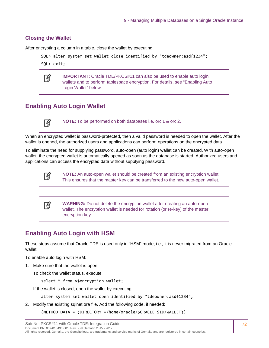#### **Closing the Wallet**

After encrypting a column in a table, close the wallet by executing:

```
SQL> alter system set wallet close identified by "tdeowner:asdf1234";
```
SQL> exit;



**IMPORTANT:** Oracle TDE/PKCS#11 can also be used to enable auto login wallets and to perform tablespace encryption. For details, see ["Enabling Auto](#page-71-0)  [Login Wallet" below.](#page-71-0)

# <span id="page-71-0"></span>**Enabling Auto Login Wallet**

∣¥

**NOTE:** To be performed on both databases i.e. orcl1 & orcl2.

When an encrypted wallet is password-protected, then a valid password is needed to open the wallet. After the wallet is opened, the authorized users and applications can perform operations on the encrypted data.

To eliminate the need for supplying password, auto-open (auto login) wallet can be created. With auto-open wallet, the encrypted wallet is automatically opened as soon as the database is started. Authorized users and applications can access the encrypted data without supplying password.

1 A

冏

**NOTE:** An auto-open wallet should be created from an existing encryption wallet. This ensures that the master key can be transferred to the new auto-open wallet.

**WARNING:** Do not delete the encryption wallet after creating an auto-open wallet. The encryption wallet is needed for rotation (or re-key) of the master encryption key.

# **Enabling Auto Login with HSM**

These steps assume that Oracle TDE is used only in "HSM" mode, i.e., it is never migrated from an Oracle wallet.

To enable auto login with HSM:

1. Make sure that the wallet is open.

To check the wallet status, execute:

select \* from v\$encryption wallet;

If the wallet is closed, open the wallet by executing:

alter system set wallet open identified by "tdeowner:asdf1234";

2. Modify the existing sqlnet.ora file. Add the following code, if needed:

(METHOD\_DATA = (DIRECTORY =/home/oracle/\$ORACLE\_SID/WALLET))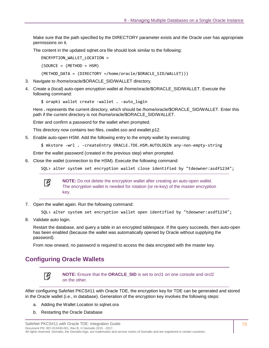Make sure that the path specified by the DIRECTORY parameter exists and the Oracle user has appropriate permissions on it.

The content in the updated sqlnet.ora file should look similar to the following:

ENCRYPTION\_WALLET\_LOCATION =

 $(SOURCE = (METHOD = HSM)$ 

(METHOD\_DATA = (DIRECTORY =/home/oracle/\$ORACLE\_SID/WALLET)))

- 3. Navigate to /home/oracle/\$ORACLE\_SID/WALLET directory.
- 4. Create a (local) auto-open encryption wallet at /home/oracle/\$ORACLE\_SID/WALLET. Execute the following command:

\$ orapki wallet create -wallet . -auto\_login

Here **.** represents the current directory, which should be /home/oracle/\$ORACLE\_SID/WALLET. Enter this path if the current directory is not /home/oracle/\$ORACLE\_SID/WALLET.

Enter and confirm a password for the wallet when prompted.

This directory now contains two files, cwallet.sso and ewallet.p12.

5. Enable auto-open HSM. Add the following entry to the empty wallet by executing:

\$ mkstore -wrl . -createEntry ORACLE.TDE.HSM.AUTOLOGIN any-non-empty-string

Enter the wallet password (created in the previous step) when prompted.

6. Close the wallet (connection to the HSM). Execute the following command:

SQL> alter system set encryption wallet close identified by "tdeowner:asdf1234";



**NOTE:** Do not delete the encryption wallet after creating an auto-open wallet. The encryption wallet is needed for rotation (or re-key) of the master encryption key.

7. Open the wallet again. Run the following command:

```
SQL> alter system set encryption wallet open identified by "tdeowner:asdf1234";
```
8. Validate auto login.

Restart the database, and query a table in an encrypted tablespace. If the query succeeds, then auto-open has been enabled (because the wallet was automatically opened by Oracle without supplying the password).

From now onward, no password is required to access the data encrypted with the master key.

# <span id="page-72-0"></span>**Configuring Oracle Wallets**



**NOTE:** Ensure that the **ORACLE\_SID** is set to orcl1 on one console and orcl2 on the other.

After configuring SafeNet PKCS#11 with Oracle TDE, the encryption key for TDE can be generated and stored in the Oracle wallet (i.e., in database). Generation of the encryption key involves the following steps:

- a. Adding the Wallet Location to sqlnet.ora
- b. Restarting the Oracle Database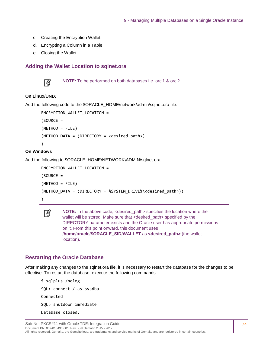- c. Creating the Encryption Wallet
- d. Encrypting a Column in a Table
- e. Closing the Wallet

#### **Adding the Wallet Location to sqlnet.ora**



**NOTE:** To be performed on both databases i.e. orcl1 & orcl2.

#### **On Linux/UNIX**

Add the following code to the \$ORACLE\_HOME/network/admin/sqlnet.ora file.

```
ENCRYPTION_WALLET_LOCATION = 
(SOWRCE =(METHOD = FILE) 
(METHOD DATA = (DIRECTORY = <desired path>)
)
```
#### **On Windows**

Add the following to \$ORACLE\_HOME\NETWORK\ADMIN\sqlnet.ora.

```
ENCRYPTION_WALLET_LOCATION = 
(SOWRCE =(METHOD = FILE) 
(METHOD DATA = (DIRECTORY = %SVSTEM DRIVE% \times desired path))
```


**NOTE:** In the above code, <desired\_path> specifies the location where the wallet will be stored. Make sure that <desired\_path> specified by the DIRECTORY parameter exists and the Oracle user has appropriate permissions on it. From this point onward, this document uses **/home/oracle/\$ORACLE\_SID/WALLET** as **<desired\_path>** (the wallet location).

#### **Restarting the Oracle Database**

After making any changes to the sqlnet.ora file, it is necessary to restart the database for the changes to be effective. To restart the database, execute the following commands:

```
$ sqlplus /nolog 
SQL> connect / as sysdba 
Connected 
SQL> shutdown immediate 
Database closed.
```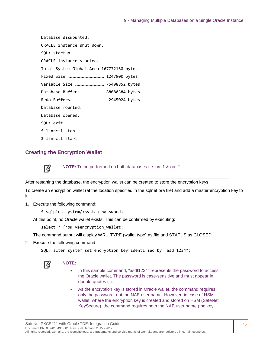Database dismounted. ORACLE instance shut down. SQL> startup ORACLE instance started. Total System Global Area 167772160 bytes Fixed Size ……………………………………… 1247900 bytes Variable Size ……………………………… 75498852 bytes Database Buffers ……………………… 88080384 bytes Redo Buffers …………………………………… 2945024 bytes Database mounted. Database opened. SQL> exit \$ lsnrctl stop \$ lsnrctl start

#### **Creating the Encryption Wallet**

放

**NOTE:** To be performed on both databases i.e. orcl1 & orcl2.

After restarting the database, the encryption wallet can be created to store the encryption keys.

To create an encryption wallet (at the location specified in the sqlnet.ora file) and add a master encryption key to it,

- 1. Execute the following command:
	- \$ sqlplus system/<system\_password>

At this point, no Oracle wallet exists. This can be confirmed by executing:

select \* from v\$encryption\_wallet;

The command output will display WRL\_TYPE (wallet type) as file and STATUS as CLOSED.

2. Execute the following command:

SQL> alter system set encryption key identified by "asdf1234";



#### **NOTE:**

- In this sample command, "asdf1234" represents the password to access the Oracle wallet. The password is case-sensitive and must appear in double-quotes (").
- As the encryption key is stored in Oracle wallet, the command requires only the password, not the NAE user name. However, in case of HSM wallet, where the encryption key is created and stored on HSM (SafeNet KeySecure), the command requires both the NAE user name (the key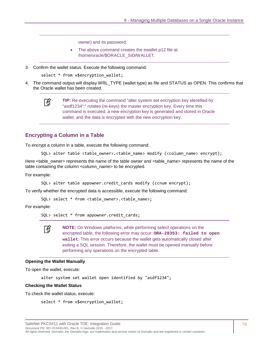owner) and its password.

- The above command creates the ewallet.p12 file at /home/oracle/\$ORACLE\_SID/WALLET.
- 3. Confirm the wallet status. Execute the following command:

select \* from v\$encryption wallet;

4. The command output will display WRL\_TYPE (wallet type) as file and STATUS as OPEN. This confirms that the Oracle wallet has been created.

```
放
```
**TIP:** Re-executing the command "alter system set encryption key identified by "asdf1234";" rotates (re-keys) the master encryption key. Every time this command is executed, a new encryption key is generated and stored in Oracle wallet, and the data is encrypted with the new encryption key.

#### **Encrypting a Column in a Table**

To encrypt a column in a table, execute the following command:

SQL> alter table <table\_owner>.<table\_name> modify (<column\_name> encrypt);

Here <table\_owner> represents the name of the table owner and <table\_name> represents the name of the table containing the column <column\_name> to be encrypted.

For example:

SQL> alter table appowner.credit\_cards modify (ccnum encrypt);

To verify whether the encrypted data is accessible, execute the following command:

SOL> select \* from <table owner>.<table name>;

For example:

SQL> select \* from appowner.credit\_cards;

**NOTE:** On Windows platforms, while performing select operations on the encrypted table, the following error may occur: **ORA-28353: failed to open wallet**. This error occurs because the wallet gets automatically closed after exiting a SQL session. Therefore, the wallet must be opened manually before performing any operations on the encrypted table.

#### **Opening the Wallet Manually**

To open the wallet, execute:

冏

alter system set wallet open identified by "asdf1234";

#### **Checking the Wallet Status**

To check the wallet status, execute:

select \* from v\$encryption\_wallet;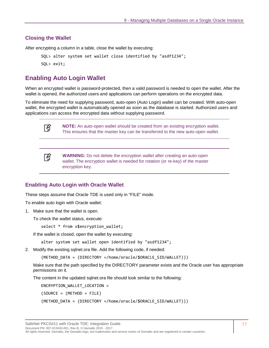#### **Closing the Wallet**

After encrypting a column in a table, close the wallet by executing:

```
SQL> alter system set wallet close identified by "asdf1234"; 
SQL> exit;
```
# <span id="page-76-0"></span>**Enabling Auto Login Wallet**

When an encrypted wallet is password-protected, then a valid password is needed to open the wallet. After the wallet is opened, the authorized users and applications can perform operations on the encrypted data.

To eliminate the need for supplying password, auto-open (Auto Login) wallet can be created. With auto-open wallet, the encrypted wallet is automatically opened as soon as the database is started. Authorized users and applications can access the encrypted data without supplying password.



**NOTE:** An auto-open wallet should be created from an existing encryption wallet. This ensures that the master key can be transferred to the new auto-open wallet.



**WARNING:** Do not delete the encryption wallet after creating an auto-open wallet. The encryption wallet is needed for rotation (or re-key) of the master encryption key.

#### **Enabling Auto Login with Oracle Wallet**

These steps assume that Oracle TDE is used only in "FILE" mode.

To enable auto login with Oracle wallet:

1. Make sure that the wallet is open.

To check the wallet status, execute:

select \* from v\$encryption\_wallet;

If the wallet is closed, open the wallet by executing:

alter system set wallet open identified by "asdf1234";

2. Modify the existing sqlnet.ora file. Add the following code, if needed:

(METHOD\_DATA = (DIRECTORY =/home/oracle/\$ORACLE\_SID/WALLET)))

Make sure that the path specified by the DIRECTORY parameter exists and the Oracle user has appropriate permissions on it.

The content in the updated sqlnet.ora file should look similar to the following:

ENCRYPTION\_WALLET\_LOCATION =

(SOURCE = (METHOD = FILE)

(METHOD\_DATA = (DIRECTORY =/home/oracle/\$ORACLE\_SID/WALLET)))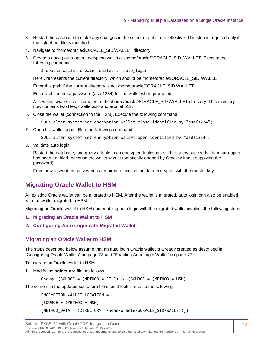- 3. Restart the database to make any changes in the sqlnet.ora file to be effective. This step is required only if the sqlnet.ora file is modified.
- 4. Navigate to /home/oracle/\$ORACLE\_SID/WALLET directory.
- 5. Create a (local) auto-open encryption wallet at /home/oracle/\$ORACLE\_SID /WALLET. Execute the following command:
	- \$ orapki wallet create -wallet . -auto\_login

Here . represents the current directory, which should be /home/oracle/\$ORACLE\_SID /WALLET.

Enter this path if the current directory is not /home/oracle/\$ORACLE\_SID WALLET.

Enter and confirm a password (asdf1234) for the wallet when prompted.

A new file, cwallet.sso, is created at the /home/oracle/\$ORACLE\_SID /WALLET directory. This directory now contains two files, cwallet.sso and ewallet.p12.

- 6. Close the wallet (connection to the HSM). Execute the following command:
	- SQL> alter system set encryption wallet close identified by "asdf1234";
- 7. Open the wallet again. Run the following command:
	- SQL> alter system set encryption wallet open identified by "asdf1234";
- 8. Validate auto login.

Restart the database, and query a table in an encrypted tablespace. If the query succeeds, then auto-open has been enabled (because the wallet was automatically opened by Oracle without supplying the password).

From now onward, no password is required to access the data encrypted with the master key.

# **Migrating Oracle Wallet to HSM**

An existing Oracle wallet can be migrated to HSM. After the wallet is migrated, auto login can also be enabled with the wallet migrated to HSM.

Migrating an Oracle wallet to HSM and enabling auto login with the migrated wallet involves the following steps:

- **1. [Migrating an Oracle Wallet to HSM](#page-77-0)**
- **2. [Configuring Auto Login with Migrated Wallet](#page-78-0)**

#### <span id="page-77-0"></span>**Migrating an Oracle Wallet to HSM**

The steps described below assume that an auto login Oracle wallet is already created as described in ["Configuring Oracle Wallets" on page 73](#page-72-0) and ["Enabling Auto Login Wallet" on page 77.](#page-76-0)

To migrate an Oracle wallet to HSM:

1. Modify the **sqlnet.ora** file, as follows:

Change (SOURCE = (METHOD = FILE) to (SOURCE = (METHOD = HSM).

The content in the updated sqlnet.ora file should look similar to the following:

ENCRYPTION\_WALLET\_LOCATION =

 $(SOURCE = (METHOD = HSM))$ 

(METHOD\_DATA = (DIRECTORY =/home/oracle/\$ORACLE\_SID/WALLET)))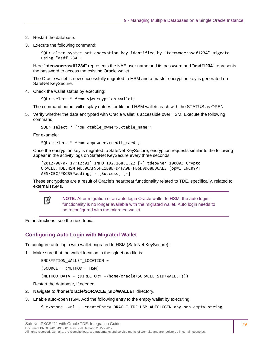- 2. Restart the database.
- 3. Execute the following command:

SQL> alter system set encryption key identified by "tdeowner:asdf1234" migrate using "asdf1234";

Here "**tdeowner:asdf1234**" represents the NAE user name and its password and "**asdf1234**" represents the password to access the existing Oracle wallet.

The Oracle wallet is now successfully migrated to HSM and a master encryption key is generated on SafeNet KeySecure.

4. Check the wallet status by executing:

SQL> select \* from v\$encryption\_wallet;

The command output will display entries for file and HSM wallets each with the STATUS as OPEN.

5. Verify whether the data encrypted with Oracle wallet is accessible over HSM. Execute the following command:

SQL> select \* from <table owner>.<table name>;

For example:

SQL> select \* from appowner.credit cards;

Once the encryption key is migrated to SafeNet KeySecure, encryption requests similar to the following appear in the activity logs on SafeNet KeySecure every three seconds.

```
[2012-08-07 17:12:01] INFO 192.168.1.22 [-] tdeowner 100003 Crypto 
ORACLE.TDE.HSM.MK.06AF95FC1B8BFD4FA0BFFB6D9D68B36AE3 [op#1 ENCRYPT 
AES/CBC/PKCS5Padding] - [Success] [-]
```
These encryptions are a result of Oracle's heartbeat functionality related to TDE, specifically, related to external HSMs.



**NOTE:** After migration of an auto login Oracle wallet to HSM, the auto login functionality is no longer available with the migrated wallet. Auto login needs to be reconfigured with the migrated wallet.

For instructions, see the next topic.

#### <span id="page-78-0"></span>**Configuring Auto Login with Migrated Wallet**

To configure auto login with wallet migrated to HSM (SafeNet KeySecure):

1. Make sure that the wallet location in the sqlnet.ora file is:

ENCRYPTION\_WALLET\_LOCATION =

(SOURCE = (METHOD = HSM)

(METHOD\_DATA = (DIRECTORY =/home/oracle/\$ORACLE\_SID/WALLET)))

Restart the database, if needed.

- 2. Navigate to **/home/oracle/\$ORACLE\_SID/WALLET** directory.
- 3. Enable auto-open HSM. Add the following entry to the empty wallet by executing:

\$ mkstore -wrl . -createEntry ORACLE.TDE.HSM.AUTOLOGIN any-non-empty-string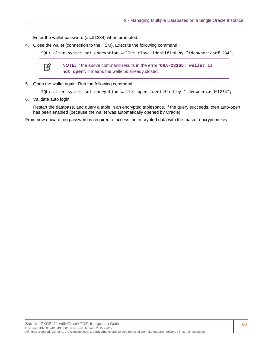Enter the wallet password (asdf1234) when prompted.

4. Close the wallet (connection to the HSM). Execute the following command:

SQL> alter system set encryption wallet close identified by "tdeowner:asdf1234";



**NOTE:** If the above command results in the error "**ORA-28365: wallet is not open**", it means the wallet is already closed.

5. Open the wallet again. Run the following command:

SQL> alter system set encryption wallet open identified by "tdeowner:asdf1234";

6. Validate auto login.

Restart the database, and query a table in an encrypted tablespace. If the query succeeds, then auto-open has been enabled (because the wallet was automatically opened by Oracle).

From now onward, no password is required to access the encrypted data with the master encryption key.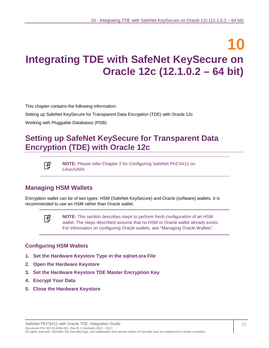# **10 Integrating TDE with SafeNet KeySecure on Oracle 12c (12.1.0.2 – 64 bit)**

This chapter contains the following information:

[Setting up SafeNet KeySecure for Transparent Data Encryption \(TDE\)](#page-80-0) with Oracle 12c

[Working with Pluggable Databases](#page-93-0) (PDB)

# <span id="page-80-0"></span>**Setting up SafeNet KeySecure for Transparent Data Encryption (TDE) with Oracle 12c**



**NOTE:** Please refer Chapter [2](#page-11-0) for [Configuring SafeNet PKCS#11 on](#page-11-1)  [Linux/UNIX.](#page-11-1)

# <span id="page-80-1"></span>**Managing HSM Wallets**

Encryption wallet can be of two types: HSM (SafeNet KeySecure) and Oracle (software) wallets. It is recommended to use an HSM rather than Oracle wallet.



**NOTE:** This section describes steps to perform fresh configuration of an HSM wallet. The steps described assume that no HSM or Oracle wallet already exists. For information on configuring Oracle wallets, see ["Managing Oracle Wallets"](#page-85-0).

#### **Configuring HSM Wallets**

- **1. [Set the Hardware Keystore Type in the sqlnet.ora File](#page-81-0)**
- **2. [Open the Hardware Keystore](#page-81-1)**
- **3. [Set the Hardware Keystore TDE Master Encryption Key](#page-81-2)**
- **4. [Encrypt Your Data](#page-82-0)**
- **5. [Close the Hardware Keystore](#page-83-0)**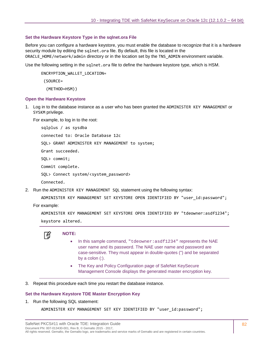#### <span id="page-81-0"></span>**Set the Hardware Keystore Type in the sqlnet.ora File**

Before you can configure a hardware keystore, you must enable the database to recognize that it is a hardware security module by editing the sqlnet.ora file. By default, this file is located in the ORACLE\_HOME/network/admin directory or in the location set by the TNS\_ADMIN environment variable.

Use the following setting in the sqlnet.ora file to define the hardware keystore type, which is HSM.

ENCRYPTION\_WALLET\_LOCATION= (SOURCE=

(METHOD=HSM))

#### <span id="page-81-1"></span>**Open the Hardware Keystore**

1. Log in to the database instance as a user who has been granted the ADMINISTER KEY MANAGEMENT or SYSKM privilege.

For example, to log in to the root:

sqlplus / as sysdba connected to: Oracle Database 12c SQL> GRANT ADMINISTER KEY MANAGEMENT to system; Grant succeeded. SQL> commit; Commit complete. SQL> Connect system/<system password> Connected.

2. Run the ADMINISTER KEY MANAGEMENT SQL statement using the following syntax:

ADMINISTER KEY MANAGEMENT SET KEYSTORE OPEN IDENTIFIED BY "user\_id:password";

For example:

```
ADMINISTER KEY MANAGEMENT SET KEYSTORE OPEN IDENTIFIED BY "tdeowner:asdf1234";
keystore altered.
```


#### **NOTE:**

- In this sample command, "tdeowner: asdf1234" represents the NAE user name and its password. The NAE user name and password are case-sensitive. They must appear in double-quotes (") and be separated by a colon (:).
- The Key and Policy Configuration page of SafeNet KeySecure Management Console displays the generated master encryption key.
- 3. Repeat this procedure each time you restart the database instance.

#### <span id="page-81-2"></span>**Set the Hardware Keystore TDE Master Encryption Key**

1. Run the following SQL statement:

ADMINISTER KEY MANAGEMENT SET KEY IDENTIFIED BY "user\_id:password";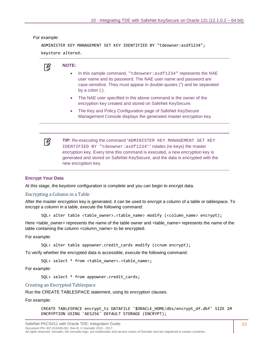For example:

```
ADMINISTER KEY MANAGEMENT SET KEY IDENTIFIED BY "tdeowner:asdf1234";
keystore altered.
```


#### **NOTE:**

- In this sample command, "tdeowner: asdf1234" represents the NAE user name and its password. The NAE user name and password are case-sensitive. They must appear in double-quotes (") and be separated by a colon  $(:).$
- The NAE user specified in the above command is the owner of the encryption key created and stored on SafeNet KeySecure.
- The Key and Policy Configuration page of SafeNet KeySecure Management Console displays the generated master encryption key.



**TIP:** Re-executing the command "ADMINISTER KEY MANAGEMENT SET KEY IDENTIFIED BY "tdeowner:asdf1234";" rotates (re-keys) the master encryption key. Every time this command is executed, a new encryption key is generated and stored on SafeNet KeySecure, and the data is encrypted with the new encryption key.

#### <span id="page-82-0"></span>**Encrypt Your Data**

At this stage, the keystore configuration is complete and you can begin to encrypt data.

#### Encrypting a Column in a Table

After the master encryption key is generated, it can be used to encrypt a column of a table or tablespace. To encrypt a column in a table, execute the following command:

```
SQL> alter table <table_owner>.<table_name> modify (<column_name> encrypt);
```
Here <table\_owner> represents the name of the table owner and <table\_name> represents the name of the table containing the column <column\_name> to be encrypted.

For example:

SQL> alter table appowner.credit\_cards modify (ccnum encrypt);

To verify whether the encrypted data is accessible, execute the following command:

SQL> select \* from <table\_owner>.<table\_name>;

For example:

SQL> select \* from appowner.credit cards;

Creating an Encrypted Tablespace

Run the CREATE TABLESPACE statement, using its encryption clauses.

For example:

CREATE TABLESPACE encrypt\_ts DATAFILE '\$ORACLE\_HOME/dbs/encrypt\_df.dbf' SIZE 1M ENCRYPTION USING 'AES256' DEFAULT STORAGE (ENCRYPT);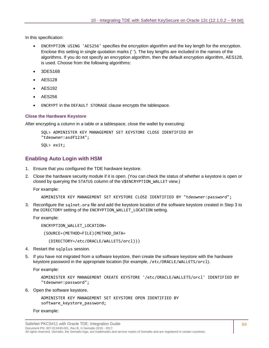In this specification:

- ENCRYPTION USING 'AES256' specifies the encryption algorithm and the key length for the encryption. Enclose this setting in single quotation marks (' '). The key lengths are included in the names of the algorithms. If you do not specify an encryption algorithm, then the default encryption algorithm, AES128, is used. Choose from the following algorithms:
- 3DES168
- AES128
- AES192
- AES256
- ENCRYPT in the DEFAULT STORAGE clause encrypts the tablespace.

#### <span id="page-83-0"></span>**Close the Hardware Keystore**

After encrypting a column in a table or a tablespace, close the wallet by executing:

```
SQL> ADMINISTER KEY MANAGEMENT SET KEYSTORE CLOSE IDENTIFIED BY 
"tdeowner:asdf1234";
```
SQL> exit;

## **Enabling Auto Login with HSM**

- 1. Ensure that you configured the TDE hardware keystore.
- 2. Close the hardware security module if it is open. (You can check the status of whether a keystore is open or closed by querying the STATUS column of the V\$ENCRYPTION\_WALLET view.)

For example:

```
ADMINISTER KEY MANAGEMENT SET KEYSTORE CLOSE IDENTIFIED BY "tdeowner:password";
```
3. Reconfigure the sqlnet.ora file and add the keystore location of the software keystore created in Step 3 to the DIRECTORY setting of the ENCRYPTION\_WALLET\_LOCATION setting.

For example:

ENCRYPTION\_WALLET\_LOCATION=

(SOURCE=(METHOD=FILE)(METHOD\_DATA=

```
 (DIRECTORY=/etc/ORACLE/WALLETS/orcl)))
```
- 4. Restart the sqlplus session.
- 5. If you have not migrated from a software keystore, then create the software keystore with the hardware keystore password in the appropriate location (for example, /etc/ORACLE/WALLETS/orcl).

For example:

```
ADMINISTER KEY MANAGEMENT CREATE KEYSTORE '/etc/ORACLE/WALLETS/orcl' IDENTIFIED BY 
"tdeowner:password";
```
6. Open the software keystore.

```
ADMINISTER KEY MANAGEMENT SET KEYSTORE OPEN IDENTIFIED BY 
software_keystore_password;
```
For example: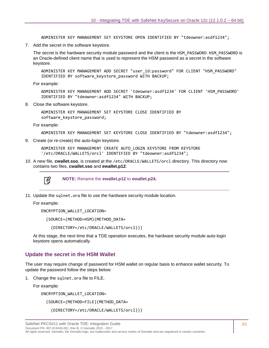ADMINISTER KEY MANAGEMENT SET KEYSTORE OPEN IDENTIFIED BY "tdeowner:asdf1234";

7. Add the secret in the software keystore.

The secret is the hardware security module password and the client is the HSM\_PASSWORD. HSM\_PASSWORD is an Oracle-defined client name that is used to represent the HSM password as a secret in the software keystore.

ADMINISTER KEY MANAGEMENT ADD SECRET "user\_id:password" FOR CLIENT "HSM\_PASSWORD" IDENTIFIED BY software keystore password WITH BACKUP;

For example:

ADMINISTER KEY MANAGEMENT ADD SECRET 'tdeowner:asdf1234' FOR CLIENT 'HSM\_PASSWORD' IDENTIFIED BY "tdeowner:asdf1234" WITH BACKUP;

8. Close the software keystore.

ADMINISTER KEY MANAGEMENT SET KEYSTORE CLOSE IDENTIFIED BY software keystore password;

For example:

```
ADMINISTER KEY MANAGEMENT SET KEYSTORE CLOSE IDENTIFIED BY "tdeowner:asdf1234";
```
9. Create (or re-create) the auto-login keystore.

ADMINISTER KEY MANAGEMENT CREATE AUTO\_LOGIN KEYSTORE FROM KEYSTORE '/etc/ORACLE/WALLETS/orcl' IDENTIFIED BY "tdeowner:asdf1234";

10. A new file, **cwallet.sso**, is created at the /etc/ORACLE/WALLETS/orcl directory. This directory now contains two files, **cwallet.sso** and **ewallet.p12**.



**NOTE:** Rename the **ewallet.p12** to **ewallet.p24.**

11. Update the sqlnet.ora file to use the hardware security module location.

For example:

ENCRYPTION\_WALLET\_LOCATION=

(SOURCE=(METHOD=HSM)(METHOD\_DATA=

```
 (DIRECTORY=/etc/ORACLE/WALLETS/orcl)))
```
At this stage, the next time that a TDE operation executes, the hardware security module auto-login keystore opens automatically.

#### **Update the secret in the HSM Wallet**

The user may require change of password for HSM wallet on regular basis to enhance wallet security. To update the password follow the steps below:

1. Change the sqlnet.ora file to FILE.

For example:

ENCRYPTION\_WALLET\_LOCATION=

(SOURCE=(METHOD=FILE)(METHOD\_DATA=

(DIRECTORY=/etc/ORACLE/WALLETS/orcl)))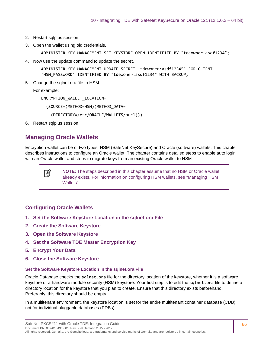- 2. Restart sqlplus session.
- 3. Open the wallet using old credentials.

ADMINISTER KEY MANAGEMENT SET KEYSTORE OPEN IDENTIFIED BY "tdeowner:asdf1234";

4. Now use the update command to update the secret.

ADMINISTER KEY MANAGEMENT UPDATE SECRET 'tdewoner:asdf12345' FOR CLIENT 'HSM\_PASSWORD' IDENTIFIED BY "tdewoner:asdf1234" WITH BACKUP;

5. Change the sqlnet.ora file to HSM.

For example:

ENCRYPTION\_WALLET\_LOCATION=

(SOURCE=(METHOD=HSM)(METHOD\_DATA=

(DIRECTORY=/etc/ORACLE/WALLETS/orcl)))

6. Restart sqlplus session.

# <span id="page-85-0"></span>**Managing Oracle Wallets**

Encryption wallet can be of two types: HSM (SafeNet KeySecure) and Oracle (software) wallets. This chapter describes instructions to configure an Oracle wallet. The chapter contains detailed steps to enable auto login with an Oracle wallet and steps to migrate keys from an existing Oracle wallet to HSM.



**NOTE:** The steps described in this chapter assume that no HSM or Oracle wallet already exists. For information on configuring HSM wallets, see ["Managing HSM](#page-80-1)  [Wallets"](#page-80-1).

#### **Configuring Oracle Wallets**

- **1. [Set the Software Keystore Location in the sqlnet.ora File](#page-85-1)**
- **2. [Create the Software Keystore](#page-86-0)**
- **3. [Open the Software Keystore](#page-87-0)**
- **4. [Set the Software TDE Master Encryption Key](#page-87-1)**
- **5. [Encrypt Your Data](#page-87-2)**
- **6. [Close the Software Keystore](#page-88-0)**

#### <span id="page-85-1"></span>**Set the Software Keystore Location in the sqlnet.ora File**

Oracle Database checks the sqlnet.ora file for the directory location of the keystore, whether it is a software keystore or a hardware module security (HSM) keystore. Your first step is to edit the sqlnet.ora file to define a directory location for the keystore that you plan to create. Ensure that this directory exists beforehand. Preferably, this directory should be empty.

In a multitenant environment, the keystore location is set for the entire multitenant container database (CDB), not for individual pluggable databases (PDBs).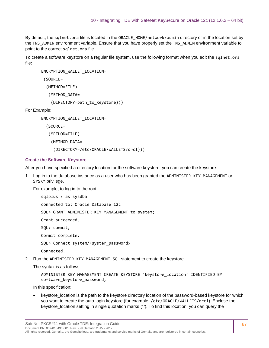By default, the sqlnet.ora file is located in the ORACLE\_HOME/network/admin directory or in the location set by the TNS\_ADMIN environment variable. Ensure that you have properly set the TNS\_ADMIN environment variable to point to the correct sqlnet.ora file.

To create a software keystore on a regular file system, use the following format when you edit the sqlnet.ora file:

```
ENCRYPTION_WALLET_LOCATION=
 (SOURCE=
   (METHOD=FILE)
    (METHOD_DATA=
     (DIRECTORY=path_to_keystore)))
```
For Example:

ENCRYPTION\_WALLET\_LOCATION=

```
 (SOURCE=
```

```
 (METHOD=FILE)
  (METHOD_DATA=
   (DIRECTORY=/etc/ORACLE/WALLETS/orcl)))
```
#### <span id="page-86-0"></span>**Create the Software Keystore**

After you have specified a directory location for the software keystore, you can create the keystore.

1. Log in to the database instance as a user who has been granted the ADMINISTER KEY MANAGEMENT or SYSKM privilege.

For example, to log in to the root:

sqlplus / as sysdba connected to: Oracle Database 12c SQL> GRANT ADMINISTER KEY MANAGEMENT to system; Grant succeeded. SQL> commit; Commit complete. SQL> Connect system/<system password> Connected.

2. Run the ADMINISTER KEY MANAGEMENT SQL statement to create the keystore.

The syntax is as follows:

```
ADMINISTER KEY MANAGEMENT CREATE KEYSTORE 'keystore_location' IDENTIFIED BY 
software_keystore_password;
```
In this specification:

• keystore\_location is the path to the keystore directory location of the password-based keystore for which you want to create the auto-login keystore (for example, /etc/ORACLE/WALLETS/orcl). Enclose the keystore\_location setting in single quotation marks (' '). To find this location, you can query the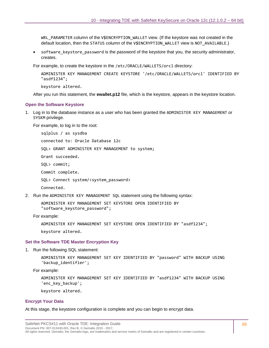WRL\_PARAMETER column of the V\$ENCRYPTION\_WALLET view. (If the keystore was not created in the default location, then the STATUS column of the V\$ENCRYPTION\_WALLET view is NOT\_AVAILABLE.)

• software keystore password is the password of the keystore that you, the security administrator, creates.

For example, to create the keystore in the /etc/ORACLE/WALLETS/orcl directory:

ADMINISTER KEY MANAGEMENT CREATE KEYSTORE '/etc/ORACLE/WALLETS/orcl' IDENTIFIED BY "asdf1234";

keystore altered.

After you run this statement, the **ewallet.p12** file, which is the keystore, appears in the keystore location.

#### <span id="page-87-0"></span>**Open the Software Keystore**

1. Log in to the database instance as a user who has been granted the ADMINISTER KEY MANAGEMENT or SYSKM privilege.

For example, to log in to the root:

sqlplus / as sysdba connected to: Oracle Database 12c SQL> GRANT ADMINISTER KEY MANAGEMENT to system; Grant succeeded. SQL> commit; Commit complete. SQL> Connect system/<system password> Connected.

2. Run the ADMINISTER KEY MANAGEMENT SQL statement using the following syntax:

ADMINISTER KEY MANAGEMENT SET KEYSTORE OPEN IDENTIFIED BY "software keystore password";

For example:

ADMINISTER KEY MANAGEMENT SET KEYSTORE OPEN IDENTIFIED BY "asdf1234";

keystore altered.

#### <span id="page-87-1"></span>**Set the Software TDE Master Encryption Key**

1. Run the following SQL statement:

ADMINISTER KEY MANAGEMENT SET KEY IDENTIFIED BY "password" WITH BACKUP USING 'backup\_identifier';

For example:

ADMINISTER KEY MANAGEMENT SET KEY IDENTIFIED BY "asdf1234" WITH BACKUP USING 'enc\_key\_backup';

keystore altered.

#### <span id="page-87-2"></span>**Encrypt Your Data**

At this stage, the keystore configuration is complete and you can begin to encrypt data.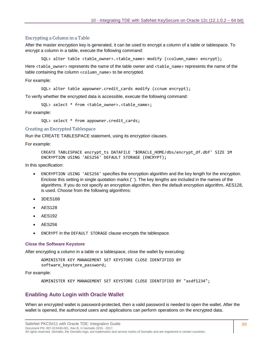#### Encrypting a Column in a Table

After the master encryption key is generated, it can be used to encrypt a column of a table or tablespace. To encrypt a column in a table, execute the following command:

SQL> alter table <table owner>.<table name> modify (<column name> encrypt);

Here <table\_owner> represents the name of the table owner and <table\_name> represents the name of the table containing the column <column\_name> to be encrypted.

For example:

SQL> alter table appowner.credit\_cards modify (ccnum encrypt);

To verify whether the encrypted data is accessible, execute the following command:

SQL> select \* from <table\_owner>.<table\_name>;

For example:

SQL> select \* from appowner.credit\_cards;

Creating an Encrypted Tablespace

Run the CREATE TABLESPACE statement, using its encryption clauses.

For example:

```
CREATE TABLESPACE encrypt_ts DATAFILE '$ORACLE_HOME/dbs/encrypt_df.dbf' SIZE 1M 
ENCRYPTION USING 'AES256' DEFAULT STORAGE (ENCRYPT);
```
In this specification:

- ENCRYPTION USING 'AES256' specifies the encryption algorithm and the key length for the encryption. Enclose this setting in single quotation marks (' '). The key lengths are included in the names of the algorithms. If you do not specify an encryption algorithm, then the default encryption algorithm, AES128, is used. Choose from the following algorithms:
- 3DES168
- AES128
- AES192
- AES256
- ENCRYPT in the DEFAULT STORAGE clause encrypts the tablespace.

#### <span id="page-88-0"></span>**Close the Software Keystore**

After encrypting a column in a table or a tablespace, close the wallet by executing:

```
ADMINISTER KEY MANAGEMENT SET KEYSTORE CLOSE IDENTIFIED BY 
software_keystore_password;
```
For example:

ADMINISTER KEY MANAGEMENT SET KEYSTORE CLOSE IDENTIFIED BY "asdf1234";

#### **Enabling Auto Login with Oracle Wallet**

When an encrypted wallet is password-protected, then a valid password is needed to open the wallet. After the wallet is opened, the authorized users and applications can perform operations on the encrypted data.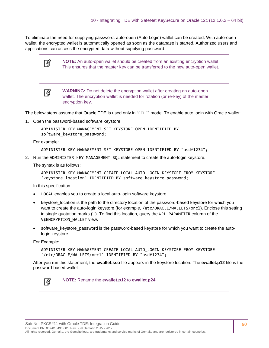To eliminate the need for supplying password, auto-open (Auto Login) wallet can be created. With auto-open wallet, the encrypted wallet is automatically opened as soon as the database is started. Authorized users and applications can access the encrypted data without supplying password.

冏

**NOTE:** An auto-open wallet should be created from an existing encryption wallet. This ensures that the master key can be transferred to the new auto-open wallet.

冏

**WARNING:** Do not delete the encryption wallet after creating an auto-open wallet. The encryption wallet is needed for rotation (or re-key) of the master encryption key.

The below steps assume that Oracle TDE is used only in "FILE" mode. To enable auto login with Oracle wallet:

1. Open the password-based software keystore

ADMINISTER KEY MANAGEMENT SET KEYSTORE OPEN IDENTIFIED BY software keystore password;

For example:

ADMINISTER KEY MANAGEMENT SET KEYSTORE OPEN IDENTIFIED BY "asdf1234";

2. Run the ADMINISTER KEY MANAGEMENT SQL statement to create the auto-login keystore.

The syntax is as follows:

ADMINISTER KEY MANAGEMENT CREATE LOCAL AUTO\_LOGIN KEYSTORE FROM KEYSTORE 'keystore\_location' IDENTIFIED BY software\_keystore\_password;

In this specification:

- LOCAL enables you to create a local auto-login software keystore.
- keystore\_location is the path to the directory location of the password-based keystore for which you want to create the auto-login keystore (for example, /etc/ORACLE/WALLETS/orcl). Enclose this setting in single quotation marks (' '). To find this location, query the WRL PARAMETER column of the V\$ENCRYPTION\_WALLET view.
- software keystore password is the password-based keystore for which you want to create the autologin keystore.

For Example:

ADMINISTER KEY MANAGEMENT CREATE LOCAL AUTO\_LOGIN KEYSTORE FROM KEYSTORE '/etc/ORACLE/WALLETS/orcl' IDENTIFIED BY "asdf1234";

After you run this statement, the **cwallet.sso** file appears in the keystore location. The **ewallet.p12** file is the password-based wallet.



**NOTE:** Rename the **ewallet.p12** to **ewallet.p24**.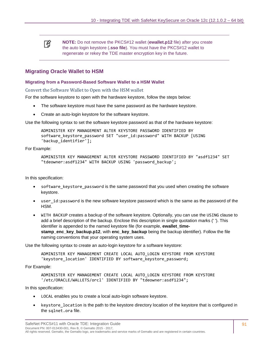冏 **NOTE:** Do not remove the PKCS#12 wallet (**ewallet.p12** file) after you create the auto login keystore (**.sso file**). You must have the PKCS#12 wallet to regenerate or rekey the TDE master encryption key in the future.

#### **Migrating Oracle Wallet to HSM**

#### **Migrating from a Password-Based Software Wallet to a HSM Wallet**

Convert the Software Wallet to Open with the HSM wallet

For the software keystore to open with the hardware keystore, follow the steps below:

- The software keystore must have the same password as the hardware keystore.
- Create an auto-login keystore for the software keystore.

Use the following syntax to set the software keystore password as that of the hardware keystore:

ADMINISTER KEY MANAGEMENT ALTER KEYSTORE PASSWORD IDENTIFIED BY software keystore password SET "user id:password" WITH BACKUP [USING 'backup\_identifier'];

For Example:

```
ADMINISTER KEY MANAGEMENT ALTER KEYSTORE PASSWORD IDENTIFIED BY "asdf1234" SET 
"tdeowner:asdf1234" WITH BACKUP USING 'password_backup';
```
In this specification:

- software keystore password is the same password that you used when creating the software keystore.
- user\_id:password is the new software keystore password which is the same as the password of the HSM.
- WITH BACKUP creates a backup of the software keystore. Optionally, you can use the USING clause to add a brief description of the backup. Enclose this description in single quotation marks (' '). This identifier is appended to the named keystore file (for example, **ewallet\_timestamp\_enc\_key\_backup.p12**, with **enc\_key\_backup** being the backup identifier). Follow the file naming conventions that your operating system uses.

Use the following syntax to create an auto-login keystore for a software keystore:

ADMINISTER KEY MANAGEMENT CREATE LOCAL AUTO\_LOGIN KEYSTORE FROM KEYSTORE 'keystore\_location' IDENTIFIED BY software\_keystore\_password;

For Example:

```
ADMINISTER KEY MANAGEMENT CREATE LOCAL AUTO_LOGIN KEYSTORE FROM KEYSTORE 
'/etc/ORACLE/WALLETS/orcl' IDENTIFIED BY "tdeowner:asdf1234";
```
In this specification:

- LOCAL enables you to create a local auto-login software keystore.
- keystore location is the path to the keystore directory location of the keystore that is configured in the sqlnet.ora file.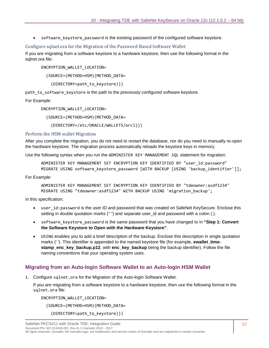• software keystore password is the existing password of the configured software keystore.

#### Configure sqlnet.ora for the Migration of the Password-Based Software Wallet

If you are migrating from a software keystore to a hardware keystore, then use the following format in the sglnet.ora file:

ENCRYPTION\_WALLET\_LOCATION=

(SOURCE=(METHOD=HSM)(METHOD\_DATA=

```
 (DIRECTORY=path_to_keystore)))
```
path to software keystore is the path to the previously configured software keystore.

For Example:

ENCRYPTION\_WALLET\_LOCATION=

(SOURCE=(METHOD=HSM)(METHOD\_DATA=

(DIRECTORY=/etc/ORACLE/WALLETS/orcl)))

#### Perform the HSM wallet Migration

After you complete the migration, you do not need to restart the database, nor do you need to manually re-open the hardware keystore. The migration process automatically reloads the keystore keys in memory.

Use the following syntax when you run the ADMINISTER KEY MANAGEMENT SQL statement for migration:

ADMINISTER KEY MANAGEMENT SET ENCRYPTION KEY IDENTIFIED BY "user\_id:password" MIGRATE USING software\_keystore\_password [WITH BACKUP [USING 'backup\_identifier']];

For Example:

ADMINISTER KEY MANAGEMENT SET ENCRYPTION KEY IDENTIFIED BY "tdeowner:asdf1234" MIGRATE USING "tdeowner:asdf1234" WITH BACKUP USING 'migration\_backup';

In this specification:

- user id:password is the user ID and password that was created on SafeNet KeySecure. Enclose this setting in double quotation marks (" ") and separate user\_id and password with a colon (:).
- software\_keystore\_password is the same password that you have changed to in **"Step 1: Convert the Software Keystore to Open with the Hardware Keystore"**.
- USING enables you to add a brief description of the backup. Enclose this description in single quotation marks ('). This identifier is appended to the named keystore file (for example, **ewallet timestamp\_enc\_key\_backup.p12**, with **enc\_key\_backup** being the backup identifier). Follow the file naming conventions that your operating system uses.

#### **Migrating from an Auto-login Software Wallet to an Auto-login HSM Wallet**

1. Configure sqlnet.ora for the Migration of the Auto-login Software Wallet.

If you are migrating from a software keystore to a hardware keystore, then use the following format in the sqlnet.ora file:

ENCRYPTION\_WALLET\_LOCATION=

(SOURCE=(METHOD=HSM)(METHOD\_DATA=

(DIRECTORY=path\_to\_keystore)))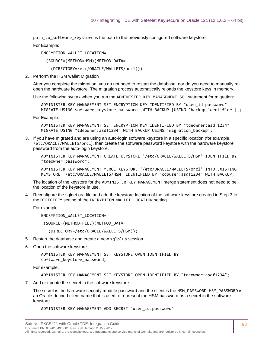path to software keystore is the path to the previously configured software keystore.

For Example:

ENCRYPTION\_WALLET\_LOCATION=

(SOURCE=(METHOD=HSM)(METHOD\_DATA=

(DIRECTORY=/etc/ORACLE/WALLETS/orcl)))

2. Perform the HSM wallet Migration

After you complete the migration, you do not need to restart the database, nor do you need to manually reopen the hardware keystore. The migration process automatically reloads the keystore keys in memory.

Use the following syntax when you run the ADMINISTER KEY MANAGEMENT SQL statement for migration:

ADMINISTER KEY MANAGEMENT SET ENCRYPTION KEY IDENTIFIED BY "user\_id:password" MIGRATE USING software keystore password [WITH BACKUP [USING 'backup identifier']];

For Example:

ADMINISTER KEY MANAGEMENT SET ENCRYPTION KEY IDENTIFIED BY "tdeowner:asdf1234" MIGRATE USING "tdeowner:asdf1234" WITH BACKUP USING 'migration\_backup';

3. If you have migrated and are using an auto-login software keystore in a specific location (for example, /etc/ORACLE/WALLETS/orcl), then create the software password keystore with the hardware keystore password from the auto-login keystore.

ADMINISTER KEY MANAGEMENT CREATE KEYSTORE '/etc/ORACLE/WALLETS/HSM' IDENTIFIED BY "tdeowner:password";

ADMINISTER KEY MANAGEMENT MERGE KEYSTORE '/etc/ORACLE/WALLETS/orcl' INTO EXISTING KEYSTORE '/etc/ORACLE/WALLETS/HSM' IDENTIFIED BY "cdbuser:asdf1234" WITH BACKUP;

The location of the keystore for the ADMINISTER KEY MANAGEMENT merge statement does not need to be the location of the keystore in use.

4. Reconfigure the sqlnet.ora file and add the keystore location of the software keystore created in Step 3 to the DIRECTORY setting of the ENCRYPTION\_WALLET\_LOCATION setting.

For example:

ENCRYPTION\_WALLET\_LOCATION=

(SOURCE=(METHOD=FILE)(METHOD\_DATA=

(DIRECTORY=/etc/ORACLE/WALLETS/HSM)))

- 5. Restart the database and create a new sqlplus session.
- 6. Open the software keystore.

ADMINISTER KEY MANAGEMENT SET KEYSTORE OPEN IDENTIFIED BY software keystore password;

For example:

ADMINISTER KEY MANAGEMENT SET KEYSTORE OPEN IDENTIFIED BY "tdeowner:asdf1234";

7. Add or update the secret in the software keystore.

The secret is the hardware security module password and the client is the HSM\_PASSWORD. HSM\_PASSWORD is an Oracle-defined client name that is used to represent the HSM password as a secret in the software keystore.

ADMINISTER KEY MANAGEMENT ADD SECRET "user\_id:password"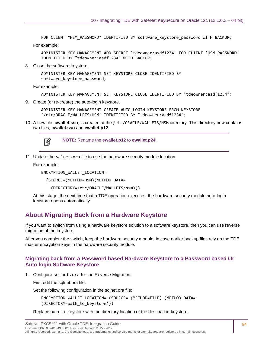FOR CLIENT "HSM\_PASSWORD" IDENTIFIED BY software\_keystore\_password WITH BACKUP;

For example:

ADMINISTER KEY MANAGEMENT ADD SECRET 'tdeowner:asdf1234' FOR CLIENT 'HSM\_PASSWORD' IDENTIFIED BY "tdeowner:asdf1234" WITH BACKUP;

8. Close the software keystore.

ADMINISTER KEY MANAGEMENT SET KEYSTORE CLOSE IDENTIFIED BY software keystore password;

For example:

ADMINISTER KEY MANAGEMENT SET KEYSTORE CLOSE IDENTIFIED BY "tdeowner:asdf1234";

9. Create (or re-create) the auto-login keystore.

ADMINISTER KEY MANAGEMENT CREATE AUTO\_LOGIN KEYSTORE FROM KEYSTORE '/etc/ORACLE/WALLETS/HSM' IDENTIFIED BY "tdeowner:asdf1234";

10. A new file, **cwallet.sso**, is created at the /etc/ORACLE/WALLETS/HSM directory. This directory now contains two files, **cwallet.sso** and **ewallet.p12**.



**NOTE:** Rename the **ewallet.p12** to **ewallet.p24**.

11. Update the sqlnet.ora file to use the hardware security module location.

For example:

ENCRYPTION\_WALLET\_LOCATION=

(SOURCE=(METHOD=HSM)(METHOD\_DATA=

(DIRECTORY=/etc/ORACLE/WALLETS/hsm)))

At this stage, the next time that a TDE operation executes, the hardware security module auto-login keystore opens automatically.

# <span id="page-93-0"></span>**About Migrating Back from a Hardware Keystore**

If you want to switch from using a hardware keystore solution to a software keystore, then you can use reverse migration of the keystore.

After you complete the switch, keep the hardware security module, in case earlier backup files rely on the TDE master encryption keys in the hardware security module.

#### <span id="page-93-1"></span>**Migrating back from a Password based Hardware Keystore to a Password based Or Auto login Software Keystore**

1. Configure sqlnet.ora for the Reverse Migration.

First edit the sqlnet.ora file.

Set the following configuration in the sqlnet.ora file:

ENCRYPTION\_WALLET\_LOCATION= (SOURCE= (METHOD=FILE) (METHOD\_DATA= (DIRECTORY=path\_to\_keystore)))

Replace path\_to\_keystore with the directory location of the destination keystore.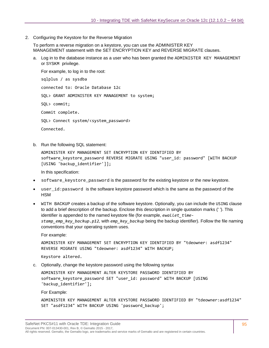2. Configuring the Keystore for the Reverse Migration

To perform a reverse migration on a keystore, you can use the ADMINISTER KEY MANAGEMENT statement with the SET ENCRYPTION KEY and REVERSE MIGRATE clauses.

a. Log in to the database instance as a user who has been granted the ADMINISTER KEY MANAGEMENT or SYSKM privilege.

For example, to log in to the root: sqlplus / as sysdba connected to: Oracle Database 12c SQL> GRANT ADMINISTER KEY MANAGEMENT to system; SQL> commit; Commit complete. SOL> Connect system/<system password> Connected.

b. Run the following SQL statement:

ADMINISTER KEY MANAGEMENT SET ENCRYPTION KEY IDENTIFIED BY software keystore password REVERSE MIGRATE USING "user id: password" [WITH BACKUP [USING 'backup\_identifier']];

In this specification:

- software\_keystore\_password is the password for the existing keystore or the new keystore.
- user $_id$ : password is the software keystore password which is the same as the password of the HSM
- WITH BACKUP creates a backup of the software keystore. Optionally, you can include the USING clause to add a brief description of the backup. Enclose this description in single quotation marks (' '). This identifier is appended to the named keystore file (for example, *ewallet\_timestamp\_emp\_key\_backup.p12,* with *emp\_key\_backup* being the backup identifier). Follow the file naming conventions that your operating system uses.

For example:

ADMINISTER KEY MANAGEMENT SET ENCRYPTION KEY IDENTIFIED BY "tdeowner: asdf1234" REVERSE MIGRATE USING "tdeowner: asdf1234" WITH BACKUP;

Keystore altered.

c. Optionally, change the keystore password using the following syntax

ADMINISTER KEY MANAGEMENT ALTER KEYSTORE PASSWORD IDENTIFIED BY software\_keystore\_password SET "user\_id: password" WITH BACKUP [USING 'backup\_identifier'];

For Example:

ADMINISTER KEY MANAGEMENT ALTER KEYSTORE PASSWORD IDENTIFIED BY "tdeowner:asdf1234" SET "asdf1234" WITH BACKUP USING 'password\_backup';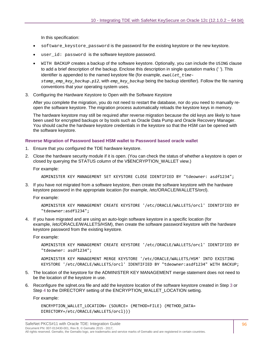In this specification:

- software\_keystore\_password is the password for the existing keystore or the new keystore.
- user  $id:$  password is the software keystore password.
- WITH BACKUP creates a backup of the software keystore. Optionally, you can include the USING clause to add a brief description of the backup. Enclose this description in single quotation marks (' '). This identifier is appended to the named keystore file (for example, *ewallet\_timestamp\_emp\_key\_backup.p12*, with *emp\_key\_backup* being the backup identifier). Follow the file naming conventions that your operating system uses.
- 3. Configuring the Hardware Keystore to Open with the Software Keystore

After you complete the migration, you do not need to restart the database, nor do you need to manually reopen the software keystore. The migration process automatically reloads the keystore keys in memory.

The hardware keystore may still be required after reverse migration because the old keys are likely to have been used for encrypted backups or by tools such as Oracle Data Pump and Oracle Recovery Manager. You should cache the hardware keystore credentials in the keystore so that the HSM can be opened with the software keystore.

#### **Reverse Migration of Password based HSM wallet to Password based oracle wallet**

- 1. Ensure that you configured the TDE hardware keystore.
- 2. Close the hardware security module if it is open. (You can check the status of whether a keystore is open or closed by querying the STATUS column of the V\$ENCRYPTION\_WALLET view.)

For example:

ADMINISTER KEY MANAGEMENT SET KEYSTORE CLOSE IDENTIFIED BY "tdeowner: asdf1234";

3. If you have not migrated from a software keystore, then create the software keystore with the hardware keystore password in the appropriate location (for example, /etc/ORACLE/WALLETS/orcl).

For example:

```
ADMINISTER KEY MANAGEMENT CREATE KEYSTORE '/etc/ORACLE/WALLETS/orcl' IDENTIFIED BY 
"tdeowner:asdf1234";
```
4. If you have migrated and are using an auto-login software keystore in a specific location (for example, /etc/ORACLE/WALLETS/HSM), then create the software password keystore with the hardware keystore password from the existing keystore.

For example:

ADMINISTER KEY MANAGEMENT CREATE KEYSTORE '/etc/ORACLE/WALLETS/orcl' IDENTIFIED BY "tdeowner: asdf1234";

ADMINISTER KEY MANAGEMENT MERGE KEYSTORE '/etc/ORACLE/WALLETS/HSM' INTO EXISTING KEYSTORE '/etc/ORACLE/WALLETS/orcl' IDENTIFIED BY "tdeowner:asdf1234" WITH BACKUP;

- 5. The location of the keystore for the ADMINISTER KEY MANAGEMENT merge statement does not need to be the location of the keystore in use.
- 6. Reconfigure the sqlnet.ora file and add the keystore location of the software keystore created in Step [3](https://docs.oracle.com/database/121/ASOAG/asotrans_mgr.htm#GUID-1E8CD504-A87D-4690-8076-B2F1BA8EC645__BGBDIAAD) or Step [4](https://docs.oracle.com/database/121/ASOAG/asotrans_mgr.htm#GUID-1E8CD504-A87D-4690-8076-B2F1BA8EC645__BGBEECCF) to the DIRECTORY setting of the ENCRYPTION\_WALLET\_LOCATION setting.

For example:

```
ENCRYPTION_WALLET_LOCATION= (SOURCE= (METHOD=FILE) (METHOD_DATA=
DIRECTORY=/etc/ORACLE/WALLETS/orcl)))
```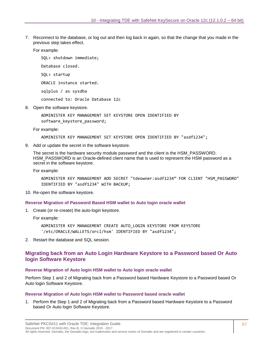7. Reconnect to the database, or log out and then log back in again, so that the change that you made in the previous step takes effect.

For example:

SQL> shutdown immediate; Database closed. SQL> startup ORACLE instance started.

sqlplus / as sysdba

connected to: Oracle Database 12c

8. Open the software keystore.

ADMINISTER KEY MANAGEMENT SET KEYSTORE OPEN IDENTIFIED BY software\_keystore\_password;

For example:

ADMINISTER KEY MANAGEMENT SET KEYSTORE OPEN IDENTIFIED BY "asdf1234";

9. Add or update the secret in the software keystore.

The secret is the hardware security module password and the client is the HSM\_PASSWORD. HSM PASSWORD is an Oracle-defined client name that is used to represent the HSM password as a secret in the software keystore.

For example:

ADMINISTER KEY MANAGEMENT ADD SECRET "tdeowner:asdf1234" FOR CLIENT "HSM\_PASSWORD" IDENTIFIED BY "asdf1234" WITH BACKUP;

10. Re-open the software keystore.

#### **Reverse Migration of Password Based HSM wallet to Auto login oracle wallet**

1. Create (or re-create) the auto-login keystore.

For example:

ADMINISTER KEY MANAGEMENT CREATE AUTO\_LOGIN KEYSTORE FROM KEYSTORE '/etc/ORACLE/WALLETS/orcl/hsm' IDENTIFIED BY "asdf1234";

2. Restart the database and SQL session.

#### **Migrating back from an Auto Login Hardware Keystore to a Password based Or Auto login Software Keystore**

#### **Reverse Migration of Auto login HSM wallet to Auto login oracle wallet**

Perform Step 1 and 2 of [Migrating back from a Password based Hardware Keystore to a Password based Or](#page-93-1)  [Auto login Software Keystore.](#page-93-1)

#### **Reverse Migration of Auto login HSM wallet to Password based oracle wallet**

1. Perform the Step 1 and 2 of [Migrating back from a Password based Hardware Keystore to a Password](#page-93-1)  [based Or Auto login Software Keystore.](#page-93-1)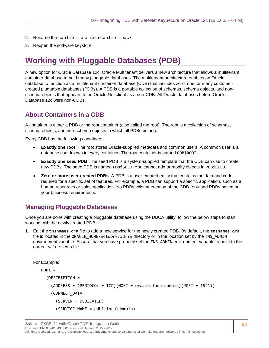- 2. Rename the cwallet.sso file to cwallet.back
- 3. Reopen the software keystore.

# **Working with Pluggable Databases (PDB)**

A new option for Oracle Database 12c, Oracle Multitenant delivers a new architecture that allows a multitenant container database to hold many pluggable databases. The multitenant architecture enables an Oracle database to function as a multitenant container database (CDB) that includes zero, one, or many customercreated pluggable databases (PDBs). A PDB is a portable collection of schemas, schema objects, and nonschema objects that appears to an Oracle Net client as a non-CDB. All Oracle databases before Oracle Database 12c were non-CDBs.

# **About Containers in a CDB**

A container is either a PDB or the root container (also called the root). The root is a collection of schemas, schema objects, and non-schema objects to which all PDBs belong.

Every CDB has the following containers:

- **Exactly one root**: The root stores Oracle-supplied metadata and common users. A common user is a database user known in every container. The root container is named CDB\$ROOT.
- **Exactly one seed PDB**: The seed PDB is a system-supplied template that the CDB can use to create new PDBs. The seed PDB is named PDB\$SEED. You cannot add or modify objects in PDB\$SEED.
- **Zero or more user-created PDBs**: A PDB is a user-created entity that contains the data and code required for a specific set of features. For example, a PDB can support a specific application, such as a human resources or sales application. No PDBs exist at creation of the CDB. You add PDBs based on your business requirements.

## **Managing Pluggable Databases**

Once you are done with creating a pluggable database using the DBCA utility, follow the below steps to start working with the newly created PDB:

1. Edit the tnsnames.ora file to add a new service for the newly created PDB. By default, the tnsnames.ora file is located in the ORACLE\_HOME/network/admin directory or in the location set by the TNS\_ADMIN environment variable. Ensure that you have properly set the TNS\_ADMIN environment variable to point to the correct sqlnet.ora file.

For Example:

```
PDB1 = (DESCRIPTION =
     (ADDRESS = (PROTOCOL = TCP)(HOST = oracle.localdomain)(PORT = 1521))
     (CONNECT_DATA =
       (SERVER = DEDICATED)
       (SERVICE_NAME = pdb1.localdomain)
```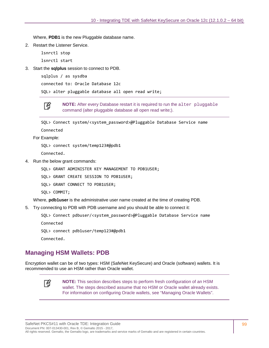Where, **PDB1** is the new Pluggable database name.

2. Restart the Listener Service.

lsnrctl stop lsnrctl start

3. Start the **sqlplus** session to connect to PDB.

```
sqlplus / as sysdba
```
connected to: Oracle Database 12c

SQL> alter pluggable database all open read write;

放

**NOTE:** After every Database restart it is required to run the alter pluggable command (alter pluggable database all open read write;).

SQL> Connect system/<system\_password>@Pluggable Database Service name

Connected

For Example:

SQL> connect system/temp123#@pdb1

Connected.

4. Run the below grant commands:

SQL> GRANT ADMINISTER KEY MANAGEMENT TO PDB1USER;

SQL> GRANT CREATE SESSION TO PDB1USER;

SQL> GRANT CONNECT TO PDB1USER;

SQL> COMMIT;

Where, **pdb1user** is the administrative user name created at the time of creating PDB.

5. Try connecting to PDB with PDB username and you should be able to connect it:

SQL> Connect pdbuser/<system\_password>@Pluggable Database Service name

Connected

SQL> connect pdb1user/temp123#@pdb1

Connected.

### **Managing HSM Wallets: PDB**

Encryption wallet can be of two types: HSM (SafeNet KeySecure) and Oracle (software) wallets. It is recommended to use an HSM rather than Oracle wallet.



**NOTE:** This section describes steps to perform fresh configuration of an HSM wallet. The steps described assume that no HSM or Oracle wallet already exists. For information on configuring Oracle wallets, see ["Managing Oracle Wallets"](#page-100-0).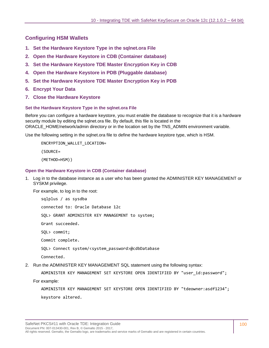# **Configuring HSM Wallets**

- **1. [Set the Hardware Keystore Type in the sqlnet.ora File](#page-99-0)**
- **2. [Open the Hardware Keystore in CDB \(Container database\)](#page-99-1)**
- **3. [Set the Hardware Keystore TDE Master Encryption Key in CDB](#page-100-1)**
- **4. [Open the Hardware Keystore in PDB \(Pluggable database\)](#page-100-2)**
- **5. Set the Hardware Keystore TDE Master Encryption Key in PDB**
- **6. Encrypt Your Data**
- **7. Close the Hardware Keystore**

#### <span id="page-99-0"></span>**Set the Hardware Keystore Type in the sqlnet.ora File**

Before you can configure a hardware keystore, you must enable the database to recognize that it is a hardware security module by editing the sqlnet.ora file. By default, this file is located in the ORACLE\_HOME/network/admin directory or in the location set by the TNS\_ADMIN environment variable.

Use the following setting in the sqlnet.ora file to define the hardware keystore type, which is HSM.

ENCRYPTION\_WALLET\_LOCATION=

(SOURCE=

(METHOD=HSM))

#### <span id="page-99-1"></span>**Open the Hardware Keystore in CDB (Container database)**

1. Log in to the database instance as a user who has been granted the ADMINISTER KEY MANAGEMENT or SYSKM privilege.

For example, to log in to the root:

sqlplus / as sysdba connected to: Oracle Database 12c SQL> GRANT ADMINISTER KEY MANAGEMENT to system; Grant succeeded. SQL> commit; Commit complete. SQL> Connect system/<system\_password>@cdbDatabase Connected.

2. Run the ADMINISTER KEY MANAGEMENT SQL statement using the following syntax:

ADMINISTER KEY MANAGEMENT SET KEYSTORE OPEN IDENTIFIED BY "user\_id:password";

For example:

ADMINISTER KEY MANAGEMENT SET KEYSTORE OPEN IDENTIFIED BY "tdeowner:asdf1234"; keystore altered.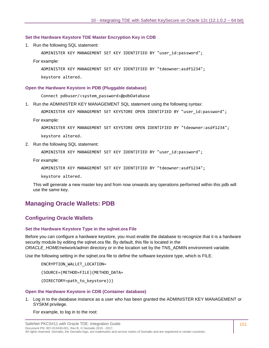#### <span id="page-100-1"></span>**Set the Hardware Keystore TDE Master Encryption Key in CDB**

1. Run the following SQL statement:

ADMINISTER KEY MANAGEMENT SET KEY IDENTIFIED BY "user\_id:password";

For example:

ADMINISTER KEY MANAGEMENT SET KEY IDENTIFIED BY "tdeowner:asdf1234";

keystore altered.

#### <span id="page-100-2"></span>**Open the Hardware Keystore in PDB (Pluggable database)**

Connect pdbuser/<system\_password>@pdbDatabase

1. Run the ADMINISTER KEY MANAGEMENT SQL statement using the following syntax:

ADMINISTER KEY MANAGEMENT SET KEYSTORE OPEN IDENTIFIED BY "user\_id:password";

For example:

ADMINISTER KEY MANAGEMENT SET KEYSTORE OPEN IDENTIFIED BY "tdeowner:asdf1234"; keystore altered.

2. Run the following SQL statement:

ADMINISTER KEY MANAGEMENT SET KEY IDENTIFIED BY "user\_id:password";

For example:

ADMINISTER KEY MANAGEMENT SET KEY IDENTIFIED BY "tdeowner:asdf1234";

keystore altered.

This will generate a new master key and from now onwards any operations performed within this pdb will use the same key.

# <span id="page-100-0"></span>**Managing Oracle Wallets: PDB**

#### **Configuring Oracle Wallets**

#### **Set the Hardware Keystore Type in the sqlnet.ora File**

Before you can configure a hardware keystore, you must enable the database to recognize that it is a hardware security module by editing the sqlnet.ora file. By default, this file is located in the *ORACLE\_HOME/network/admin* directory or in the location set by the TNS\_ADMIN environment variable.

Use the following setting in the sqlnet.ora file to define the software keystore type, which is FILE.

ENCRYPTION\_WALLET\_LOCATION=

(SOURCE=(METHOD=FILE)(METHOD\_DATA=

(DIRECTORY=path\_to\_keystore)))

#### **Open the Hardware Keystore in CDB (Container database)**

1. Log in to the database instance as a user who has been granted the ADMINISTER KEY MANAGEMENT or SYSKM privilege.

For example, to log in to the root: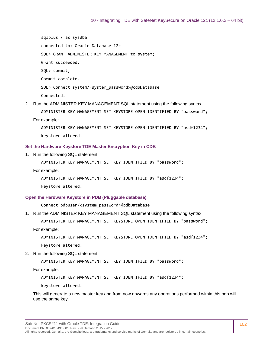sqlplus / as sysdba connected to: Oracle Database 12c SQL> GRANT ADMINISTER KEY MANAGEMENT to system; Grant succeeded. SQL> commit; Commit complete. SQL> Connect system/<system\_password>@cdbDatabase Connected.

2. Run the ADMINISTER KEY MANAGEMENT SQL statement using the following syntax:

ADMINISTER KEY MANAGEMENT SET KEYSTORE OPEN IDENTIFIED BY "password"; For example:

ADMINISTER KEY MANAGEMENT SET KEYSTORE OPEN IDENTIFIED BY "asdf1234"; keystore altered.

#### **Set the Hardware Keystore TDE Master Encryption Key in CDB**

1. Run the following SQL statement:

ADMINISTER KEY MANAGEMENT SET KEY IDENTIFIED BY "password";

For example:

ADMINISTER KEY MANAGEMENT SET KEY IDENTIFIED BY "asdf1234";

keystore altered.

#### **Open the Hardware Keystore in PDB (Pluggable database)**

Connect pdbuser/<system\_password>@pdbDatabase

1. Run the ADMINISTER KEY MANAGEMENT SQL statement using the following syntax:

ADMINISTER KEY MANAGEMENT SET KEYSTORE OPEN IDENTIFIED BY "password";

For example:

ADMINISTER KEY MANAGEMENT SET KEYSTORE OPEN IDENTIFIED BY "asdf1234";

keystore altered.

2. Run the following SQL statement:

ADMINISTER KEY MANAGEMENT SET KEY IDENTIFIED BY "password";

For example:

ADMINISTER KEY MANAGEMENT SET KEY IDENTIFIED BY "asdf1234";

keystore altered.

This will generate a new master key and from now onwards any operations performed within this pdb will use the same key.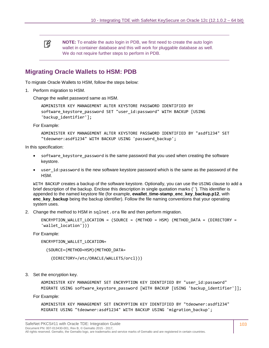冏 **NOTE:** To enable the auto login in PDB, we first need to create the auto login wallet in container database and this will work for pluggable database as well. We do not require further steps to perform in PDB.

# **Migrating Oracle Wallets to HSM: PDB**

To migrate Oracle Wallets to HSM, follow the steps below:

1. Perform migration to HSM.

Change the wallet password same as HSM.

```
ADMINISTER KEY MANAGEMENT ALTER KEYSTORE PASSWORD IDENTIFIED BY 
software_keystore_password SET "user_id:password" WITH BACKUP [USING 
'backup_identifier'];
```
For Example:

```
ADMINISTER KEY MANAGEMENT ALTER KEYSTORE PASSWORD IDENTIFIED BY "asdf1234" SET 
"tdeowner:asdf1234" WITH BACKUP USING 'password_backup';
```
In this specification:

- software keystore password is the same password that you used when creating the software keystore.
- user id:password is the new software keystore password which is the same as the password of the HSM.

WITH BACKUP creates a backup of the software keystore. Optionally, you can use the USING clause to add a brief description of the backup. Enclose this description in single quotation marks (' '). This identifier is appended to the named keystore file (for example, **ewallet time-stamp enc key backup.p12**, with **enc\_key\_backup** being the backup identifier). Follow the file naming conventions that your operating system uses.

2. Change the method to HSM in sqlnet.ora file and then perform migration.

```
ENCRYPTION_WALLET_LOCATION = (SOURCE = (METHOD = HSM) (METHOD_DATA = (DIRECTORY = 
'wallet location')))
```
For Example:

ENCRYPTION\_WALLET\_LOCATION=

(SOURCE=(METHOD=HSM)(METHOD\_DATA=

(DIRECTORY=/etc/ORACLE/WALLETS/orcl)))

3. Set the encryption key.

ADMINISTER KEY MANAGEMENT SET ENCRYPTION KEY IDENTIFIED BY "user\_id:password" MIGRATE USING software keystore password [WITH BACKUP [USING 'backup identifier']];

For Example:

ADMINISTER KEY MANAGEMENT SET ENCRYPTION KEY IDENTIFIED BY "tdeowner:asdf1234" MIGRATE USING "tdeowner:asdf1234" WITH BACKUP USING 'migration\_backup';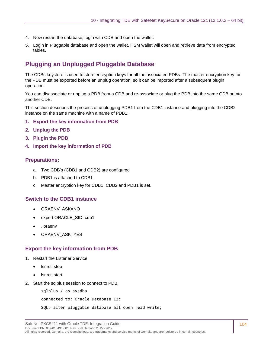- 4. Now restart the database, login with CDB and open the wallet.
- 5. Login in Pluggable database and open the wallet. HSM wallet will open and retrieve data from encrypted tables.

# **Plugging an Unplugged Pluggable Database**

The CDBs keystore is used to store encryption keys for all the associated PDBs. The master encryption key for the PDB must be exported before an unplug operation, so it can be imported after a subsequent plugin operation.

You can disassociate or unplug a PDB from a CDB and re-associate or plug the PDB into the same CDB or into another CDB.

This section describes the process of unplugging PDB1 from the CDB1 instance and plugging into the CDB2 instance on the same machine with a name of PDB1.

- **1. [Export the key information from PDB](#page-103-0)**
- **2. [Unplug the PDB](#page-104-0)**
- **3. [Plugin the PDB](#page-105-0)**
- **4. [Import the key information of PDB](#page-107-0)**

#### **Preparations:**

- a. Two CDB's (CDB1 and CDB2) are configured
- b. PDB1 is attached to CDB1.
- c. Master encryption key for CDB1, CDB2 and PDB1 is set.

#### **Switch to the CDB1 instance**

- ORAENV\_ASK=NO
- export ORACLE\_SID=cdb1
- . oraenv
- ORAENV\_ASK=YES

#### <span id="page-103-0"></span>**Export the key information from PDB**

- 1. Restart the Listener Service
	- lsnrctl stop
	- lsnrctl start
- 2. Start the sqlplus session to connect to PDB.

sqlplus / as sysdba

connected to: Oracle Database 12c

```
SQL> alter pluggable database all open read write;
```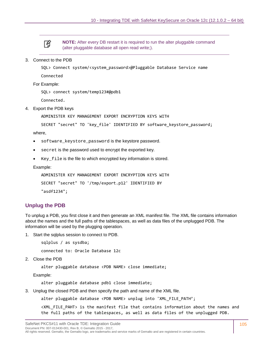

**NOTE:** After every DB restart it is required to run the alter pluggable command (alter pluggable database all open read write;).

#### 3. Connect to the PDB

SQL> Connect system/<system\_password>@Pluggable Database Service name

Connected

For Example:

SQL> connect system/temp123#@pdb1

Connected.

#### 4. Export the PDB keys

ADMINISTER KEY MANAGEMENT EXPORT ENCRYPTION KEYS WITH

SECRET "secret" TO 'key\_file' IDENTIFIED BY software keystore password;

where,

- software\_keystore\_password is the keystore password.
- secret is the password used to encrypt the exported key.
- Key file is the file to which encrypted key information is stored.

Example:

```
ADMINISTER KEY MANAGEMENT EXPORT ENCRYPTION KEYS WITH 
SECRET "secret" TO '/tmp/export.p12' IDENTIFIED BY 
"asdf1234";
```
#### <span id="page-104-0"></span>**Unplug the PDB**

To unplug a PDB, you first close it and then generate an XML manifest file. The XML file contains information about the names and the full paths of the tablespaces, as well as data files of the unplugged PDB. The information will be used by the plugging operation.

1. Start the sqlplus session to connect to PDB.

sqlplus / as sysdba;

connected to: Oracle Database 12c

2. Close the PDB

alter pluggable database <PDB NAME> close immediate;

Example:

alter pluggable database pdb1 close immediate;

3. Unplug the closed PDB and then specify the path and name of the XML file.

alter pluggable database <PDB NAME> unplug into 'XML\_FILE\_PATH';

<XML\_FILE\_PAHT> is the manifest file that contains information about the names and the full paths of the tablespaces, as well as data files of the unplugged PDB.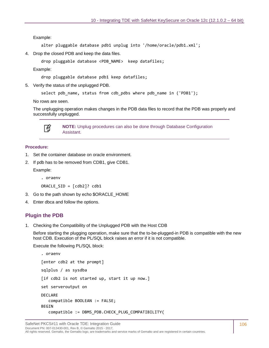Example:

```
alter pluggable database pdb1 unplug into '/home/oracle/pdb1.xml';
```
4. Drop the closed PDB and keep the data files.

```
drop pluggable database <PDB_NAME> keep datafiles;
```
Example:

drop pluggable database pdb1 keep datafiles;

5. Verify the status of the unplugged PDB.

select pdb\_name, status from cdb\_pdbs where pdb\_name in ('PDB1');

No rows are seen.

The unplugging operation makes changes in the PDB data files to record that the PDB was properly and successfully unplugged.



**NOTE:** Unplug procedures can also be done through Database Configuration Assistant.

#### **Procedure:**

- 1. Set the container database on oracle environment.
- 2. If pdb has to be removed from CDB1, give CDB1.

Example:

. oraenv

ORACLE\_SID = [cdb2]? cdb1

- 3. Go to the path shown by echo \$ORACLE\_HOME
- 4. Enter dbca and follow the options.

#### <span id="page-105-0"></span>**Plugin the PDB**

1. Checking the Compatibility of the Unplugged PDB with the Host CDB

Before starting the plugging operation, make sure that the to-be-plugged-in PDB is compatible with the new host CDB. Execution of the PL/SQL block raises an error if it is not compatible.

Execute the following PL/SQL block:

```
. oraenv
[enter cdb2 at the prompt]
sqlplus / as sysdba
[if cdb2 is not started up, start it up now.]
set serveroutput on
DECLARE
    compatible BOOLEAN := FALSE;
BEGIN 
    compatible := DBMS_PDB.CHECK_PLUG_COMPATIBILITY(
```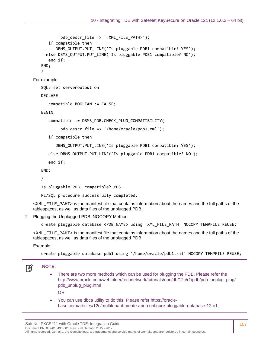```
 pdb_descr_file => '<XML_FILE_PATH>');
       if compatible then
         DBMS OUTPUT.PUT LINE('Is pluggable PDB1 compatible? YES');
     else DBMS OUTPUT.PUT LINE('Is pluggable PDB1 compatible? NO');
       end if;
   END;
   /
For example:
   SQL> set serveroutput on
   DECLARE
       compatible BOOLEAN := FALSE;
   BEGTN
       compatible := DBMS_PDB.CHECK_PLUG_COMPATIBILITY(
            pdb_descr_file => '/home/oracle/pdb1.xml');
       if compatible then
         DBMS OUTPUT.PUT LINE('Is pluggable PDB1 compatible? YES');
       else DBMS_OUTPUT.PUT_LINE('Is pluggable PDB1 compatible? NO');
       end if;
   END;
   /
   Is pluggable PDB1 compatible? YES
   PL/SQL procedure successfully completed.
```
<XML\_FILE\_PAHT> is the manifest file that contains information about the names and the full paths of the tablespaces, as well as data files of the unplugged PDB.

2. Plugging the Unplugged PDB: NOCOPY Method

create pluggable database <PDB NAME> using 'XML\_FILE\_PATH' NOCOPY TEMPFILE REUSE;

<XML\_FILE\_PAHT> is the manifest file that contains information about the names and the full paths of the tablespaces, as well as data files of the unplugged PDB.

Example:

create pluggable database pdb1 using '/home/oracle/pdb1.xml' NOCOPY TEMPFILE REUSE;

```
放
```
- **NOTE:** 
	- There are two more methods which can be used for plugging the PDB. Please refer the [http://www.oracle.com/webfolder/technetwork/tutorials/obe/db/12c/r1/pdb/pdb\\_unplug\\_plug/](http://www.oracle.com/webfolder/technetwork/tutorials/obe/db/12c/r1/pdb/pdb_unplug_plug/pdb_unplug_plug.html) [pdb\\_unplug\\_plug.html](http://www.oracle.com/webfolder/technetwork/tutorials/obe/db/12c/r1/pdb/pdb_unplug_plug/pdb_unplug_plug.html)

OR

• You can use dbca utility to do this. Please refer https://oraclebase.com/articles/12c/multitenant-create-and-configure-pluggable-database-12cr1.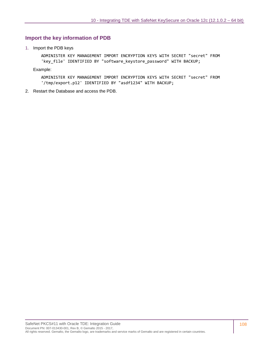#### <span id="page-107-0"></span>**Import the key information of PDB**

1. Import the PDB keys

ADMINISTER KEY MANAGEMENT IMPORT ENCRYPTION KEYS WITH SECRET "secret" FROM 'key\_file' IDENTIFIED BY "software\_keystore\_password" WITH BACKUP;

Example:

ADMINISTER KEY MANAGEMENT IMPORT ENCRYPTION KEYS WITH SECRET "secret" FROM '/tmp/export.p12' IDENTIFIED BY "asdf1234" WITH BACKUP;

2. Restart the Database and access the PDB.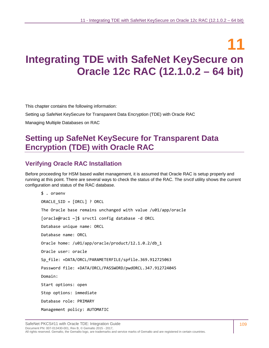# **11 Integrating TDE with SafeNet KeySecure on Oracle 12c RAC (12.1.0.2 – 64 bit)**

This chapter contains the following information:

[Setting up SafeNet KeySecure for Transparent Data Encryption \(TDE\)](#page-52-0) with Oracle RAC

[Managing Multiple Databases on RAC](#page-66-0)

# **Setting up SafeNet KeySecure for Transparent Data Encryption (TDE) with Oracle RAC**

## **Verifying Oracle RAC Installation**

Before proceeding for HSM based wallet management, it is assumed that Oracle RAC is setup properly and running at this point. There are several ways to check the status of the RAC. The *srvctl* utility shows the current configuration and status of the RAC database.

\$ . oraenv ORACLE\_SID = [ORCL] ? ORCL The Oracle base remains unchanged with value /u01/app/oracle [oracle@rac1 ~]\$ srvctl config database -d ORCL Database unique name: ORCL Database name: ORCL Oracle home: /u01/app/oracle/product/12.1.0.2/db\_1 Oracle user: oracle Sp\_file: +DATA/ORCL/PARAMETERFILE/spfile.369.912725063 Password file: +DATA/ORCL/PASSWORD/pwdORCL.347.912724045 Domain: Start options: open Stop options: immediate Database role: PRIMARY Management policy: AUTOMATIC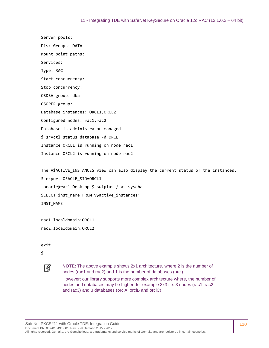Server pools: Disk Groups: DATA Mount point paths: Services: Type: RAC Start concurrency: Stop concurrency: OSDBA group: dba OSOPER group: Database instances: ORCL1,ORCL2 Configured nodes: rac1,rac2 Database is administrator managed \$ srvctl status database -d ORCL Instance ORCL1 is running on node rac1 Instance ORCL2 is running on node rac2

The V\$ACTIVE\_INSTANCES view can also display the current status of the instances. \$ export ORACLE\_SID=ORCL1 [oracle@rac1 Desktop]\$ sqlplus / as sysdba SELECT inst\_name FROM v\$active\_instances; INST\_NAME

--------------------------------------------------------------------------

rac1.localdomain:ORCL1

rac2.localdomain:ORCL2

exit

冏

\$

**NOTE:** The above example shows 2x1 architecture, where 2 is the number of nodes (rac1 and rac2) and 1 is the number of databases (orcl).

However; our library supports more complex architecture where, the number of nodes and databases may be higher, for example 3x3 i.e. 3 nodes (rac1, rac2 and rac3) and 3 databases (orclA, orclB and orclC).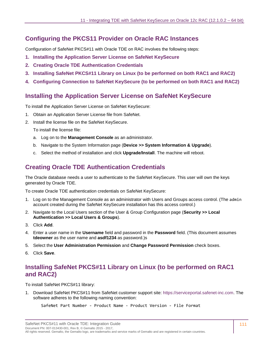## **Configuring the PKCS11 Provider on Oracle RAC Instances**

Configuration of SafeNet PKCS#11 with Oracle TDE on RAC involves the following steps:

- **1. [Installing the Application Server License on SafeNet](#page-54-0) KeySecure**
- **2. [Creating Oracle TDE Authentication Credentials](#page-54-1)**
- **3. [Installing SafeNet PKCS#11 Library on Linux \(to be performed on both RAC1 and RAC2\)](#page-54-2)**
- **4. Configuring Connection to SafeNet [KeySecure \(to be performed on both RAC1 and RAC2\)](#page-55-0)**

## **Installing the Application Server License on SafeNet KeySecure**

To install the Application Server License on SafeNet KeySecure:

- 1. Obtain an Application Server License file from SafeNet.
- 2. Install the license file on the SafeNet KeySecure.

To install the license file:

- a. Log on to the **Management Console** as an administrator.
- b. Navigate to the System Information page (**Device >> System Information & Upgrade**).
- c. Select the method of installation and click **Upgrade/Install**. The machine will reboot.

## **Creating Oracle TDE Authentication Credentials**

The Oracle database needs a user to authenticate to the SafeNet KeySecure. This user will own the keys generated by Oracle TDE.

To create Oracle TDE authentication credentials on SafeNet KeySecure:

- 1. Log on to the Management Console as an administrator with Users and Groups access control. (The admin account created during the SafeNet KeySecure installation has this access control.)
- 2. Navigate to the Local Users section of the User & Group Configuration page (**Security >> Local Authentication >> Local Users & Groups**).
- 3. Click **Add**.
- 4. Enter a user name in the **Username** field and password in the **Password** field. (This document assumes **tdeowner** as the user name and **asdf1234** as password.)s
- 5. Select the **User Administration Permission** and **Change Password Permission** check boxes.
- 6. Click **Save**.

## **Installing SafeNet PKCS#11 Library on Linux (to be performed on RAC1 and RAC2)**

To install SafeNet PKCS#11 library:

1. Download SafeNet PKCS#11 from SafeNet customer support site: [https://serviceportal.safenet-inc.com.](https://serviceportal.safenet-inc.com/) The software adheres to the following naming convention:

```
SafeNet Part Number - Product Name - Product Version - File Format
```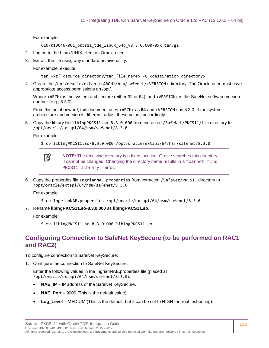#### For example:

610-013046-001\_pkcs11\_tde\_linux\_64b\_v8.3.0.000-0xx.tar.gz

- 2. Log on to the Linux/UNIX client as Oracle user.
- 3. Extract the file using any standard archive utility.

For example, execute:

```
tar -xzf <source_directory/tar_file_name> -C <destination_directory>
```
4. Create the /opt/oracle/extapi/<ARCH>/hsm/safenet/<VERSION> directory. The Oracle user must have appropriate access permissions on /opt/.

Where <ARCH> is the system architecture (either 32 or 64), and <VERSION> is the SafeNet software version number (e.g., 8.3.0).

From this point onward, this document uses <ARCH> as **64** and <VERSION> as 8.3.0. If the system architecture and version is different, adjust these values accordingly.

5. Copy the library file libIngPKCS11.so-8.3.0.000 from extracted /SafeNet/PKCS11/lib directory to /opt/oracle/extapi/64/hsm/safenet/8.3.0.

For example:

```
$ cp libIngPKCS11.so-8.3.0.000 /opt/oracle/extapi/64/hsm/safenet/8.3.0
```


**NOTE:** The receiving directory is a fixed location. Oracle searches this directory. It cannot be changed. Changing the directory name results in a "cannot find" PKCS11 library" error.

6. Copy the properties file IngrianNAE.properties from extracted /SafeNet/PKCS11 directory to /opt/oracle/extapi/64/hsm/safenet/8.3.0.

For example:

- \$ cp IngrianNAE.properties /opt/oracle/extapi/64/hsm/safenet/8.3.0
- 7. Rename **libIngPKCS11.so-8.3.0.000** as **libIngPKCS11.so**.

For example:

\$ mv libIngPKCS11.so-8.3.0.000 libIngPKCS11.so

## **Configuring Connection to SafeNet KeySecure (to be performed on RAC1 and RAC2)**

To configure connection to SafeNet KeySecure:

1. Configure the connection to SafeNet KeySecure.

Enter the following values in the IngrianNAE.properties file (placed at /opt/oracle/extapi/64/hsm/safenet/8.3.0).

- **NAE\_IP** IP address of the SafeNet KeySecure.
- **NAE** Port 9000 (This is the default value).
- **Log\_Level** MEDIUM (This is the default, but it can be set to HIGH for troubleshooting).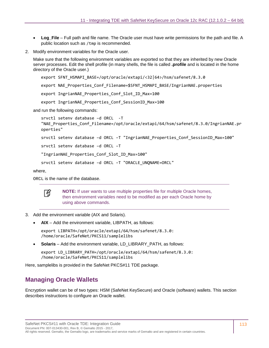- Log File Full path and file name. The Oracle user must have write permissions for the path and file. A public location such as /tmp is recommended.
- 2. Modify environment variables for the Oracle user.

Make sure that the following environment variables are exported so that they are inherited by new Oracle server processes. Edit the shell profile (in many shells, the file is called **.profile** and is located in the home directory of the Oracle user.)

```
export SFNT_HSMAPI_BASE=/opt/oracle/extapi/<32|64>/hsm/safenet/8.3.0
export NAE Properties Conf Filename=$SFNT HSMAPI BASE/IngrianNAE.properties
export IngrianNAE_Properties_Conf_Slot_ID_Max=100
export IngrianNAE Properties Conf SessionID Max=100
```
and run the following commands:

```
srvctl setenv database –d ORCL -T 
"NAE_Properties_Conf_Filename=/opt/oracle/extapi/64/hsm/safenet/8.3.0/IngrianNAE.pr
operties"
srvctl setenv database -d ORCL -T "IngrianNAE Properties Conf SessionID Max=100"
srvctl setenv database –d ORCL –T
```
"IngrianNAE\_Properties\_Conf\_Slot\_ID\_Max=100"

```
srvctl setenv database -d ORCL -T "ORACLE UNQNAME=ORCL"
```
where,

ORCL is the name of the database.



**NOTE:** If user wants to use multiple properties file for multiple Oracle homes, then environment variables need to be modified as per each Oracle home by using above commands.

- 3. Add the environment variable (AIX and Solaris).
	- **AIX** Add the environment variable, LIBPATH, as follows:

export LIBPATH=/opt/oracle/extapi/64/hsm/safenet/8.3.0: /home/oracle/SafeNet/PKCS11/samplelibs

• **Solaris** – Add the environment variable, LD\_LIBRARY\_PATH, as follows:

export LD\_LIBRARY\_PATH=/opt/oracle/extapi/64/hsm/safenet/8.3.0: /home/oracle/SafeNet/PKCS11/samplelibs

Here, samplelibs is provided in the SafeNet PKCS#11 TDE package.

## **Managing Oracle Wallets**

Encryption wallet can be of two types: HSM (SafeNet KeySecure) and Oracle (software) wallets. This section describes instructions to configure an Oracle wallet.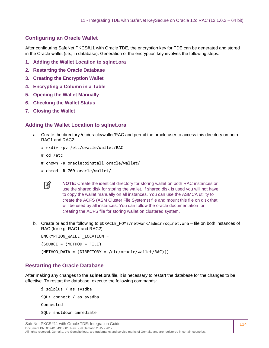## **Configuring an Oracle Wallet**

After configuring SafeNet PKCS#11 with Oracle TDE, the encryption key for TDE can be generated and stored in the Oracle wallet (i.e., in database). Generation of the encryption key involves the following steps:

- **1. [Adding the Wallet Location to sqlnet.ora](#page-56-0)**
- **2. [Restarting the Oracle Database](#page-57-0)**
- **3. [Creating the Encryption Wallet](#page-58-0)**
- **4. [Encrypting a Column in a Table](#page-58-1)**
- **5. [Opening the Wallet Manually](#page-59-0)**
- **6. [Checking the Wallet Status](#page-59-1)**
- **7. [Closing the Wallet](#page-59-2)**

#### **Adding the Wallet Location to sqlnet.ora**

- a. Create the directory /etc/oracle/wallet/RAC and permit the oracle user to access this directory on both RAC1 and RAC2:
	- # mkdir -pv /etc/oracle/wallet/RAC
	- # cd /etc
	- # chown -R oracle:oinstall oracle/wallet/
	- # chmod -R 700 oracle/wallet/



**NOTE:** Create the identical directory for storing wallet on both RAC instances or use the shared disk for storing the wallet. If shared disk is used you will not have to copy the wallet manually on all instances. You can use the ASMCA utility to create the ACFS (ASM Cluster File Systems) file and mount this file on disk that will be used by all instances. You can follow the oracle documentation for creating the ACFS file for storing wallet on clustered system.

b. Create or add the following to \$0RACLE HOME/network/admin/sqlnet.ora – file on both instances of RAC (for e.g. RAC1 and RAC2):

```
ENCRYPTION_WALLET_LOCATION = 
(SOURCE = (METHOD = FILE) 
(METHOD_DATA = (DIRECTORY = /etc/oracle/wallet/RAC)))
```
## **Restarting the Oracle Database**

After making any changes to the **sqlnet.ora** file, it is necessary to restart the database for the changes to be effective. To restart the database, execute the following commands:

\$ sqlplus / as sysdba SQL> connect / as sysdba Connected SQL> shutdown immediate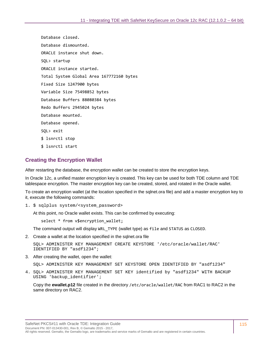Database closed. Database dismounted. ORACLE instance shut down. SQL> startup ORACLE instance started. Total System Global Area 167772160 bytes Fixed Size 1247900 bytes Variable Size 75498852 bytes Database Buffers 88080384 bytes Redo Buffers 2945024 bytes Database mounted. Database opened. SQL> exit \$ lsnrctl stop \$ lsnrctl start

## **Creating the Encryption Wallet**

After restarting the database, the encryption wallet can be created to store the encryption keys.

In Oracle 12c, a unified master encryption key is created. This key can be used for both TDE column and TDE tablespace encryption. The master encryption key can be created, stored, and rotated in the Oracle wallet.

To create an encryption wallet (at the location specified in the sqlnet.ora file) and add a master encryption key to it, execute the following commands:

1. \$ sqlplus system/<system\_password>

At this point, no Oracle wallet exists. This can be confirmed by executing:

select \* from v\$encryption\_wallet;

The command output will display WRL\_TYPE (wallet type) as file and STATUS as CLOSED.

2. Create a wallet at the location specified in the sqlnet.ora file

SQL> ADMINISTER KEY MANAGEMENT CREATE KEYSTORE '/etc/oracle/wallet/RAC' IDENTIFIED BY "asdf1234";

3. After creating the wallet, open the wallet:

SQL> ADMINISTER KEY MANAGEMENT SET KEYSTORE OPEN IDENTIFIED BY "asdf1234"

4. SQL> ADMINISTER KEY MANAGEMENT SET KEY identified by "asdf1234" WITH BACKUP USING 'backup\_identifier';

Copy the **ewallet.p12** file created in the directory /etc/oracle/wallet/RAC from RAC1 to RAC2 in the same directory on RAC2.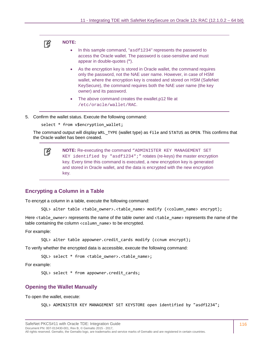

#### **NOTE:**

- In this sample command, "asdf1234" represents the password to access the Oracle wallet. The password is case-sensitive and must appear in double-quotes (**"**).
- As the encryption key is stored in Oracle wallet, the command requires only the password, not the NAE user name. However, in case of HSM wallet, where the encryption key is created and stored on HSM (SafeNet KeySecure), the command requires both the NAE user name (the key owner) and its password.
- The above command creates the ewallet.p12 file at /etc/oracle/wallet/RAC.
- 5. Confirm the wallet status. Execute the following command:

```
select * from v$encryption_wallet;
```
The command output will display WRL\_TYPE (wallet type) as file and STATUS as OPEN. This confirms that the Oracle wallet has been created.

```
放
```
**NOTE:** Re-executing the command "ADMINISTER KEY MANAGEMENT SET KEY identified by "asdf1234";" rotates (re-keys) the master encryption key. Every time this command is executed, a new encryption key is generated and stored in Oracle wallet, and the data is encrypted with the new encryption key.

#### **Encrypting a Column in a Table**

To encrypt a column in a table, execute the following command:

SQL> alter table <table\_owner>.<table\_name> modify (<column\_name> encrypt);

Here <table\_owner> represents the name of the table owner and <table\_name> represents the name of the table containing the column <column\_name> to be encrypted.

For example:

SQL> alter table appowner.credit cards modify (ccnum encrypt);

To verify whether the encrypted data is accessible, execute the following command:

SQL> select \* from <table\_owner>.<table\_name>;

For example:

SQL> select \* from appowner.credit\_cards;

#### **Opening the Wallet Manually**

To open the wallet, execute:

```
SQL> ADMINISTER KEY MANAGEMENT SET KEYSTORE open identified by "asdf1234";
```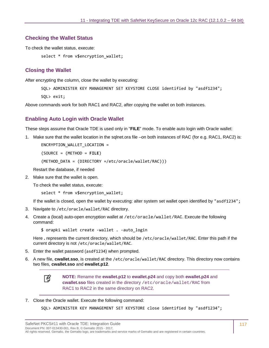#### **Checking the Wallet Status**

To check the wallet status, execute:

select \* from v\$encryption wallet;

#### **Closing the Wallet**

After encrypting the column, close the wallet by executing:

SQL> ADMINISTER KEY MANAGEMENT SET KEYSTORE CLOSE identified by "asdf1234";

SQL> exit;

Above commands work for both RAC1 and RAC2, after copying the wallet on both instances.

#### **Enabling Auto Login with Oracle Wallet**

These steps assume that Oracle TDE is used only in "**FILE**" mode. To enable auto login with Oracle wallet:

1. Make sure that the wallet location in the sqlnet.ora file –on both instances of RAC (for e.g. RAC1, RAC2) is:

ENCRYPTION\_WALLET\_LOCATION =

(SOURCE = (METHOD = **FILE**)

(METHOD\_DATA = (DIRECTORY =/etc/oracle/wallet/RAC)))

Restart the database, if needed

2. Make sure that the wallet is open.

To check the wallet status, execute:

```
select * from v$encryption wallet;
```
If the wallet is closed, open the wallet by executing: alter system set wallet open identified by "asdf1234";

- 3. Navigate to /etc/oracle/wallet/RAC directory.
- 4. Create a (local) auto-open encryption wallet at /etc/oracle/wallet/RAC. Execute the following command:

\$ orapki wallet create -wallet . -auto\_login

Here **.** represents the current directory, which should be /etc/oracle/wallet/RAC. Enter this path if the current directory is not /etc/oracle/wallet/RAC.

- 5. Enter the wallet password (asdf1234) when prompted.
- 6. A new file, **cwallet.sso**, is created at the /etc/oracle/wallet/RAC directory. This directory now contains two files, **cwallet.sso** and **ewallet.p12**.

放

**NOTE:** Rename the **ewallet.p12** to **ewallet.p24** and copy both **ewallet.p24** and **cwallet.sso** files created in the directory /etc/oracle/wallet/RAC from RAC1 to RAC2 in the same directory on RAC2.

#### 7. Close the Oracle wallet. Execute the following command:

SQL> ADMINISTER KEY MANAGEMENT SET KEYSTORE close identified by "asdf1234";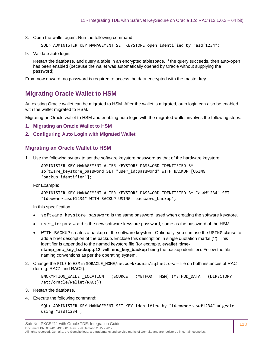8. Open the wallet again. Run the following command:

```
SQL> ADMINISTER KEY MANAGEMENT SET KEYSTORE open identified by "asdf1234";
```
9. Validate auto login.

Restart the database, and query a table in an encrypted tablespace. If the query succeeds, then auto-open has been enabled (because the wallet was automatically opened by Oracle without supplying the password).

From now onward, no password is required to access the data encrypted with the master key.

## **Migrating Oracle Wallet to HSM**

An existing Oracle wallet can be migrated to HSM. After the wallet is migrated, auto login can also be enabled with the wallet migrated to HSM.

Migrating an Oracle wallet to HSM and enabling auto login with the migrated wallet involves the following steps:

- **1. [Migrating an Oracle Wallet to HSM](#page-60-0)**
- **2. [Configuring Auto Login with Migrated Wallet](#page-61-0)**

#### **Migrating an Oracle Wallet to HSM**

1. Use the following syntax to set the software keystore password as that of the hardware keystore:

```
ADMINISTER KEY MANAGEMENT ALTER KEYSTORE PASSWORD IDENTIFIED BY 
software keystore password SET "user id:password" WITH BACKUP [USING
'backup_identifier'];
```
For Example:

```
ADMINISTER KEY MANAGEMENT ALTER KEYSTORE PASSWORD IDENTIFIED BY "asdf1234" SET 
"tdeowner:asdf1234" WITH BACKUP USING 'password_backup';
```
In this specification

- software\_keystore\_password is the same password, used when creating the software keystore.
- user  $id:$  password is the new software keystore password, same as the password of the HSM.
- WITH BACKUP creates a backup of the software keystore. Optionally, you can use the USING clause to add a brief description of the backup. Enclose this description in single quotation marks (' '). This identifier is appended to the named keystore file (for example, **ewallet\_timestamp\_enc\_key\_backup.p12**, with **enc\_key\_backup** being the backup identifier). Follow the file naming conventions as per the operating system.
- 2. Change the FILE to HSM in \$ORACLE\_HOME/network/admin/sqlnet.ora file on both instances of RAC (for e.g. RAC1 and RAC2):

```
ENCRYPTION_WALLET_LOCATION = (SOURCE = (METHOD = HSM) (METHOD_DATA = (DIRECTORY = 
/etc/oracle/wallet/RAC)))
```
- 3. Restart the database.
- 4. Execute the following command:

```
SQL> ADMINISTER KEY MANAGEMENT SET KEY identified by "tdeowner:asdf1234" migrate 
using "asdf1234";
```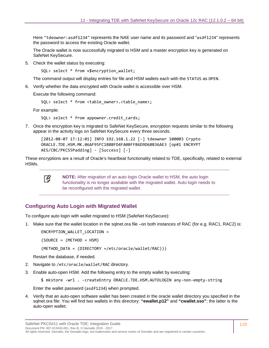Here "tdeowner:asdf1234" represents the NAE user name and its password and "asdf1234" represents the password to access the existing Oracle wallet.

The Oracle wallet is now successfully migrated to HSM and a master encryption key is generated on SafeNet KeySecure.

5. Check the wallet status by executing:

SOL> select \* from v\$encryption wallet;

The command output will display entries for file and HSM wallets each with the STATUS as OPEN.

6. Verify whether the data encrypted with Oracle wallet is accessible over HSM.

Execute the following command:

```
SQL> select * from <table_owner>.<table_name>;
```
For example:

SQL> select \* from appowner.credit\_cards;

7. Once the encryption key is migrated to SafeNet KeySecure, encryption requests similar to the following appear in the activity logs on SafeNet KeySecure every three seconds.

[2012-08-07 17:12:01] INFO 192.168.1.22 [-] tdeowner 100003 Crypto ORACLE.TDE.HSM.MK.06AF95FC1B8BFD4FA0BFFB6D9D68B36AE3 [op#1 ENCRYPT AES/CBC/PKCS5Padding] - [Success] [-]

These encryptions are a result of Oracle's heartbeat functionality related to TDE, specifically, related to external HSMs.



**NOTE:** After migration of an auto login Oracle wallet to HSM, the auto login functionality is no longer available with the migrated wallet. Auto login needs to be reconfigured with the migrated wallet.

## **Configuring Auto Login with Migrated Wallet**

To configure auto login with wallet migrated to HSM (SafeNet KeySecure):

1. Make sure that the wallet location in the sqlnet.ora file –on both instances of RAC (for e.g. RAC1, RAC2) is:

ENCRYPTION\_WALLET\_LOCATION =

 $(SOURCE = (METHOD = HSM))$ 

(METHOD\_DATA = (DIRECTORY =/etc/oracle/wallet/RAC)))

Restart the database, if needed.

- 2. Navigate to /etc/oracle/wallet/RAC directory.
- 3. Enable auto-open HSM. Add the following entry to the empty wallet by executing:

\$ mkstore -wrl . -createEntry ORACLE.TDE.HSM.AUTOLOGIN any-non-empty-string

Enter the wallet password (asdf1234) when prompted.

4. Verify that an auto-open software wallet has been created in the oracle wallet directory you specified in the sqlnet.ora file: You will find two wallets in this directory: **"ewallet.p12"** and **"cwallet.sso"**; the latter is the auto-open wallet;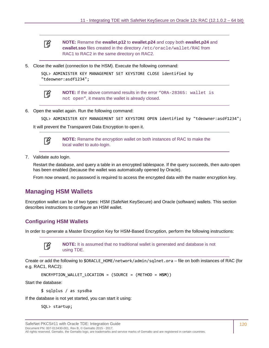冏

**NOTE:** Rename the **ewallet.p12** to **ewallet.p24** and copy both **ewallet.p24** and **cwallet.sso** files created in the directory /etc/oracle/wallet/RAC from RAC1 to RAC2 in the same directory on RAC2.

5. Close the wallet (connection to the HSM). Execute the following command:

```
SQL> ADMINISTER KEY MANAGEMENT SET KEYSTORE CLOSE identified by 
"tdeowner:asdf1234";
```


**NOTE:** If the above command results in the error "ORA-28365: wallet is not open", it means the wallet is already closed.

6. Open the wallet again. Run the following command:

```
SQL> ADMINISTER KEY MANAGEMENT SET KEYSTORE OPEN identified by "tdeowner:asdf1234";
```
It will prevent the Transparent Data Encryption to open it.



**NOTE:** Rename the encryption wallet on both instances of RAC to make the local wallet to auto-login.

7. Validate auto login.

Restart the database, and query a table in an encrypted tablespace. If the query succeeds, then auto-open has been enabled (because the wallet was automatically opened by Oracle).

From now onward, no password is required to access the encrypted data with the master encryption key.

## **Managing HSM Wallets**

Encryption wallet can be of two types: HSM (SafeNet KeySecure) and Oracle (software) wallets. This section describes instructions to configure an HSM wallet.

## **Configuring HSM Wallets**

In order to generate a Master Encryption Key for HSM-Based Encryption, perform the following instructions:



**NOTE:** It is assumed that no traditional wallet is generated and database is not using TDE.

Create or add the following to \$ORACLE\_HOME/network/admin/sqlnet.ora – file on both instances of RAC (for e.g. RAC1, RAC2):

ENCRYPTION\_WALLET\_LOCATION = (SOURCE = (METHOD = **HSM**))

Start the database:

\$ sqlplus / as sysdba

If the database is not yet started, you can start it using:

SQL> startup;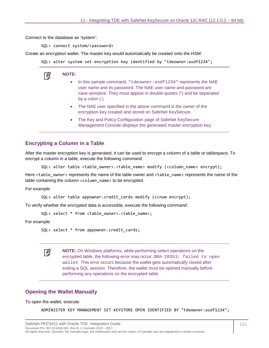Connect to the database as 'system':

SQL> connect system/<password>

Create an encryption wallet. The master key would automatically be created onto the HSM.

SQL> alter system set encryption key identified by "tdeowner:asdf1234";

**NOTE:**  放

- In this sample command, "tdeowner:asdf1234" represents the NAE user name and its password. The NAE user name and password are case-sensitive. They must appear in double-quotes (") and be separated by a colon (:).
- The NAE user specified in the above command is the owner of the encryption key created and stored on SafeNet KeySecure.
- The Key and Policy Configuration page of SafeNet KeySecure Management Console displays the generated master encryption key.

#### **Encrypting a Column in a Table**

After the master encryption key is generated, it can be used to encrypt a column of a table or tablespace. To encrypt a column in a table, execute the following command:

SQL> alter table <table\_owner>.<table\_name> modify (<column\_name> encrypt);

Here <table\_owner> represents the name of the table owner and <table\_name> represents the name of the table containing the column <column\_name> to be encrypted.

For example:

SQL> alter table appowner.credit cards modify (ccnum encrypt);

To verify whether the encrypted data is accessible, execute the following command:

SQL> select \* from <table\_owner>.<table\_name>;

For example:

SQL> select \* from appowner.credit\_cards;

**NOTE:** On Windows platforms, while performing select operations on the encrypted table, the following error may occur: ORA-28353: failed to open wallet. This error occurs because the wallet gets automatically closed after exiting a SQL session. Therefore, the wallet must be opened manually before performing any operations on the encrypted table.

#### **Opening the Wallet Manually**

To open the wallet, execute:

冏

ADMINISTER KEY MANAGEMENT SET KEYSTORE OPEN IDENTIFIED BY "tdeowner:asdf1234";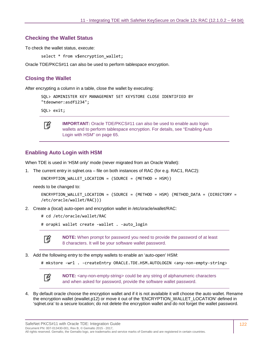#### **Checking the Wallet Status**

To check the wallet status, execute:

select \* from v\$encryption wallet;

Oracle TDE/PKCS#11 can also be used to perform tablespace encryption.

#### **Closing the Wallet**

After encrypting a column in a table, close the wallet by executing:

```
SQL> ADMINISTER KEY MANAGEMENT SET KEYSTORE CLOSE IDENTIFIED BY 
"tdeowner:asdf1234";
```
SQL> exit;



**IMPORTANT:** Oracle TDE/PKCS#11 can also be used to enable auto login wallets and to perform tablespace encryption. For details, see ["Enabling Auto](#page-64-0)  [Login with HSM" on page 65.](#page-64-0)

#### **Enabling Auto Login with HSM**

When TDE is used in 'HSM only' mode (never migrated from an Oracle Wallet):

1. The current entry in sqlnet.ora – file on both instances of RAC (for e.g. RAC1, RAC2):

```
ENCRYPTION_WALLET_LOCATION = (SOURCE = (METHOD = HSM))
```
needs to be changed to:

```
ENCRYPTION WALLET LOCATION = (SOURCE = (METHOD = HSM) (METHOD DATA = (DIRECTORY =
/etc/oracle/wallet/RAC)))
```
2. Create a (local) auto-open and encryption wallet in /etc/oracle/wallet/RAC:

```
# cd /etc/oracle/wallet/RAC
```
# orapki wallet create -wallet . -auto login



**NOTE:** When prompt for password you need to provide the password of at least 8 characters. It will be your software wallet password.

- 3. Add the following entry to the empty wallets to enable an 'auto-open' HSM:
	- # mkstore -wrl . -createEntry ORACLE.TDE.HSM.AUTOLOGIN <any-non-empty-string>



**NOTE:** <any-non-empty-string> could be any string of alphanumeric characters and when asked for password, provide the software wallet password.

4. By default oracle choose the encryption wallet and if it is not available it will choose the auto wallet. Rename the encryption wallet (ewallet.p12) or move it out of the 'ENCRYPTION\_WALLET\_LOCATION' defined in 'sqlnet.ora' to a secure location; do not delete the encryption wallet and do not forget the wallet password.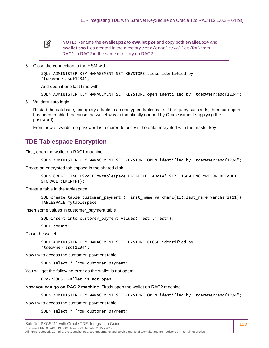冏

**NOTE:** Rename the **ewallet.p12** to **ewallet.p24** and copy both **ewallet.p24** and **cwallet.sso** files created in the directory /etc/oracle/wallet/RAC from RAC1 to RAC2 in the same directory on RAC2.

5. Close the connection to the HSM with

```
SQL> ADMINISTER KEY MANAGEMENT SET KEYSTORE close identified by 
"tdeowner:asdf1234";
```
And open it one last time with

```
SQL> ADMINISTER KEY MANAGEMENT SET KEYSTORE open identified by "tdeowner:asdf1234";
```
6. Validate auto login.

Restart the database, and query a table in an encrypted tablespace. If the query succeeds, then auto-open has been enabled (because the wallet was automatically opened by Oracle without supplying the password).

From now onwards, no password is required to access the data encrypted with the master key.

## **TDE Tablespace Encryption**

First, open the wallet on RAC1 machine.

```
SQL> ADMINISTER KEY MANAGEMENT SET KEYSTORE OPEN identified by "tdeowner:asdf1234";
```
Create an encrypted tablespace in the shared disk.

```
SQL> CREATE TABLESPACE mytablespace DATAFILE '+DATA' SIZE 150M ENCRYPTION DEFAULT 
STORAGE (ENCRYPT);
```
Create a table in the tablespace.

```
SQL>create table customer_payment ( first_name varchar2(11),last_name varchar2(11)) 
TABLESPACE mytablespace;
```
Insert some values in customer\_payment table

SQL>insert into customer\_payment values('Test','Test');

SQL> commit;

Close the wallet

SQL> ADMINISTER KEY MANAGEMENT SET KEYSTORE CLOSE identified by "tdeowner:asdf1234";

Now try to access the customer\_payment table.

SQL> select \* from customer\_payment;

You will get the following error as the wallet is not open:

ORA-28365: wallet is not open

**Now you can go on RAC 2 machine**. Firstly open the wallet on RAC2 machine

SQL> ADMINISTER KEY MANAGEMENT SET KEYSTORE OPEN identified by "tdeowner:asdf1234";

Now try to access the customer\_payment table

SQL> select \* from customer\_payment;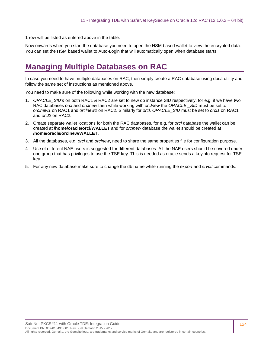1 row will be listed as entered above in the table.

Now onwards when you start the database you need to open the HSM based wallet to view the encrypted data. You can set the HSM based wallet to Auto-Login that will automatically open when database starts.

# **Managing Multiple Databases on RAC**

In case you need to have multiple databases on RAC, then simply create a RAC database using dbca utility and follow the same set of instructions as mentioned above.

You need to make sure of the following while working with the new database:

- 1. *ORACLE\_SID's* on both RAC1 & RAC2 are set to new db instance SID respectively, for e.g. if we have two RAC databases *orcl* and *orclnew* then while working with *orclnew* the *ORACLE \_SID* must be set to *orclnew1* on RAC1 and *orclnew2* on RAC2. Similarly for *orcl, ORACLE\_SID* must be set to *orcl1* on RAC1 and *orcl2* on RAC2.
- 2. Create separate wallet locations for both the RAC databases, for e.g. for *orcl* database the wallet can be created at **/home/oracle/orcl/WALLET** and for *orclnew* database the wallet should be created at **/home/oracle/orclnew/WALLET**.
- 3. All the databases, e.g. *orcl* and *orclnew*, need to share the same properties file for configuration purpose.
- 4. Use of different NAE users is suggested for different databases. All the NAE users should be covered under one group that has privileges to use the TSE key. This is needed as oracle sends a keyinfo request for TSE key.
- 5. For any new database make sure to change the db name while running the *export* and *srvctl* commands.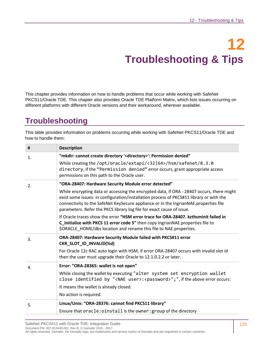# **12 Troubleshooting & Tips**

This chapter provides information on how to handle problems that occur while working with SafeNet PKCS11/Oracle TDE. This chapter also provides Oracle TDE Platform Matrix, which lists issues occurring on different platforms with different Oracle versions and their workaround, wherever available.

# **Troubleshooting**

This table provides information on problems occurring while working with SafeNet PKCS11/Oracle TDE and how to handle them:

| #  | <b>Description</b>                                                                                                                                                                                                                                                                                                                                    |  |  |  |
|----|-------------------------------------------------------------------------------------------------------------------------------------------------------------------------------------------------------------------------------------------------------------------------------------------------------------------------------------------------------|--|--|--|
| 1. | "mkdir: cannot create directory ' <directory>': Permission denied"</directory>                                                                                                                                                                                                                                                                        |  |  |  |
|    | While creating the /opt/oracle/extapi/<32 64>/hsm/safenet/8.3.0<br>directory, if the "Permission denied" error occurs, grant appropriate access<br>permissions on this path to the Oracle user.                                                                                                                                                       |  |  |  |
| 2. | "ORA-28407: Hardware Security Module error detected"                                                                                                                                                                                                                                                                                                  |  |  |  |
|    | While encrypting data or accessing the encrypted data, if ORA - 28407 occurs, there might<br>exist some issues: in configuration/installation process of PKCS#11 library or with the<br>connectivity to the SafeNet KeySecure appliance or in the IngrianNAE.properties file<br>parameters. Refer the PKCS library log file for exact cause of issue. |  |  |  |
|    | If Oracle traces show the error "HSM error trace for ORA-28407. kzthsminit failed in<br>C_Initialize with PKCS 11 error code 5" then copy IngrianNAE.properties file to<br>\$ORACLE_HOME/dbs location and rename this file to NAE.properties.                                                                                                         |  |  |  |
| 3. | ORA-28407: Hardware Security Module failed with PKCS#11 error<br>CKR_SLOT_ID_INVALID(%d)                                                                                                                                                                                                                                                              |  |  |  |
|    | For Oracle 12c RAC auto login with HSM, if error ORA-28407 occurs with invalid slot id<br>then the user must upgrade their Oracle to 12.1.0.2.2 or later.                                                                                                                                                                                             |  |  |  |
| 4. | Error: "ORA-28365: wallet is not open"                                                                                                                                                                                                                                                                                                                |  |  |  |
|    | While closing the wallet by executing "alter system set encryption wallet<br>close identified by " <nae user="">:<password>";", if the above error occurs:</password></nae>                                                                                                                                                                           |  |  |  |
|    | It means the wallet is already closed.                                                                                                                                                                                                                                                                                                                |  |  |  |
|    | No action is required.                                                                                                                                                                                                                                                                                                                                |  |  |  |
| 5. | Linux/Unix: "ORA-28376: cannot find PKCS11 library"                                                                                                                                                                                                                                                                                                   |  |  |  |
|    | Ensure that oracle: oinstall is the owner: group of the directory                                                                                                                                                                                                                                                                                     |  |  |  |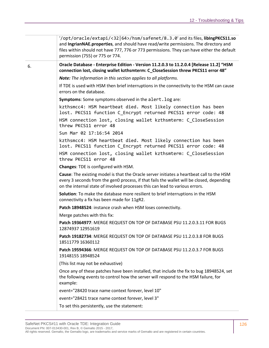|    | '/opt/oracle/extapi/<32 64>/hsm/safenet/8.3.0' and its files, libingPKCS11.so<br>and IngrianNAE.properties, and should have read/write permissions. The directory and<br>files within should not have 777, 776 or 773 permissions. They can have either the default<br>permission (755) or 775 or 774. |
|----|--------------------------------------------------------------------------------------------------------------------------------------------------------------------------------------------------------------------------------------------------------------------------------------------------------|
| 6. | Oracle Database - Enterprise Edition - Version 11.2.0.3 to 11.2.0.4 [Release 11.2] "HSM<br>connection lost, closing wallet kzthsmterm: C_CloseSession threw PKCS11 error 48"                                                                                                                           |
|    | Note: The information in this section applies to all platforms.                                                                                                                                                                                                                                        |
|    | If TDE is used with HSM then brief interruptions in the connectivity to the HSM can cause<br>errors on the database.                                                                                                                                                                                   |
|    | <b>Symptoms:</b> Some symptoms observed in the alert. log are:                                                                                                                                                                                                                                         |
|    | kzthsmcc4: HSM heartbeat died. Most likely connection has been<br>lost. PKCS11 function C_Encrypt returned PKCS11 error code: 48                                                                                                                                                                       |
|    | HSM connection lost, closing wallet kzthsmterm: C_CloseSession<br>threw PKCS11 error 48                                                                                                                                                                                                                |
|    | Sun Mar 02 17:16:54 2014                                                                                                                                                                                                                                                                               |
|    | kzthsmcc4: HSM heartbeat died. Most likely connection has been<br>lost. PKCS11 function C_Encrypt returned PKCS11 error code: 48                                                                                                                                                                       |
|    | HSM connection lost, closing wallet kzthsmterm: C_CloseSession<br>threw PKCS11 error 48                                                                                                                                                                                                                |
|    | Changes: TDE is configured with HSM.                                                                                                                                                                                                                                                                   |
|    | Cause: The existing model is that the Oracle server initiates a heartbeat call to the HSM<br>every 3 seconds from the gen0 process, if that fails the wallet will be closed, depending<br>on the internal state of involved processes this can lead to various errors.                                 |
|    | Solution: To make the database more resilient to brief interruptions in the HSM<br>connectivity a fix has been made for 11gR2.                                                                                                                                                                         |
|    | Patch 18948524: instance crash when HSM loses connectivity.                                                                                                                                                                                                                                            |
|    | Merge patches with this fix:                                                                                                                                                                                                                                                                           |
|    | Patch 19364977: MERGE REQUEST ON TOP OF DATABASE PSU 11.2.0.3.11 FOR BUGS<br>12874937 12951619                                                                                                                                                                                                         |
|    | Patch 19182734: MERGE REQUEST ON TOP OF DATABASE PSU 11.2.0.3.8 FOR BUGS<br>18511779 16360112                                                                                                                                                                                                          |
|    | Patch 19594366: MERGE REQUEST ON TOP OF DATABASE PSU 11.2.0.3.7 FOR BUGS<br>19148155 18948524                                                                                                                                                                                                          |
|    | (This list may not be exhaustive)                                                                                                                                                                                                                                                                      |
|    | Once any of these patches have been installed, that include the fix to bug 18948524, set<br>the following events to control how the server will respond to the HSM failure, for<br>example:                                                                                                            |
|    | event="28420 trace name context forever, level 10"                                                                                                                                                                                                                                                     |
|    | event="28421 trace name context forever, level 3"                                                                                                                                                                                                                                                      |
|    | To set this persistently, use the statement:                                                                                                                                                                                                                                                           |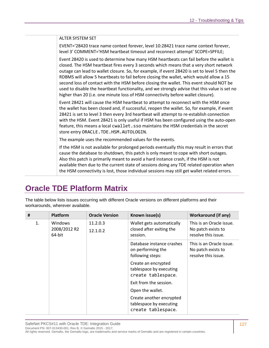#### ALTER SYSTEM SET

EVENT='28420 trace name context forever, level 10:28421 trace name context forever, level 3' COMMENT='HSM heartbeat timeout and reconnect attempt' SCOPE=SPFILE;

Event 28420 is used to determine how many HSM heartbeats can fail before the wallet is closed. The HSM heartbeat fires every 3 seconds which means that a very short network outage can lead to wallet closure. So, for example, if event 28420 is set to level 5 then the RDBMS will allow 5 heartbeats to fail before closing the wallet, which would allow a 15 second loss of contact with the HSM before closing the wallet. This event should NOT be used to disable the heartbeat functionality, and we strongly advise that this value is set no higher than 20 (i.e. one minute loss of HSM connectivity before wallet closure).

Event 28421 will cause the HSM heartbeat to attempt to reconnect with the HSM once the wallet has been closed and, if successful, reopen the wallet. So, for example, if event 28421 is set to level 3 then every 3rd heartbeat will attempt to re-establish connection with the HSM. Event 28421 is only useful if HSM has been configured using the auto-open feature, this means a local cwallet.sso maintains the HSM credentials in the secret store entry ORACLE.TDE.HSM.AUTOLOGIN.

The example uses the recommended values for the events.

If the HSM is not available for prolonged periods eventually this may result in errors that cause the database to shutdown, this patch is only meant to cope with short outages. Also this patch is primarily meant to avoid a hard instance crash, if the HSM is not available then due to the current state of sessions doing any TDE related operation when the HSM connectivity is lost, those individual sessions may still get wallet related errors.

## **Oracle TDE Platform Matrix**

The table below lists issues occurring with different Oracle versions on different platforms and their workarounds, wherever available.

| #  | Platform                          | <b>Oracle Version</b> | Known issue(s)                                                            | <b>Workaround (if any)</b>                                            |
|----|-----------------------------------|-----------------------|---------------------------------------------------------------------------|-----------------------------------------------------------------------|
| 1. | Windows<br>2008/2012 R2<br>64-bit | 11.2.0.3<br>12.1.0.2  | Wallet gets automatically<br>closed after exiting the<br>session.         | This is an Oracle issue.<br>No patch exists to<br>resolve this issue. |
|    |                                   |                       | Database instance crashes<br>on performing the<br>following steps:        | This is an Oracle issue.<br>No patch exists to<br>resolve this issue. |
|    |                                   |                       | Create an encrypted<br>tablespace by executing<br>create tablespace.      |                                                                       |
|    |                                   |                       | Exit from the session.                                                    |                                                                       |
|    |                                   |                       | Open the wallet.                                                          |                                                                       |
|    |                                   |                       | Create another encrypted<br>tablespace by executing<br>create tablespace. |                                                                       |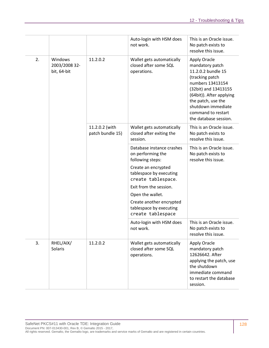|    |                                         |                                    | Auto-login with HSM does<br>not work.                                    | This is an Oracle issue.<br>No patch exists to<br>resolve this issue.                                                                                                                                                                       |
|----|-----------------------------------------|------------------------------------|--------------------------------------------------------------------------|---------------------------------------------------------------------------------------------------------------------------------------------------------------------------------------------------------------------------------------------|
| 2. | Windows<br>2003/2008 32-<br>bit, 64-bit | 11.2.0.2                           | Wallet gets automatically<br>closed after some SQL<br>operations.        | Apply Oracle<br>mandatory patch<br>11.2.0.2 bundle 15<br>(tracking patch<br>numbers 13413154<br>(32bit) and 13413155<br>(64bit)). After applying<br>the patch, use the<br>shutdown immediate<br>command to restart<br>the database session. |
|    |                                         | 11.2.0.2 (with<br>patch bundle 15) | Wallet gets automatically<br>closed after exiting the<br>session.        | This is an Oracle issue.<br>No patch exists to<br>resolve this issue.                                                                                                                                                                       |
|    |                                         |                                    | Database instance crashes<br>on performing the<br>following steps:       | This is an Oracle issue.<br>No patch exists to<br>resolve this issue.                                                                                                                                                                       |
|    |                                         |                                    | Create an encrypted<br>tablespace by executing<br>create tablespace.     |                                                                                                                                                                                                                                             |
|    |                                         |                                    | Exit from the session.                                                   |                                                                                                                                                                                                                                             |
|    |                                         |                                    | Open the wallet.                                                         |                                                                                                                                                                                                                                             |
|    |                                         |                                    | Create another encrypted<br>tablespace by executing<br>create tablespace |                                                                                                                                                                                                                                             |
|    |                                         |                                    | Auto-login with HSM does<br>not work.                                    | This is an Oracle issue.<br>No patch exists to<br>resolve this issue.                                                                                                                                                                       |
| 3. | RHEL/AIX/<br><b>Solaris</b>             | 11.2.0.2                           | Wallet gets automatically<br>closed after some SQL<br>operations.        | Apply Oracle<br>mandatory patch<br>12626642. After<br>applying the patch, use<br>the shutdown<br>immediate command<br>to restart the database<br>session.                                                                                   |